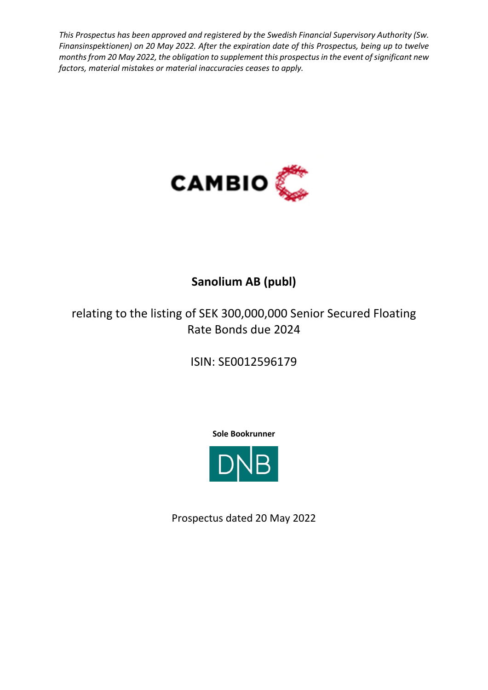*This Prospectus has been approved and registered by the Swedish Financial Supervisory Authority (Sw. Finansinspektionen) on 20 May 2022. After the expiration date of this Prospectus, being up to twelve months from 20 May 2022, the obligation to supplement this prospectus in the event of significant new factors, material mistakes or material inaccuracies ceases to apply.* 



# **Sanolium AB (publ)**

relating to the listing of SEK 300,000,000 Senior Secured Floating Rate Bonds due 2024

ISIN: SE0012596179

**Sole Bookrunner**



Prospectus dated 20 May 2022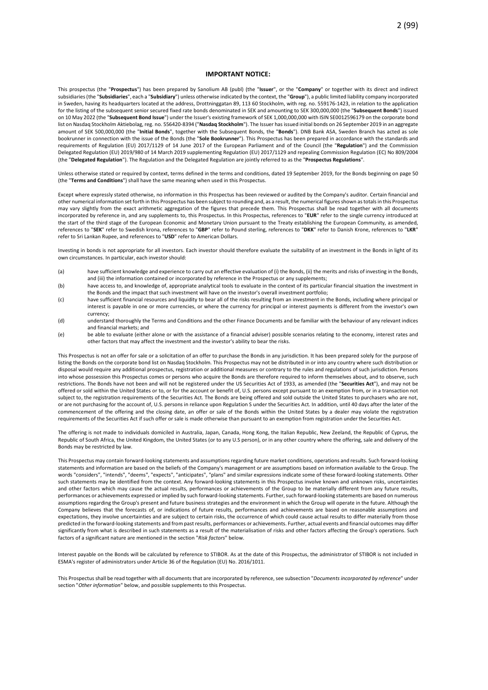#### **IMPORTANT NOTICE:**

This prospectus (the "**Prospectus**") has been prepared by Sanolium AB (publ) (the "**Issuer**", or the "**Company**" or together with its direct and indirect subsidiaries (the "**Subsidiaries**", each a "**Subsidiary**") unless otherwise indicated by the context, the "**Group**"), a public limited liability company incorporated in Sweden, having its headquarters located at the address, Drottninggatan 89, 113 60 Stockholm, with reg. no. 559176-1423, in relation to the application for the listing of the subsequent senior secured fixed rate bonds denominated in SEK and amounting to SEK 300,000,000 (the "**Subsequent Bonds**") issued on 10 May 2022 (the "**Subsequent Bond Issue**") under the Issuer's existing framework of SEK 1,000,000,000 with ISIN SE0012596179 on the corporate bond list on Nasdaq Stockholm Aktiebolag, reg. no. 556420-8394 ("**Nasdaq Stockholm**"). The Issuer has issued initial bonds on 26 September 2019 in an aggregate amount of SEK 500,000,000 (the "**Initial Bonds**", together with the Subsequent Bonds, the "**Bonds**"). DNB Bank ASA, Sweden Branch has acted as sole bookrunner in connection with the issue of the Bonds (the "**Sole Bookrunner**"). This Prospectus has been prepared in accordance with the standards and requirements of Regulation (EU) 2017/1129 of 14 June 2017 of the European Parliament and of the Council (the "**Regulation**") and the Commission Delegated Regulation (EU) 2019/980 of 14 March 2019 supplementing Regulation (EU) 2017/1129 and repealing Commission Regulation (EC) No 809/2004 (the "**Delegated Regulation**"). The Regulation and the Delegated Regulation are jointly referred to as the "**Prospectus Regulations**".

Unless otherwise stated or required by context, terms defined in the terms and conditions, dated 19 September 2019, for the Bonds beginning on page 50 (the "**Terms and Conditions**") shall have the same meaning when used in this Prospectus.

Except where expressly stated otherwise, no information in this Prospectus has been reviewed or audited by the Company's auditor. Certain financial and other numerical information set forth in this Prospectus has been subject to rounding and, as a result, the numerical figures shown as totals in this Prospectus may vary slightly from the exact arithmetic aggregation of the figures that precede them. This Prospectus shall be read together with all documents incorporated by reference in, and any supplements to, this Prospectus. In this Prospectus, references to "**EUR**" refer to the single currency introduced at the start of the third stage of the European Economic and Monetary Union pursuant to the Treaty establishing the European Community, as amended, references to "**SEK**" refer to Swedish krona, references to "**GBP**" refer to Pound sterling, references to "**DKK**" refer to Danish Krone, references to "**LKR**" refer to Sri Lankan Rupee, and references to "**USD**" refer to American Dollars.

Investing in bonds is not appropriate for all investors. Each investor should therefore evaluate the suitability of an investment in the Bonds in light of its own circumstances. In particular, each investor should:

- (a) have sufficient knowledge and experience to carry out an effective evaluation of (i) the Bonds, (ii) the merits and risks of investing in the Bonds, and (iii) the information contained or incorporated by reference in the Prospectus or any supplements:
- (b) have access to, and knowledge of, appropriate analytical tools to evaluate in the context of its particular financial situation the investment in the Bonds and the impact that such investment will have on the investor's overall investment portfolio;
- (c) have sufficient financial resources and liquidity to bear all of the risks resulting from an investment in the Bonds, including where principal or interest is payable in one or more currencies, or where the currency for principal or interest payments is different from the investor's own currency;
- (d) understand thoroughly the Terms and Conditions and the other Finance Documents and be familiar with the behaviour of any relevant indices and financial markets; and
- (e) be able to evaluate (either alone or with the assistance of a financial adviser) possible scenarios relating to the economy, interest rates and other factors that may affect the investment and the investor's ability to bear the risks.

This Prospectus is not an offer for sale or a solicitation of an offer to purchase the Bonds in any jurisdiction. It has been prepared solely for the purpose of listing the Bonds on the corporate bond list on Nasdaq Stockholm. This Prospectus may not be distributed in or into any country where such distribution or disposal would require any additional prospectus, registration or additional measures or contrary to the rules and regulations of such jurisdiction. Persons into whose possession this Prospectus comes or persons who acquire the Bonds are therefore required to inform themselves about, and to observe, such restrictions. The Bonds have not been and will not be registered under the US Securities Act of 1933, as amended (the "**Securities Act**"), and may not be offered or sold within the United States or to, or for the account or benefit of, U.S. persons except pursuant to an exemption from, or in a transaction not subject to, the registration requirements of the Securities Act. The Bonds are being offered and sold outside the United States to purchasers who are not, or are not purchasing for the account of, U.S. persons in reliance upon Regulation S under the Securities Act. In addition, until 40 days after the later of the commencement of the offering and the closing date, an offer or sale of the Bonds within the United States by a dealer may violate the registration requirements of the Securities Act if such offer or sale is made otherwise than pursuant to an exemption from registration under the Securities Act.

The offering is not made to individuals domiciled in Australia, Japan, Canada, Hong Kong, the Italian Republic, New Zeeland, the Republic of Cyprus, the Republic of South Africa, the United Kingdom, the United States (or to any U.S person), or in any other country where the offering, sale and delivery of the Bonds may be restricted by law.

This Prospectus may contain forward-looking statements and assumptions regarding future market conditions, operations and results. Such forward-looking statements and information are based on the beliefs of the Company's management or are assumptions based on information available to the Group. The words "considers", "intends", "deems", "expects", "anticipates", "plans" and similar expressions indicate some of these forward-looking statements. Other such statements may be identified from the context. Any forward-looking statements in this Prospectus involve known and unknown risks, uncertainties and other factors which may cause the actual results, performances or achievements of the Group to be materially different from any future results, performances or achievements expressed or implied by such forward-looking statements. Further, such forward-looking statements are based on numerous assumptions regarding the Group's present and future business strategies and the environment in which the Group will operate in the future. Although the Company believes that the forecasts of, or indications of future results, performances and achievements are based on reasonable assumptions and expectations, they involve uncertainties and are subject to certain risks, the occurrence of which could cause actual results to differ materially from those predicted in the forward-looking statements and from past results, performances or achievements. Further, actual events and financial outcomes may differ significantly from what is described in such statements as a result of the materialisation of risks and other factors affecting the Group's operations. Such factors of a significant nature are mentioned in the section "*Risk factors*" below.

Interest payable on the Bonds will be calculated by reference to STIBOR. As at the date of this Prospectus, the administrator of STIBOR is not included in ESMA's register of administrators under Article 36 of the Regulation (EU) No. 2016/1011.

This Prospectus shall be read together with all documents that are incorporated by reference, see subsection "*Documents incorporated by reference*" under section "*Other information*" below, and possible supplements to this Prospectus.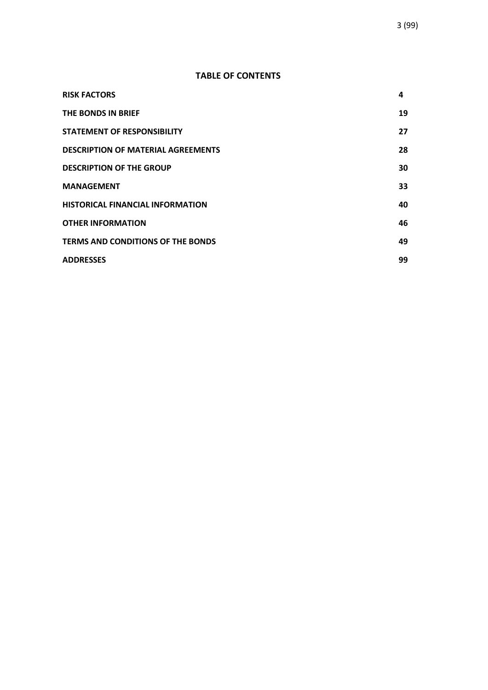# **TABLE OF CONTENTS**

| <b>RISK FACTORS</b>                       | 4  |
|-------------------------------------------|----|
| THE BONDS IN BRIEF                        | 19 |
| <b>STATEMENT OF RESPONSIBILITY</b>        | 27 |
| <b>DESCRIPTION OF MATERIAL AGREEMENTS</b> | 28 |
| <b>DESCRIPTION OF THE GROUP</b>           | 30 |
| <b>MANAGEMENT</b>                         | 33 |
| <b>HISTORICAL FINANCIAL INFORMATION</b>   | 40 |
| <b>OTHER INFORMATION</b>                  | 46 |
| <b>TERMS AND CONDITIONS OF THE BONDS</b>  | 49 |
| <b>ADDRESSES</b>                          | 99 |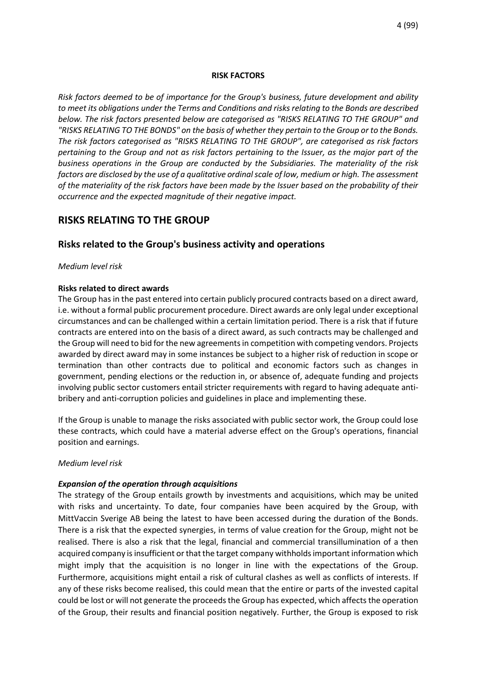#### **RISK FACTORS**

*Risk factors deemed to be of importance for the Group's business, future development and ability to meet its obligations under the Terms and Conditions and risks relating to the Bonds are described below. The risk factors presented below are categorised as "RISKS RELATING TO THE GROUP" and "RISKS RELATING TO THE BONDS" on the basis of whether they pertain to the Group or to the Bonds. The risk factors categorised as "RISKS RELATING TO THE GROUP", are categorised as risk factors pertaining to the Group and not as risk factors pertaining to the Issuer, as the major part of the business operations in the Group are conducted by the Subsidiaries. The materiality of the risk factors are disclosed by the use of a qualitative ordinal scale of low, medium or high. The assessment of the materiality of the risk factors have been made by the Issuer based on the probability of their occurrence and the expected magnitude of their negative impact.* 

# **RISKS RELATING TO THE GROUP**

# **Risks related to the Group's business activity and operations**

#### *Medium level risk*

#### **Risks related to direct awards**

The Group has in the past entered into certain publicly procured contracts based on a direct award, i.e. without a formal public procurement procedure. Direct awards are only legal under exceptional circumstances and can be challenged within a certain limitation period. There is a risk that if future contracts are entered into on the basis of a direct award, as such contracts may be challenged and the Group will need to bid for the new agreements in competition with competing vendors. Projects awarded by direct award may in some instances be subject to a higher risk of reduction in scope or termination than other contracts due to political and economic factors such as changes in government, pending elections or the reduction in, or absence of, adequate funding and projects involving public sector customers entail stricter requirements with regard to having adequate antibribery and anti-corruption policies and guidelines in place and implementing these.

If the Group is unable to manage the risks associated with public sector work, the Group could lose these contracts, which could have a material adverse effect on the Group's operations, financial position and earnings.

#### *Medium level risk*

#### *Expansion of the operation through acquisitions*

The strategy of the Group entails growth by investments and acquisitions, which may be united with risks and uncertainty. To date, four companies have been acquired by the Group, with MittVaccin Sverige AB being the latest to have been accessed during the duration of the Bonds. There is a risk that the expected synergies, in terms of value creation for the Group, might not be realised. There is also a risk that the legal, financial and commercial transillumination of a then acquired company is insufficient or that the target company withholds important information which might imply that the acquisition is no longer in line with the expectations of the Group. Furthermore, acquisitions might entail a risk of cultural clashes as well as conflicts of interests. If any of these risks become realised, this could mean that the entire or parts of the invested capital could be lost or will not generate the proceeds the Group has expected, which affects the operation of the Group, their results and financial position negatively. Further, the Group is exposed to risk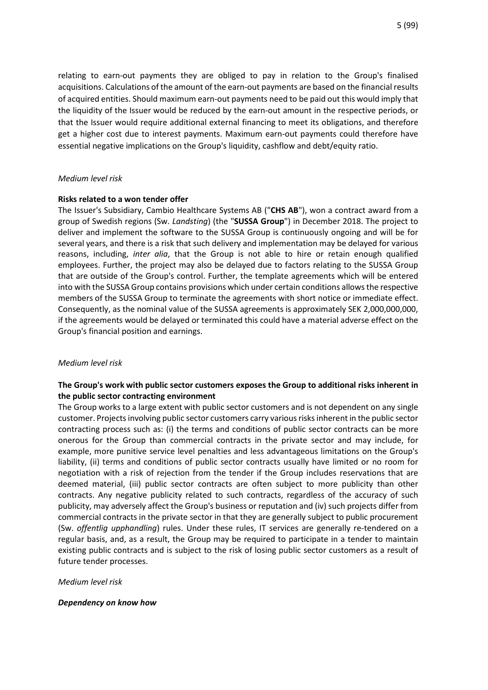relating to earn-out payments they are obliged to pay in relation to the Group's finalised acquisitions. Calculations of the amount of the earn-out payments are based on the financial results of acquired entities. Should maximum earn-out payments need to be paid out this would imply that the liquidity of the Issuer would be reduced by the earn-out amount in the respective periods, or that the Issuer would require additional external financing to meet its obligations, and therefore get a higher cost due to interest payments. Maximum earn-out payments could therefore have essential negative implications on the Group's liquidity, cashflow and debt/equity ratio.

# *Medium level risk*

# **Risks related to a won tender offer**

The Issuer's Subsidiary, Cambio Healthcare Systems AB ("**CHS AB**"), won a contract award from a group of Swedish regions (Sw. *Landsting*) (the "**SUSSA Group**") in December 2018. The project to deliver and implement the software to the SUSSA Group is continuously ongoing and will be for several years, and there is a risk that such delivery and implementation may be delayed for various reasons, including, *inter alia*, that the Group is not able to hire or retain enough qualified employees. Further, the project may also be delayed due to factors relating to the SUSSA Group that are outside of the Group's control. Further, the template agreements which will be entered into with the SUSSA Group contains provisions which under certain conditions allows the respective members of the SUSSA Group to terminate the agreements with short notice or immediate effect. Consequently, as the nominal value of the SUSSA agreements is approximately SEK 2,000,000,000, if the agreements would be delayed or terminated this could have a material adverse effect on the Group's financial position and earnings.

# *Medium level risk*

# **The Group's work with public sector customers exposes the Group to additional risks inherent in the public sector contracting environment**

The Group works to a large extent with public sector customers and is not dependent on any single customer. Projects involving public sector customers carry various risks inherent in the public sector contracting process such as: (i) the terms and conditions of public sector contracts can be more onerous for the Group than commercial contracts in the private sector and may include, for example, more punitive service level penalties and less advantageous limitations on the Group's liability, (ii) terms and conditions of public sector contracts usually have limited or no room for negotiation with a risk of rejection from the tender if the Group includes reservations that are deemed material, (iii) public sector contracts are often subject to more publicity than other contracts. Any negative publicity related to such contracts, regardless of the accuracy of such publicity, may adversely affect the Group's business or reputation and (iv) such projects differ from commercial contracts in the private sector in that they are generally subject to public procurement (Sw. *offentlig upphandling*) rules. Under these rules, IT services are generally re-tendered on a regular basis, and, as a result, the Group may be required to participate in a tender to maintain existing public contracts and is subject to the risk of losing public sector customers as a result of future tender processes.

# *Medium level risk*

# *Dependency on know how*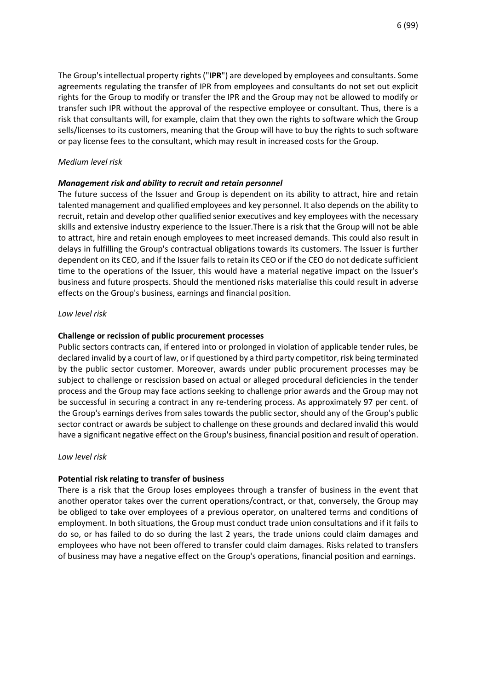The Group's intellectual property rights ("**IPR**") are developed by employees and consultants. Some agreements regulating the transfer of IPR from employees and consultants do not set out explicit rights for the Group to modify or transfer the IPR and the Group may not be allowed to modify or transfer such IPR without the approval of the respective employee or consultant. Thus, there is a risk that consultants will, for example, claim that they own the rights to software which the Group sells/licenses to its customers, meaning that the Group will have to buy the rights to such software or pay license fees to the consultant, which may result in increased costs for the Group.

# *Medium level risk*

# *Management risk and ability to recruit and retain personnel*

The future success of the Issuer and Group is dependent on its ability to attract, hire and retain talented management and qualified employees and key personnel. It also depends on the ability to recruit, retain and develop other qualified senior executives and key employees with the necessary skills and extensive industry experience to the Issuer.There is a risk that the Group will not be able to attract, hire and retain enough employees to meet increased demands. This could also result in delays in fulfilling the Group's contractual obligations towards its customers. The Issuer is further dependent on its CEO, and if the Issuer fails to retain its CEO or if the CEO do not dedicate sufficient time to the operations of the Issuer, this would have a material negative impact on the Issuer's business and future prospects. Should the mentioned risks materialise this could result in adverse effects on the Group's business, earnings and financial position.

# *Low level risk*

# **Challenge or recission of public procurement processes**

Public sectors contracts can, if entered into or prolonged in violation of applicable tender rules, be declared invalid by a court of law, or if questioned by a third party competitor, risk being terminated by the public sector customer. Moreover, awards under public procurement processes may be subject to challenge or rescission based on actual or alleged procedural deficiencies in the tender process and the Group may face actions seeking to challenge prior awards and the Group may not be successful in securing a contract in any re-tendering process. As approximately 97 per cent. of the Group's earnings derives from sales towards the public sector, should any of the Group's public sector contract or awards be subject to challenge on these grounds and declared invalid this would have a significant negative effect on the Group's business, financial position and result of operation.

# *Low level risk*

# **Potential risk relating to transfer of business**

There is a risk that the Group loses employees through a transfer of business in the event that another operator takes over the current operations/contract, or that, conversely, the Group may be obliged to take over employees of a previous operator, on unaltered terms and conditions of employment. In both situations, the Group must conduct trade union consultations and if it fails to do so, or has failed to do so during the last 2 years, the trade unions could claim damages and employees who have not been offered to transfer could claim damages. Risks related to transfers of business may have a negative effect on the Group's operations, financial position and earnings.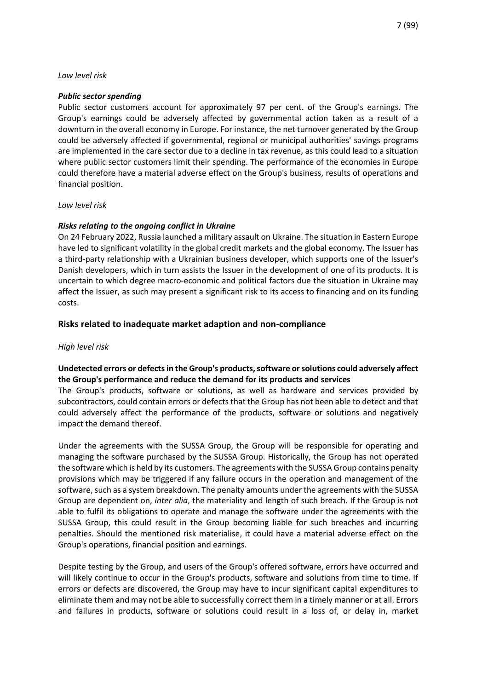### *Low level risk*

### *Public sector spending*

Public sector customers account for approximately 97 per cent. of the Group's earnings. The Group's earnings could be adversely affected by governmental action taken as a result of a downturn in the overall economy in Europe. For instance, the net turnover generated by the Group could be adversely affected if governmental, regional or municipal authorities' savings programs are implemented in the care sector due to a decline in tax revenue, as this could lead to a situation where public sector customers limit their spending. The performance of the economies in Europe could therefore have a material adverse effect on the Group's business, results of operations and financial position.

#### *Low level risk*

# *Risks relating to the ongoing conflict in Ukraine*

On 24 February 2022, Russia launched a military assault on Ukraine. The situation in Eastern Europe have led to significant volatility in the global credit markets and the global economy. The Issuer has a third-party relationship with a Ukrainian business developer, which supports one of the Issuer's Danish developers, which in turn assists the Issuer in the development of one of its products. It is uncertain to which degree macro-economic and political factors due the situation in Ukraine may affect the Issuer, as such may present a significant risk to its access to financing and on its funding costs.

# **Risks related to inadequate market adaption and non-compliance**

# *High level risk*

# **Undetected errors or defects in the Group's products, software or solutions could adversely affect the Group's performance and reduce the demand for its products and services**

The Group's products, software or solutions, as well as hardware and services provided by subcontractors, could contain errors or defects that the Group has not been able to detect and that could adversely affect the performance of the products, software or solutions and negatively impact the demand thereof.

Under the agreements with the SUSSA Group, the Group will be responsible for operating and managing the software purchased by the SUSSA Group. Historically, the Group has not operated the software which is held by its customers. The agreements with the SUSSA Group contains penalty provisions which may be triggered if any failure occurs in the operation and management of the software, such as a system breakdown. The penalty amounts under the agreements with the SUSSA Group are dependent on, *inter alia*, the materiality and length of such breach. If the Group is not able to fulfil its obligations to operate and manage the software under the agreements with the SUSSA Group, this could result in the Group becoming liable for such breaches and incurring penalties. Should the mentioned risk materialise, it could have a material adverse effect on the Group's operations, financial position and earnings.

Despite testing by the Group, and users of the Group's offered software, errors have occurred and will likely continue to occur in the Group's products, software and solutions from time to time. If errors or defects are discovered, the Group may have to incur significant capital expenditures to eliminate them and may not be able to successfully correct them in a timely manner or at all. Errors and failures in products, software or solutions could result in a loss of, or delay in, market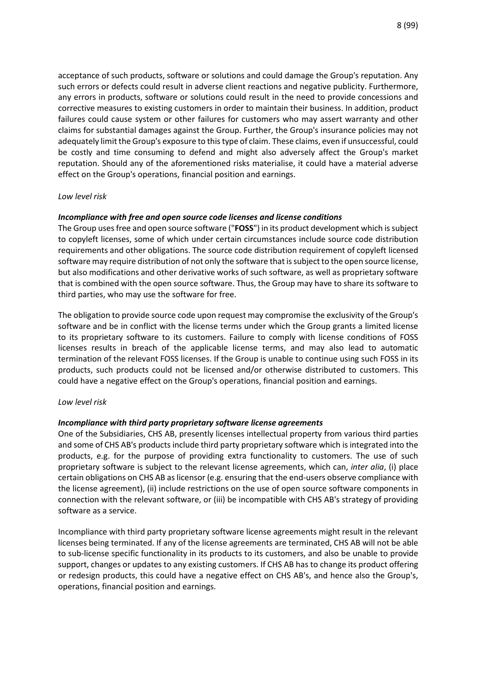acceptance of such products, software or solutions and could damage the Group's reputation. Any such errors or defects could result in adverse client reactions and negative publicity. Furthermore, any errors in products, software or solutions could result in the need to provide concessions and corrective measures to existing customers in order to maintain their business. In addition, product failures could cause system or other failures for customers who may assert warranty and other claims for substantial damages against the Group. Further, the Group's insurance policies may not adequately limit the Group's exposure to this type of claim. These claims, even if unsuccessful, could be costly and time consuming to defend and might also adversely affect the Group's market reputation. Should any of the aforementioned risks materialise, it could have a material adverse effect on the Group's operations, financial position and earnings.

# *Low level risk*

# *Incompliance with free and open source code licenses and license conditions*

The Group uses free and open source software ("**FOSS**") in its product development which is subject to copyleft licenses, some of which under certain circumstances include source code distribution requirements and other obligations. The source code distribution requirement of copyleft licensed software may require distribution of not only the software that is subject to the open source license, but also modifications and other derivative works of such software, as well as proprietary software that is combined with the open source software. Thus, the Group may have to share its software to third parties, who may use the software for free.

The obligation to provide source code upon request may compromise the exclusivity of the Group's software and be in conflict with the license terms under which the Group grants a limited license to its proprietary software to its customers. Failure to comply with license conditions of FOSS licenses results in breach of the applicable license terms, and may also lead to automatic termination of the relevant FOSS licenses. If the Group is unable to continue using such FOSS in its products, such products could not be licensed and/or otherwise distributed to customers. This could have a negative effect on the Group's operations, financial position and earnings.

#### *Low level risk*

#### *Incompliance with third party proprietary software license agreements*

One of the Subsidiaries, CHS AB, presently licenses intellectual property from various third parties and some of CHS AB's products include third party proprietary software which is integrated into the products, e.g. for the purpose of providing extra functionality to customers. The use of such proprietary software is subject to the relevant license agreements, which can, *inter alia*, (i) place certain obligations on CHS AB as licensor (e.g. ensuring that the end-users observe compliance with the license agreement), (ii) include restrictions on the use of open source software components in connection with the relevant software, or (iii) be incompatible with CHS AB's strategy of providing software as a service.

Incompliance with third party proprietary software license agreements might result in the relevant licenses being terminated. If any of the license agreements are terminated, CHS AB will not be able to sub-license specific functionality in its products to its customers, and also be unable to provide support, changes or updates to any existing customers. If CHS AB has to change its product offering or redesign products, this could have a negative effect on CHS AB's, and hence also the Group's, operations, financial position and earnings.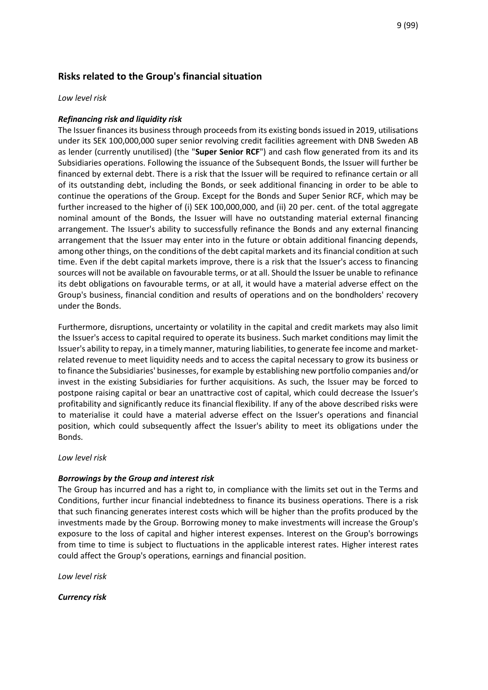# **Risks related to the Group's financial situation**

# *Low level risk*

# *Refinancing risk and liquidity risk*

The Issuer finances its business through proceeds from its existing bonds issued in 2019, utilisations under its SEK 100,000,000 super senior revolving credit facilities agreement with DNB Sweden AB as lender (currently unutilised) (the "**Super Senior RCF**") and cash flow generated from its and its Subsidiaries operations. Following the issuance of the Subsequent Bonds, the Issuer will further be financed by external debt. There is a risk that the Issuer will be required to refinance certain or all of its outstanding debt, including the Bonds, or seek additional financing in order to be able to continue the operations of the Group. Except for the Bonds and Super Senior RCF, which may be further increased to the higher of (i) SEK 100,000,000, and (ii) 20 per. cent. of the total aggregate nominal amount of the Bonds, the Issuer will have no outstanding material external financing arrangement. The Issuer's ability to successfully refinance the Bonds and any external financing arrangement that the Issuer may enter into in the future or obtain additional financing depends, among other things, on the conditions of the debt capital markets and its financial condition at such time. Even if the debt capital markets improve, there is a risk that the Issuer's access to financing sources will not be available on favourable terms, or at all. Should the Issuer be unable to refinance its debt obligations on favourable terms, or at all, it would have a material adverse effect on the Group's business, financial condition and results of operations and on the bondholders' recovery under the Bonds.

Furthermore, disruptions, uncertainty or volatility in the capital and credit markets may also limit the Issuer's access to capital required to operate its business. Such market conditions may limit the Issuer's ability to repay, in a timely manner, maturing liabilities, to generate fee income and marketrelated revenue to meet liquidity needs and to access the capital necessary to grow its business or to finance the Subsidiaries' businesses, for example by establishing new portfolio companies and/or invest in the existing Subsidiaries for further acquisitions. As such, the Issuer may be forced to postpone raising capital or bear an unattractive cost of capital, which could decrease the Issuer's profitability and significantly reduce its financial flexibility. If any of the above described risks were to materialise it could have a material adverse effect on the Issuer's operations and financial position, which could subsequently affect the Issuer's ability to meet its obligations under the Bonds.

*Low level risk*

# *Borrowings by the Group and interest risk*

The Group has incurred and has a right to, in compliance with the limits set out in the Terms and Conditions, further incur financial indebtedness to finance its business operations. There is a risk that such financing generates interest costs which will be higher than the profits produced by the investments made by the Group. Borrowing money to make investments will increase the Group's exposure to the loss of capital and higher interest expenses. Interest on the Group's borrowings from time to time is subject to fluctuations in the applicable interest rates. Higher interest rates could affect the Group's operations, earnings and financial position.

*Low level risk*

*Currency risk*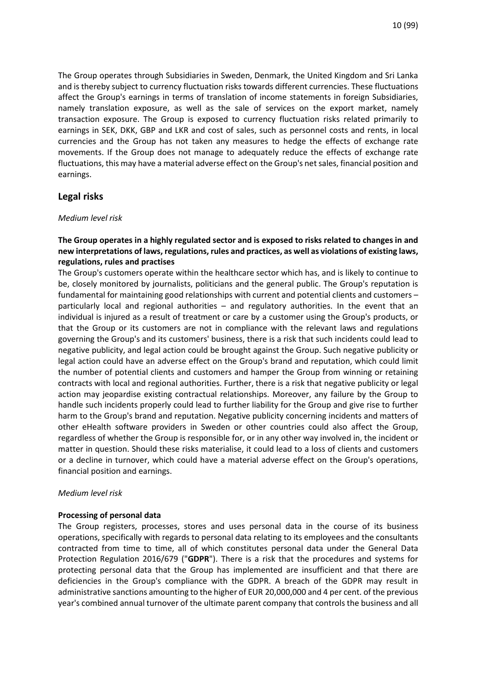The Group operates through Subsidiaries in Sweden, Denmark, the United Kingdom and Sri Lanka and is thereby subject to currency fluctuation risks towards different currencies. These fluctuations affect the Group's earnings in terms of translation of income statements in foreign Subsidiaries, namely translation exposure, as well as the sale of services on the export market, namely transaction exposure. The Group is exposed to currency fluctuation risks related primarily to earnings in SEK, DKK, GBP and LKR and cost of sales, such as personnel costs and rents, in local currencies and the Group has not taken any measures to hedge the effects of exchange rate movements. If the Group does not manage to adequately reduce the effects of exchange rate fluctuations, this may have a material adverse effect on the Group's net sales, financial position and earnings.

# **Legal risks**

#### *Medium level risk*

# **The Group operates in a highly regulated sector and is exposed to risks related to changes in and new interpretations of laws, regulations, rules and practices, as well as violations of existing laws, regulations, rules and practises**

The Group's customers operate within the healthcare sector which has, and is likely to continue to be, closely monitored by journalists, politicians and the general public. The Group's reputation is fundamental for maintaining good relationships with current and potential clients and customers – particularly local and regional authorities – and regulatory authorities. In the event that an individual is injured as a result of treatment or care by a customer using the Group's products, or that the Group or its customers are not in compliance with the relevant laws and regulations governing the Group's and its customers' business, there is a risk that such incidents could lead to negative publicity, and legal action could be brought against the Group. Such negative publicity or legal action could have an adverse effect on the Group's brand and reputation, which could limit the number of potential clients and customers and hamper the Group from winning or retaining contracts with local and regional authorities. Further, there is a risk that negative publicity or legal action may jeopardise existing contractual relationships. Moreover, any failure by the Group to handle such incidents properly could lead to further liability for the Group and give rise to further harm to the Group's brand and reputation. Negative publicity concerning incidents and matters of other eHealth software providers in Sweden or other countries could also affect the Group, regardless of whether the Group is responsible for, or in any other way involved in, the incident or matter in question. Should these risks materialise, it could lead to a loss of clients and customers or a decline in turnover, which could have a material adverse effect on the Group's operations, financial position and earnings.

#### *Medium level risk*

# **Processing of personal data**

The Group registers, processes, stores and uses personal data in the course of its business operations, specifically with regards to personal data relating to its employees and the consultants contracted from time to time, all of which constitutes personal data under the General Data Protection Regulation 2016/679 ("**GDPR**"). There is a risk that the procedures and systems for protecting personal data that the Group has implemented are insufficient and that there are deficiencies in the Group's compliance with the GDPR. A breach of the GDPR may result in administrative sanctions amounting to the higher of EUR 20,000,000 and 4 per cent. of the previous year's combined annual turnover of the ultimate parent company that controls the business and all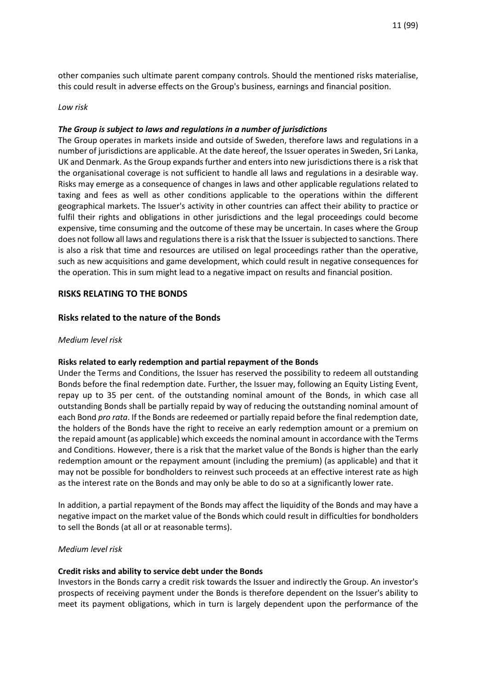other companies such ultimate parent company controls. Should the mentioned risks materialise, this could result in adverse effects on the Group's business, earnings and financial position.

#### *Low risk*

#### *The Group is subject to laws and regulations in a number of jurisdictions*

The Group operates in markets inside and outside of Sweden, therefore laws and regulations in a number of jurisdictions are applicable. At the date hereof, the Issuer operates in Sweden, Sri Lanka, UK and Denmark. As the Group expands further and enters into new jurisdictions there is a risk that the organisational coverage is not sufficient to handle all laws and regulations in a desirable way. Risks may emerge as a consequence of changes in laws and other applicable regulations related to taxing and fees as well as other conditions applicable to the operations within the different geographical markets. The Issuer's activity in other countries can affect their ability to practice or fulfil their rights and obligations in other jurisdictions and the legal proceedings could become expensive, time consuming and the outcome of these may be uncertain. In cases where the Group does not follow all laws and regulations there is a risk that the Issuer is subjected to sanctions. There is also a risk that time and resources are utilised on legal proceedings rather than the operative, such as new acquisitions and game development, which could result in negative consequences for the operation. This in sum might lead to a negative impact on results and financial position.

#### **RISKS RELATING TO THE BONDS**

#### **Risks related to the nature of the Bonds**

#### *Medium level risk*

#### **Risks related to early redemption and partial repayment of the Bonds**

Under the Terms and Conditions, the Issuer has reserved the possibility to redeem all outstanding Bonds before the final redemption date. Further, the Issuer may, following an Equity Listing Event, repay up to 35 per cent. of the outstanding nominal amount of the Bonds, in which case all outstanding Bonds shall be partially repaid by way of reducing the outstanding nominal amount of each Bond *pro rata*. If the Bonds are redeemed or partially repaid before the final redemption date, the holders of the Bonds have the right to receive an early redemption amount or a premium on the repaid amount (as applicable) which exceeds the nominal amount in accordance with the Terms and Conditions. However, there is a risk that the market value of the Bonds is higher than the early redemption amount or the repayment amount (including the premium) (as applicable) and that it may not be possible for bondholders to reinvest such proceeds at an effective interest rate as high as the interest rate on the Bonds and may only be able to do so at a significantly lower rate.

In addition, a partial repayment of the Bonds may affect the liquidity of the Bonds and may have a negative impact on the market value of the Bonds which could result in difficulties for bondholders to sell the Bonds (at all or at reasonable terms).

#### *Medium level risk*

#### **Credit risks and ability to service debt under the Bonds**

Investors in the Bonds carry a credit risk towards the Issuer and indirectly the Group. An investor's prospects of receiving payment under the Bonds is therefore dependent on the Issuer's ability to meet its payment obligations, which in turn is largely dependent upon the performance of the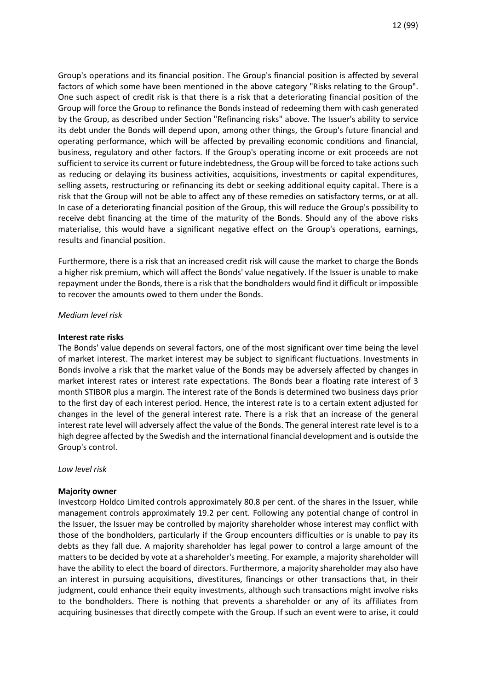Group's operations and its financial position. The Group's financial position is affected by several factors of which some have been mentioned in the above category "Risks relating to the Group". One such aspect of credit risk is that there is a risk that a deteriorating financial position of the Group will force the Group to refinance the Bonds instead of redeeming them with cash generated by the Group, as described under Section "Refinancing risks" above. The Issuer's ability to service its debt under the Bonds will depend upon, among other things, the Group's future financial and operating performance, which will be affected by prevailing economic conditions and financial, business, regulatory and other factors. If the Group's operating income or exit proceeds are not sufficient to service its current or future indebtedness, the Group will be forced to take actions such as reducing or delaying its business activities, acquisitions, investments or capital expenditures, selling assets, restructuring or refinancing its debt or seeking additional equity capital. There is a risk that the Group will not be able to affect any of these remedies on satisfactory terms, or at all. In case of a deteriorating financial position of the Group, this will reduce the Group's possibility to receive debt financing at the time of the maturity of the Bonds. Should any of the above risks materialise, this would have a significant negative effect on the Group's operations, earnings, results and financial position.

Furthermore, there is a risk that an increased credit risk will cause the market to charge the Bonds a higher risk premium, which will affect the Bonds' value negatively. If the Issuer is unable to make repayment under the Bonds, there is a risk that the bondholders would find it difficult or impossible to recover the amounts owed to them under the Bonds.

*Medium level risk* 

#### **Interest rate risks**

The Bonds' value depends on several factors, one of the most significant over time being the level of market interest. The market interest may be subject to significant fluctuations. Investments in Bonds involve a risk that the market value of the Bonds may be adversely affected by changes in market interest rates or interest rate expectations. The Bonds bear a floating rate interest of 3 month STIBOR plus a margin. The interest rate of the Bonds is determined two business days prior to the first day of each interest period. Hence, the interest rate is to a certain extent adjusted for changes in the level of the general interest rate. There is a risk that an increase of the general interest rate level will adversely affect the value of the Bonds. The general interest rate level is to a high degree affected by the Swedish and the international financial development and is outside the Group's control.

*Low level risk* 

#### **Majority owner**

Investcorp Holdco Limited controls approximately 80.8 per cent. of the shares in the Issuer, while management controls approximately 19.2 per cent. Following any potential change of control in the Issuer, the Issuer may be controlled by majority shareholder whose interest may conflict with those of the bondholders, particularly if the Group encounters difficulties or is unable to pay its debts as they fall due. A majority shareholder has legal power to control a large amount of the matters to be decided by vote at a shareholder's meeting. For example, a majority shareholder will have the ability to elect the board of directors. Furthermore, a majority shareholder may also have an interest in pursuing acquisitions, divestitures, financings or other transactions that, in their judgment, could enhance their equity investments, although such transactions might involve risks to the bondholders. There is nothing that prevents a shareholder or any of its affiliates from acquiring businesses that directly compete with the Group. If such an event were to arise, it could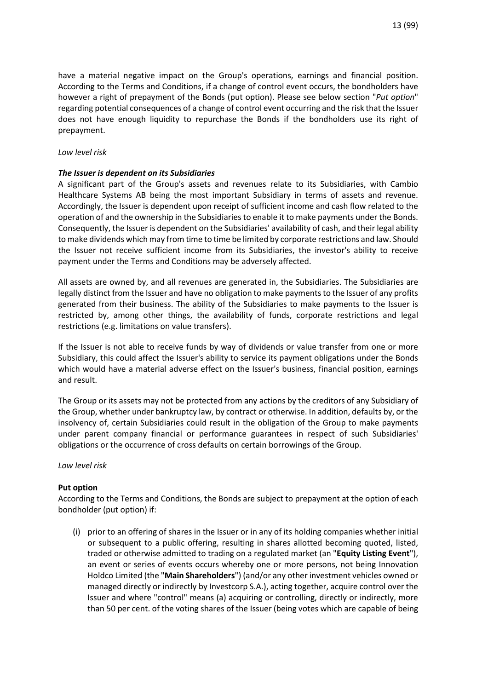have a material negative impact on the Group's operations, earnings and financial position. According to the Terms and Conditions, if a change of control event occurs, the bondholders have however a right of prepayment of the Bonds (put option). Please see below section "*Put option*" regarding potential consequences of a change of control event occurring and the risk that the Issuer does not have enough liquidity to repurchase the Bonds if the bondholders use its right of prepayment.

### *Low level risk*

# *The Issuer is dependent on its Subsidiaries*

A significant part of the Group's assets and revenues relate to its Subsidiaries, with Cambio Healthcare Systems AB being the most important Subsidiary in terms of assets and revenue. Accordingly, the Issuer is dependent upon receipt of sufficient income and cash flow related to the operation of and the ownership in the Subsidiaries to enable it to make payments under the Bonds. Consequently, the Issuer is dependent on the Subsidiaries' availability of cash, and their legal ability to make dividends which may from time to time be limited by corporate restrictions and law. Should the Issuer not receive sufficient income from its Subsidiaries, the investor's ability to receive payment under the Terms and Conditions may be adversely affected.

All assets are owned by, and all revenues are generated in, the Subsidiaries. The Subsidiaries are legally distinct from the Issuer and have no obligation to make payments to the Issuer of any profits generated from their business. The ability of the Subsidiaries to make payments to the Issuer is restricted by, among other things, the availability of funds, corporate restrictions and legal restrictions (e.g. limitations on value transfers).

If the Issuer is not able to receive funds by way of dividends or value transfer from one or more Subsidiary, this could affect the Issuer's ability to service its payment obligations under the Bonds which would have a material adverse effect on the Issuer's business, financial position, earnings and result.

The Group or its assets may not be protected from any actions by the creditors of any Subsidiary of the Group, whether under bankruptcy law, by contract or otherwise. In addition, defaults by, or the insolvency of, certain Subsidiaries could result in the obligation of the Group to make payments under parent company financial or performance guarantees in respect of such Subsidiaries' obligations or the occurrence of cross defaults on certain borrowings of the Group.

#### *Low level risk*

# **Put option**

According to the Terms and Conditions, the Bonds are subject to prepayment at the option of each bondholder (put option) if:

(i) prior to an offering of shares in the Issuer or in any of its holding companies whether initial or subsequent to a public offering, resulting in shares allotted becoming quoted, listed, traded or otherwise admitted to trading on a regulated market (an "**Equity Listing Event**"), an event or series of events occurs whereby one or more persons, not being Innovation Holdco Limited (the "**Main Shareholders**") (and/or any other investment vehicles owned or managed directly or indirectly by Investcorp S.A.), acting together, acquire control over the Issuer and where "control" means (a) acquiring or controlling, directly or indirectly, more than 50 per cent. of the voting shares of the Issuer (being votes which are capable of being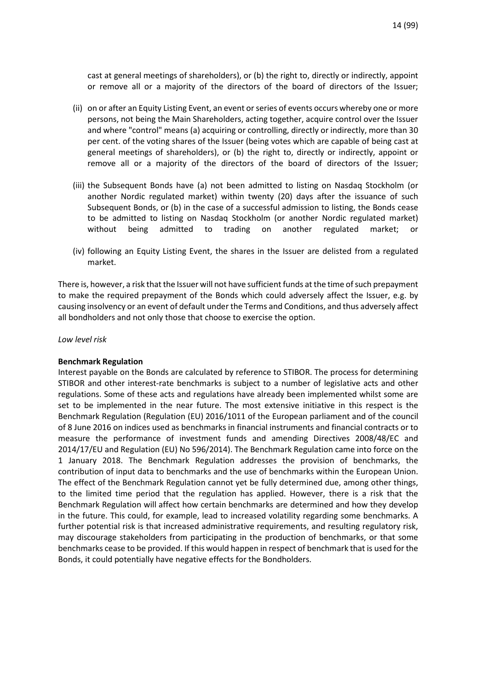cast at general meetings of shareholders), or (b) the right to, directly or indirectly, appoint or remove all or a majority of the directors of the board of directors of the Issuer;

- (ii) on or after an Equity Listing Event, an event or series of events occurs whereby one or more persons, not being the Main Shareholders, acting together, acquire control over the Issuer and where "control" means (a) acquiring or controlling, directly or indirectly, more than 30 per cent. of the voting shares of the Issuer (being votes which are capable of being cast at general meetings of shareholders), or (b) the right to, directly or indirectly, appoint or remove all or a majority of the directors of the board of directors of the Issuer;
- (iii) the Subsequent Bonds have (a) not been admitted to listing on Nasdaq Stockholm (or another Nordic regulated market) within twenty (20) days after the issuance of such Subsequent Bonds, or (b) in the case of a successful admission to listing, the Bonds cease to be admitted to listing on Nasdaq Stockholm (or another Nordic regulated market) without being admitted to trading on another regulated market;
- (iv) following an Equity Listing Event, the shares in the Issuer are delisted from a regulated market.

There is, however, a risk that the Issuer will not have sufficient funds at the time of such prepayment to make the required prepayment of the Bonds which could adversely affect the Issuer, e.g. by causing insolvency or an event of default under the Terms and Conditions, and thus adversely affect all bondholders and not only those that choose to exercise the option.

#### *Low level risk*

# **Benchmark Regulation**

Interest payable on the Bonds are calculated by reference to STIBOR. The process for determining STIBOR and other interest-rate benchmarks is subject to a number of legislative acts and other regulations. Some of these acts and regulations have already been implemented whilst some are set to be implemented in the near future. The most extensive initiative in this respect is the Benchmark Regulation (Regulation (EU) 2016/1011 of the European parliament and of the council of 8 June 2016 on indices used as benchmarks in financial instruments and financial contracts or to measure the performance of investment funds and amending Directives 2008/48/EC and 2014/17/EU and Regulation (EU) No 596/2014). The Benchmark Regulation came into force on the 1 January 2018. The Benchmark Regulation addresses the provision of benchmarks, the contribution of input data to benchmarks and the use of benchmarks within the European Union. The effect of the Benchmark Regulation cannot yet be fully determined due, among other things, to the limited time period that the regulation has applied. However, there is a risk that the Benchmark Regulation will affect how certain benchmarks are determined and how they develop in the future. This could, for example, lead to increased volatility regarding some benchmarks. A further potential risk is that increased administrative requirements, and resulting regulatory risk, may discourage stakeholders from participating in the production of benchmarks, or that some benchmarks cease to be provided. If this would happen in respect of benchmark that is used for the Bonds, it could potentially have negative effects for the Bondholders.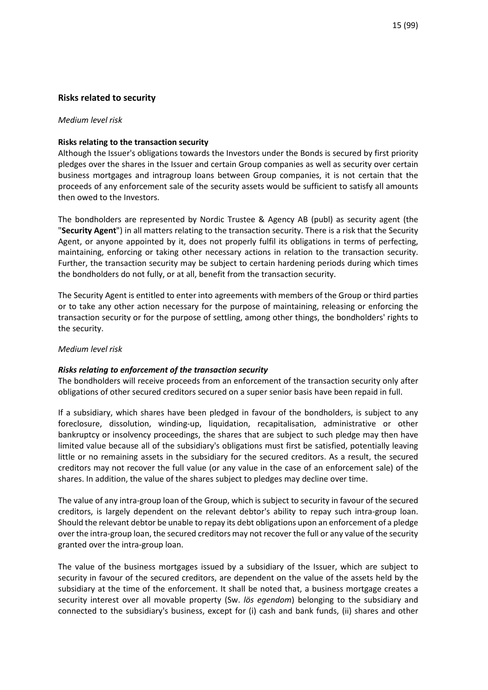# **Risks related to security**

#### *Medium level risk*

#### **Risks relating to the transaction security**

Although the Issuer's obligations towards the Investors under the Bonds is secured by first priority pledges over the shares in the Issuer and certain Group companies as well as security over certain business mortgages and intragroup loans between Group companies, it is not certain that the proceeds of any enforcement sale of the security assets would be sufficient to satisfy all amounts then owed to the Investors.

The bondholders are represented by Nordic Trustee & Agency AB (publ) as security agent (the "**Security Agent**") in all matters relating to the transaction security. There is a risk that the Security Agent, or anyone appointed by it, does not properly fulfil its obligations in terms of perfecting, maintaining, enforcing or taking other necessary actions in relation to the transaction security. Further, the transaction security may be subject to certain hardening periods during which times the bondholders do not fully, or at all, benefit from the transaction security.

The Security Agent is entitled to enter into agreements with members of the Group or third parties or to take any other action necessary for the purpose of maintaining, releasing or enforcing the transaction security or for the purpose of settling, among other things, the bondholders' rights to the security.

#### *Medium level risk*

#### *Risks relating to enforcement of the transaction security*

The bondholders will receive proceeds from an enforcement of the transaction security only after obligations of other secured creditors secured on a super senior basis have been repaid in full.

If a subsidiary, which shares have been pledged in favour of the bondholders, is subject to any foreclosure, dissolution, winding-up, liquidation, recapitalisation, administrative or other bankruptcy or insolvency proceedings, the shares that are subject to such pledge may then have limited value because all of the subsidiary's obligations must first be satisfied, potentially leaving little or no remaining assets in the subsidiary for the secured creditors. As a result, the secured creditors may not recover the full value (or any value in the case of an enforcement sale) of the shares. In addition, the value of the shares subject to pledges may decline over time.

The value of any intra-group loan of the Group, which is subject to security in favour of the secured creditors, is largely dependent on the relevant debtor's ability to repay such intra-group loan. Should the relevant debtor be unable to repay its debt obligations upon an enforcement of a pledge over the intra-group loan, the secured creditors may not recover the full or any value of the security granted over the intra-group loan.

The value of the business mortgages issued by a subsidiary of the Issuer, which are subject to security in favour of the secured creditors, are dependent on the value of the assets held by the subsidiary at the time of the enforcement. It shall be noted that, a business mortgage creates a security interest over all movable property (Sw. *lös egendom*) belonging to the subsidiary and connected to the subsidiary's business, except for (i) cash and bank funds, (ii) shares and other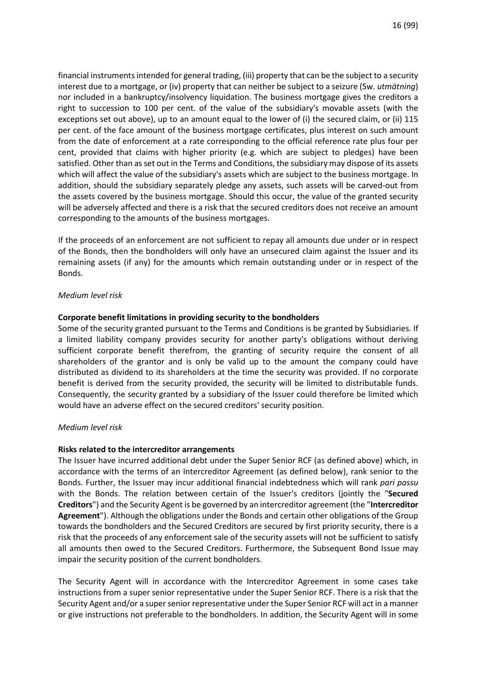financial instruments intended for general trading, (iii) property that can be the subject to a security interest due to a mortgage, or (iv) property that can neither be subject to a seizure (Sw*. utmätning*) nor included in a bankruptcy/insolvency liquidation. The business mortgage gives the creditors a right to succession to 100 per cent. of the value of the subsidiary's movable assets (with the exceptions set out above), up to an amount equal to the lower of (i) the secured claim, or (ii) 115 per cent. of the face amount of the business mortgage certificates, plus interest on such amount from the date of enforcement at a rate corresponding to the official reference rate plus four per cent, provided that claims with higher priority (e.g. which are subject to pledges) have been satisfied. Other than as set out in the Terms and Conditions, the subsidiary may dispose of its assets which will affect the value of the subsidiary's assets which are subject to the business mortgage. In addition, should the subsidiary separately pledge any assets, such assets will be carved-out from the assets covered by the business mortgage. Should this occur, the value of the granted security will be adversely affected and there is a risk that the secured creditors does not receive an amount corresponding to the amounts of the business mortgages.

If the proceeds of an enforcement are not sufficient to repay all amounts due under or in respect of the Bonds, then the bondholders will only have an unsecured claim against the Issuer and its remaining assets (if any) for the amounts which remain outstanding under or in respect of the Bonds.

#### *Medium level risk*

#### **Corporate benefit limitations in providing security to the bondholders**

Some of the security granted pursuant to the Terms and Conditions is be granted by Subsidiaries. If a limited liability company provides security for another party's obligations without deriving sufficient corporate benefit therefrom, the granting of security require the consent of all shareholders of the grantor and is only be valid up to the amount the company could have distributed as dividend to its shareholders at the time the security was provided. If no corporate benefit is derived from the security provided, the security will be limited to distributable funds. Consequently, the security granted by a subsidiary of the Issuer could therefore be limited which would have an adverse effect on the secured creditors' security position.

#### *Medium level risk*

#### **Risks related to the intercreditor arrangements**

The Issuer have incurred additional debt under the Super Senior RCF (as defined above) which, in accordance with the terms of an Intercreditor Agreement (as defined below), rank senior to the Bonds. Further, the Issuer may incur additional financial indebtedness which will rank *pari passu* with the Bonds. The relation between certain of the Issuer's creditors (jointly the "**Secured Creditors**") and the Security Agent is be governed by an intercreditor agreement (the "**Intercreditor Agreement**"). Although the obligations under the Bonds and certain other obligations of the Group towards the bondholders and the Secured Creditors are secured by first priority security, there is a risk that the proceeds of any enforcement sale of the security assets will not be sufficient to satisfy all amounts then owed to the Secured Creditors. Furthermore, the Subsequent Bond Issue may impair the security position of the current bondholders.

The Security Agent will in accordance with the Intercreditor Agreement in some cases take instructions from a super senior representative under the Super Senior RCF. There is a risk that the Security Agent and/or a super senior representative under the Super Senior RCF will act in a manner or give instructions not preferable to the bondholders. In addition, the Security Agent will in some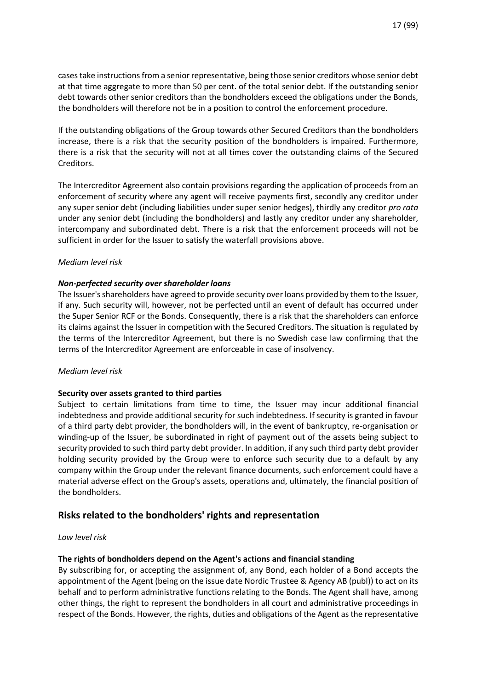cases take instructions from a senior representative, being those senior creditors whose senior debt at that time aggregate to more than 50 per cent. of the total senior debt. If the outstanding senior debt towards other senior creditors than the bondholders exceed the obligations under the Bonds, the bondholders will therefore not be in a position to control the enforcement procedure.

If the outstanding obligations of the Group towards other Secured Creditors than the bondholders increase, there is a risk that the security position of the bondholders is impaired. Furthermore, there is a risk that the security will not at all times cover the outstanding claims of the Secured Creditors.

The Intercreditor Agreement also contain provisions regarding the application of proceeds from an enforcement of security where any agent will receive payments first, secondly any creditor under any super senior debt (including liabilities under super senior hedges), thirdly any creditor *pro rata*  under any senior debt (including the bondholders) and lastly any creditor under any shareholder, intercompany and subordinated debt. There is a risk that the enforcement proceeds will not be sufficient in order for the Issuer to satisfy the waterfall provisions above.

#### *Medium level risk*

# *Non-perfected security over shareholder loans*

The Issuer's shareholders have agreed to provide security over loans provided by them to the Issuer, if any. Such security will, however, not be perfected until an event of default has occurred under the Super Senior RCF or the Bonds. Consequently, there is a risk that the shareholders can enforce its claims against the Issuer in competition with the Secured Creditors. The situation is regulated by the terms of the Intercreditor Agreement, but there is no Swedish case law confirming that the terms of the Intercreditor Agreement are enforceable in case of insolvency.

#### *Medium level risk*

# **Security over assets granted to third parties**

Subject to certain limitations from time to time, the Issuer may incur additional financial indebtedness and provide additional security for such indebtedness. If security is granted in favour of a third party debt provider, the bondholders will, in the event of bankruptcy, re-organisation or winding-up of the Issuer, be subordinated in right of payment out of the assets being subject to security provided to such third party debt provider. In addition, if any such third party debt provider holding security provided by the Group were to enforce such security due to a default by any company within the Group under the relevant finance documents, such enforcement could have a material adverse effect on the Group's assets, operations and, ultimately, the financial position of the bondholders.

# **Risks related to the bondholders' rights and representation**

#### *Low level risk*

# **The rights of bondholders depend on the Agent's actions and financial standing**

By subscribing for, or accepting the assignment of, any Bond, each holder of a Bond accepts the appointment of the Agent (being on the issue date Nordic Trustee & Agency AB (publ)) to act on its behalf and to perform administrative functions relating to the Bonds. The Agent shall have, among other things, the right to represent the bondholders in all court and administrative proceedings in respect of the Bonds. However, the rights, duties and obligations of the Agent as the representative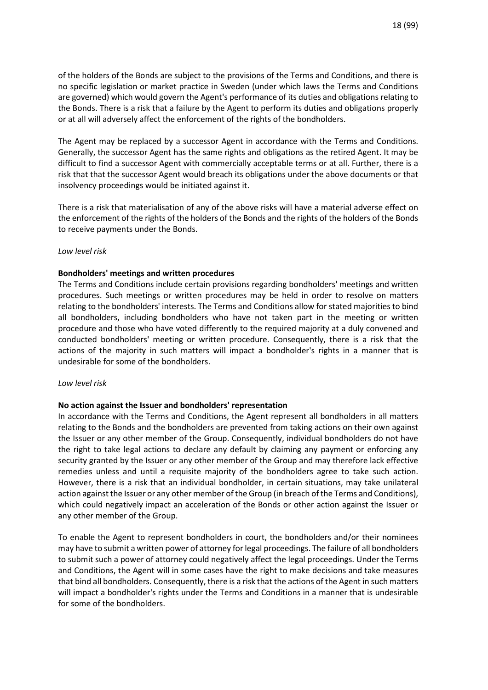of the holders of the Bonds are subject to the provisions of the Terms and Conditions, and there is no specific legislation or market practice in Sweden (under which laws the Terms and Conditions are governed) which would govern the Agent's performance of its duties and obligations relating to the Bonds. There is a risk that a failure by the Agent to perform its duties and obligations properly or at all will adversely affect the enforcement of the rights of the bondholders.

The Agent may be replaced by a successor Agent in accordance with the Terms and Conditions. Generally, the successor Agent has the same rights and obligations as the retired Agent. It may be difficult to find a successor Agent with commercially acceptable terms or at all. Further, there is a risk that that the successor Agent would breach its obligations under the above documents or that insolvency proceedings would be initiated against it.

There is a risk that materialisation of any of the above risks will have a material adverse effect on the enforcement of the rights of the holders of the Bonds and the rights of the holders of the Bonds to receive payments under the Bonds.

#### *Low level risk*

# **Bondholders' meetings and written procedures**

The Terms and Conditions include certain provisions regarding bondholders' meetings and written procedures. Such meetings or written procedures may be held in order to resolve on matters relating to the bondholders' interests. The Terms and Conditions allow for stated majorities to bind all bondholders, including bondholders who have not taken part in the meeting or written procedure and those who have voted differently to the required majority at a duly convened and conducted bondholders' meeting or written procedure. Consequently, there is a risk that the actions of the majority in such matters will impact a bondholder's rights in a manner that is undesirable for some of the bondholders.

#### *Low level risk*

#### **No action against the Issuer and bondholders' representation**

In accordance with the Terms and Conditions, the Agent represent all bondholders in all matters relating to the Bonds and the bondholders are prevented from taking actions on their own against the Issuer or any other member of the Group. Consequently, individual bondholders do not have the right to take legal actions to declare any default by claiming any payment or enforcing any security granted by the Issuer or any other member of the Group and may therefore lack effective remedies unless and until a requisite majority of the bondholders agree to take such action. However, there is a risk that an individual bondholder, in certain situations, may take unilateral action against the Issuer or any other member of the Group (in breach of the Terms and Conditions), which could negatively impact an acceleration of the Bonds or other action against the Issuer or any other member of the Group.

To enable the Agent to represent bondholders in court, the bondholders and/or their nominees may have to submit a written power of attorney for legal proceedings. The failure of all bondholders to submit such a power of attorney could negatively affect the legal proceedings. Under the Terms and Conditions, the Agent will in some cases have the right to make decisions and take measures that bind all bondholders. Consequently, there is a risk that the actions of the Agent in such matters will impact a bondholder's rights under the Terms and Conditions in a manner that is undesirable for some of the bondholders.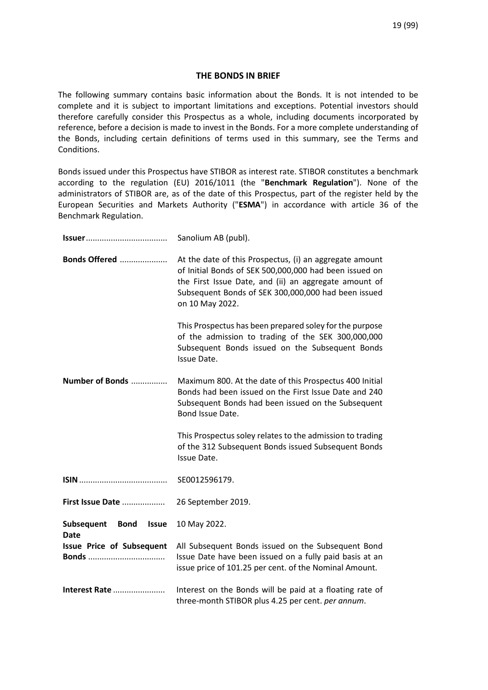# **THE BONDS IN BRIEF**

The following summary contains basic information about the Bonds. It is not intended to be complete and it is subject to important limitations and exceptions. Potential investors should therefore carefully consider this Prospectus as a whole, including documents incorporated by reference, before a decision is made to invest in the Bonds. For a more complete understanding of the Bonds, including certain definitions of terms used in this summary, see the Terms and Conditions.

Bonds issued under this Prospectus have STIBOR as interest rate. STIBOR constitutes a benchmark according to the regulation (EU) 2016/1011 (the "**Benchmark Regulation**"). None of the administrators of STIBOR are, as of the date of this Prospectus, part of the register held by the European Securities and Markets Authority ("**ESMA**") in accordance with article 36 of the Benchmark Regulation.

|                                                          | Sanolium AB (publ).                                                                                                                                                                                                                                  |
|----------------------------------------------------------|------------------------------------------------------------------------------------------------------------------------------------------------------------------------------------------------------------------------------------------------------|
| Bonds Offered                                            | At the date of this Prospectus, (i) an aggregate amount<br>of Initial Bonds of SEK 500,000,000 had been issued on<br>the First Issue Date, and (ii) an aggregate amount of<br>Subsequent Bonds of SEK 300,000,000 had been issued<br>on 10 May 2022. |
|                                                          | This Prospectus has been prepared soley for the purpose<br>of the admission to trading of the SEK 300,000,000<br>Subsequent Bonds issued on the Subsequent Bonds<br>Issue Date.                                                                      |
| Number of Bonds                                          | Maximum 800. At the date of this Prospectus 400 Initial<br>Bonds had been issued on the First Issue Date and 240<br>Subsequent Bonds had been issued on the Subsequent<br>Bond Issue Date.                                                           |
|                                                          | This Prospectus soley relates to the admission to trading<br>of the 312 Subsequent Bonds issued Subsequent Bonds<br>Issue Date.                                                                                                                      |
|                                                          | SE0012596179.                                                                                                                                                                                                                                        |
| First Issue Date                                         | 26 September 2019.                                                                                                                                                                                                                                   |
| Subsequent<br><b>Bond</b><br><b>Issue</b><br><b>Date</b> | 10 May 2022.                                                                                                                                                                                                                                         |
| <b>Issue Price of Subsequent</b><br><b>Bonds</b>         | All Subsequent Bonds issued on the Subsequent Bond<br>Issue Date have been issued on a fully paid basis at an<br>issue price of 101.25 per cent. of the Nominal Amount.                                                                              |
| Interest Rate                                            | Interest on the Bonds will be paid at a floating rate of<br>three-month STIBOR plus 4.25 per cent. per annum.                                                                                                                                        |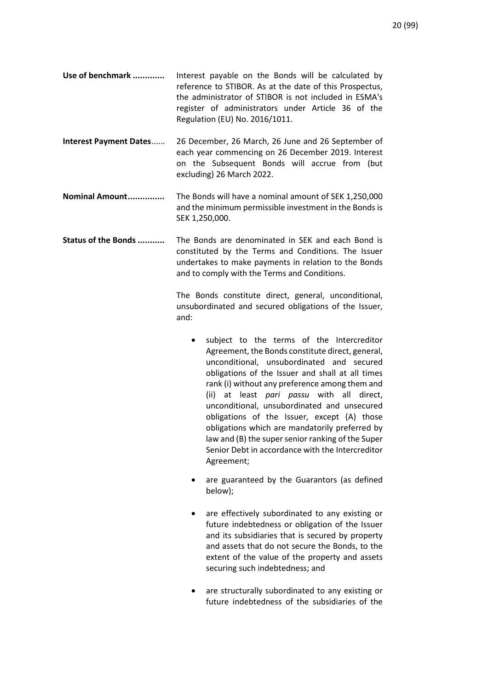- **Use of benchmark .............** Interest payable on the Bonds will be calculated by reference to STIBOR. As at the date of this Prospectus, the administrator of STIBOR is not included in ESMA's register of administrators under Article 36 of the Regulation (EU) No. 2016/1011.
- **Interest Payment Dates**...... 26 December, 26 March, 26 June and 26 September of each year commencing on 26 December 2019. Interest on the Subsequent Bonds will accrue from (but excluding) 26 March 2022.
- **Nominal Amount...............** The Bonds will have a nominal amount of SEK 1,250,000 and the minimum permissible investment in the Bonds is SEK 1,250,000.
- **Status of the Bonds ...........** The Bonds are denominated in SEK and each Bond is constituted by the Terms and Conditions. The Issuer undertakes to make payments in relation to the Bonds and to comply with the Terms and Conditions.

The Bonds constitute direct, general, unconditional, unsubordinated and secured obligations of the Issuer, and:

- subject to the terms of the Intercreditor Agreement, the Bonds constitute direct, general, unconditional, unsubordinated and secured obligations of the Issuer and shall at all times rank (i) without any preference among them and (ii) at least *pari passu* with all direct, unconditional, unsubordinated and unsecured obligations of the Issuer, except (A) those obligations which are mandatorily preferred by law and (B) the super senior ranking of the Super Senior Debt in accordance with the Intercreditor Agreement;
- are guaranteed by the Guarantors (as defined below);
- are effectively subordinated to any existing or future indebtedness or obligation of the Issuer and its subsidiaries that is secured by property and assets that do not secure the Bonds, to the extent of the value of the property and assets securing such indebtedness; and
- are structurally subordinated to any existing or future indebtedness of the subsidiaries of the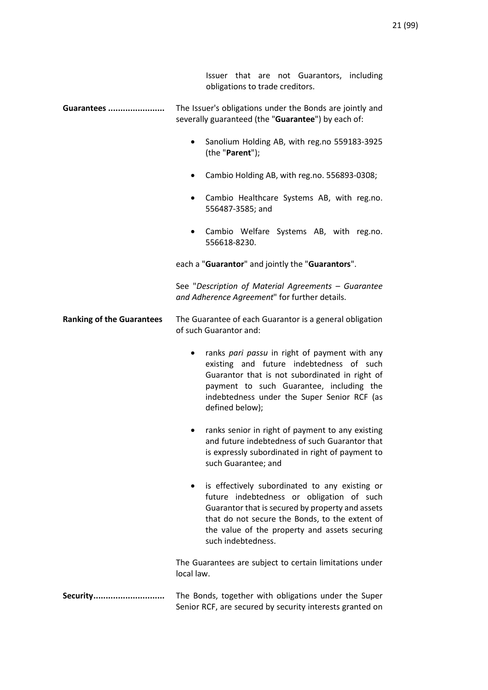|                                  | Issuer that are not Guarantors, including<br>obligations to trade creditors.                                                                                                                                                                                                          |
|----------------------------------|---------------------------------------------------------------------------------------------------------------------------------------------------------------------------------------------------------------------------------------------------------------------------------------|
| Guarantees                       | The Issuer's obligations under the Bonds are jointly and<br>severally guaranteed (the "Guarantee") by each of:                                                                                                                                                                        |
|                                  | Sanolium Holding AB, with reg.no 559183-3925<br>$\bullet$<br>(the "Parent");                                                                                                                                                                                                          |
|                                  | Cambio Holding AB, with reg.no. 556893-0308;                                                                                                                                                                                                                                          |
|                                  | Cambio Healthcare Systems AB, with reg.no.<br>556487-3585; and                                                                                                                                                                                                                        |
|                                  | Cambio Welfare Systems AB, with reg.no.<br>556618-8230.                                                                                                                                                                                                                               |
|                                  | each a "Guarantor" and jointly the "Guarantors".                                                                                                                                                                                                                                      |
|                                  | See "Description of Material Agreements - Guarantee<br>and Adherence Agreement" for further details.                                                                                                                                                                                  |
| <b>Ranking of the Guarantees</b> | The Guarantee of each Guarantor is a general obligation<br>of such Guarantor and:                                                                                                                                                                                                     |
|                                  | ranks pari passu in right of payment with any<br>existing and future indebtedness of such<br>Guarantor that is not subordinated in right of<br>payment to such Guarantee, including the<br>indebtedness under the Super Senior RCF (as<br>defined below);                             |
|                                  | ranks senior in right of payment to any existing<br>and future indebtedness of such Guarantor that<br>is expressly subordinated in right of payment to<br>such Guarantee; and                                                                                                         |
|                                  | is effectively subordinated to any existing or<br>$\bullet$<br>future indebtedness or obligation of such<br>Guarantor that is secured by property and assets<br>that do not secure the Bonds, to the extent of<br>the value of the property and assets securing<br>such indebtedness. |
|                                  | The Guarantees are subject to certain limitations under<br>local law.                                                                                                                                                                                                                 |
| Security                         | The Bonds, together with obligations under the Super<br>Senior RCF, are secured by security interests granted on                                                                                                                                                                      |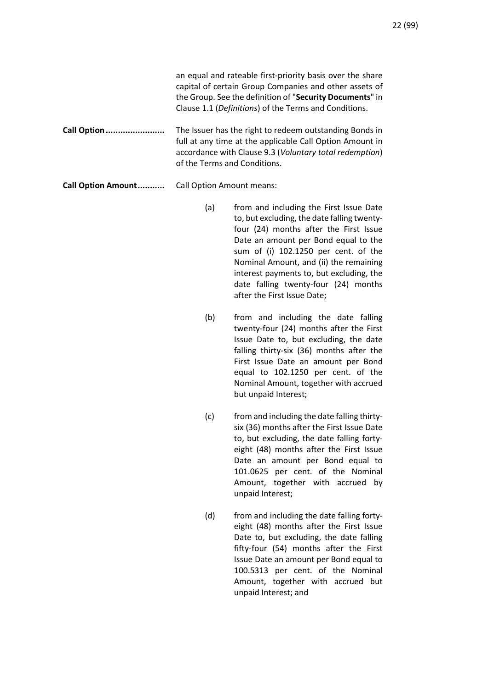an equal and rateable first-priority basis over the share capital of certain Group Companies and other assets of the Group. See the definition of "**Security Documents**" in Clause 1.1 (*Definitions*) of the Terms and Conditions. **Call Option........................** The Issuer has the right to redeem outstanding Bonds in full at any time at the applicable Call Option Amount in accordance with Clause 9.3 (*Voluntary total redemption*) of the Terms and Conditions.

# **Call Option Amount...........** Call Option Amount means:

- (a) from and including the First Issue Date to, but excluding, the date falling twentyfour (24) months after the First Issue Date an amount per Bond equal to the sum of (i) 102.1250 per cent. of the Nominal Amount, and (ii) the remaining interest payments to, but excluding, the date falling twenty-four (24) months after the First Issue Date;
- (b) from and including the date falling twenty-four (24) months after the First Issue Date to, but excluding, the date falling thirty-six (36) months after the First Issue Date an amount per Bond equal to 102.1250 per cent. of the Nominal Amount, together with accrued but unpaid Interest;
- (c) from and including the date falling thirtysix (36) months after the First Issue Date to, but excluding, the date falling fortyeight (48) months after the First Issue Date an amount per Bond equal to 101.0625 per cent. of the Nominal Amount, together with accrued by unpaid Interest;
- (d) from and including the date falling fortyeight (48) months after the First Issue Date to, but excluding, the date falling fifty-four (54) months after the First Issue Date an amount per Bond equal to 100.5313 per cent. of the Nominal Amount, together with accrued but unpaid Interest; and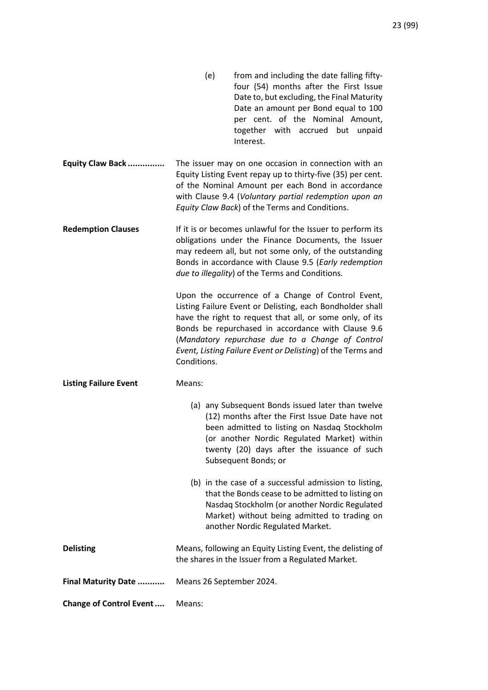- (e) from and including the date falling fiftyfour (54) months after the First Issue Date to, but excluding, the Final Maturity Date an amount per Bond equal to 100 per cent. of the Nominal Amount, together with accrued but unpaid Interest.
- **Equity Claw Back ...............** The issuer may on one occasion in connection with an Equity Listing Event repay up to thirty-five (35) per cent. of the Nominal Amount per each Bond in accordance with Clause 9.4 (*Voluntary partial redemption upon an Equity Claw Back*) of the Terms and Conditions.
- **Redemption Clauses** If it is or becomes unlawful for the Issuer to perform its obligations under the Finance Documents, the Issuer may redeem all, but not some only, of the outstanding Bonds in accordance with Clause 9.5 (*Early redemption due to illegality*) of the Terms and Conditions.

Upon the occurrence of a Change of Control Event, Listing Failure Event or Delisting, each Bondholder shall have the right to request that all, or some only, of its Bonds be repurchased in accordance with Clause 9.6 (*Mandatory repurchase due to a Change of Control Event, Listing Failure Event or Delisting*) of the Terms and Conditions.

**Listing Failure Event** Means:

| (a) any Subsequent Bonds issued later than twelve<br>(12) months after the First Issue Date have not<br>been admitted to listing on Nasdaq Stockholm<br>(or another Nordic Regulated Market) within<br>twenty (20) days after the issuance of such<br>Subsequent Bonds; or |
|----------------------------------------------------------------------------------------------------------------------------------------------------------------------------------------------------------------------------------------------------------------------------|
| (b) in the case of a successful admission to listing,<br>that the Bonds cease to be admitted to listing on<br>Nasdaq Stockholm (or another Nordic Regulated<br>Market) without being admitted to trading on<br>another Nordic Regulated Market.                            |

**Delisting Community Communist Communist Means, following an Equity Listing Event, the delisting of** the shares in the Issuer from a Regulated Market. **Final Maturity Date ...........** Means 26 September 2024.

**Change of Control Event....** Means: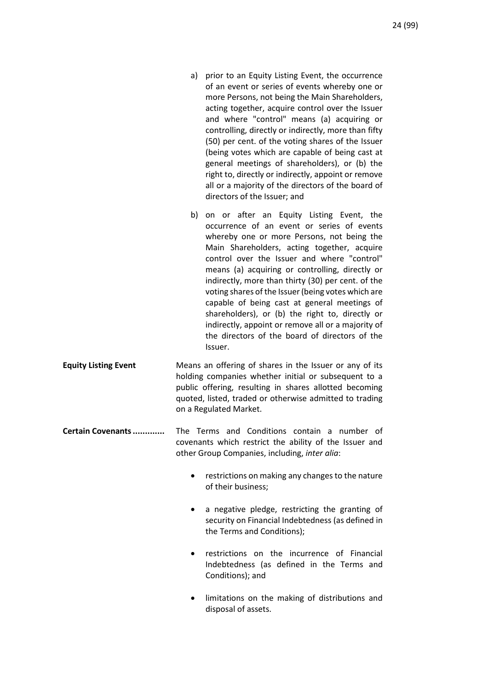- a) prior to an Equity Listing Event, the occurrence of an event or series of events whereby one or more Persons, not being the Main Shareholders, acting together, acquire control over the Issuer and where "control" means (a) acquiring or controlling, directly or indirectly, more than fifty (50) per cent. of the voting shares of the Issuer (being votes which are capable of being cast at general meetings of shareholders), or (b) the right to, directly or indirectly, appoint or remove all or a majority of the directors of the board of directors of the Issuer; and
- b) on or after an Equity Listing Event, the occurrence of an event or series of events whereby one or more Persons, not being the Main Shareholders, acting together, acquire control over the Issuer and where "control" means (a) acquiring or controlling, directly or indirectly, more than thirty (30) per cent. of the voting shares of the Issuer (being votes which are capable of being cast at general meetings of shareholders), or (b) the right to, directly or indirectly, appoint or remove all or a majority of the directors of the board of directors of the Issuer.
- **Equity Listing Event** Means an offering of shares in the Issuer or any of its holding companies whether initial or subsequent to a public offering, resulting in shares allotted becoming quoted, listed, traded or otherwise admitted to trading on a Regulated Market.
- **Certain Covenants.............** The Terms and Conditions contain a number of covenants which restrict the ability of the Issuer and other Group Companies, including, *inter alia*:
	- restrictions on making any changes to the nature of their business;
	- a negative pledge, restricting the granting of security on Financial Indebtedness (as defined in the Terms and Conditions);
	- restrictions on the incurrence of Financial Indebtedness (as defined in the Terms and Conditions); and
	- limitations on the making of distributions and disposal of assets.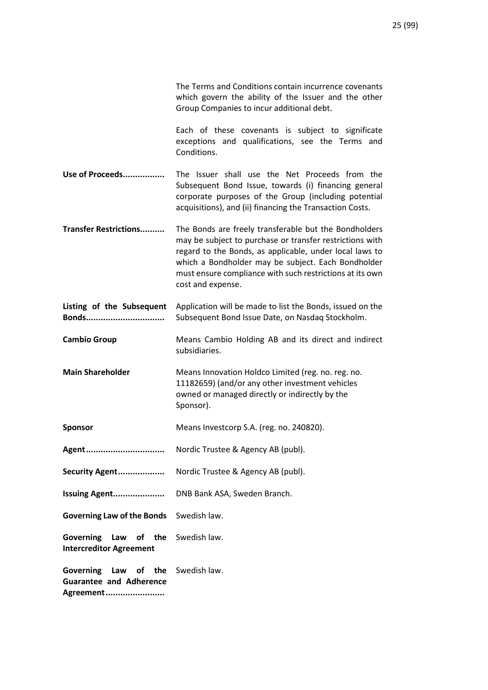|                                                                        | The Terms and Conditions contain incurrence covenants<br>which govern the ability of the Issuer and the other<br>Group Companies to incur additional debt.                                                                                                                                                          |
|------------------------------------------------------------------------|---------------------------------------------------------------------------------------------------------------------------------------------------------------------------------------------------------------------------------------------------------------------------------------------------------------------|
|                                                                        | Each of these covenants is subject to significate<br>exceptions and qualifications, see the Terms and<br>Conditions.                                                                                                                                                                                                |
| Use of Proceeds                                                        | The Issuer shall use the Net Proceeds from the<br>Subsequent Bond Issue, towards (i) financing general<br>corporate purposes of the Group (including potential<br>acquisitions), and (ii) financing the Transaction Costs.                                                                                          |
| <b>Transfer Restrictions</b>                                           | The Bonds are freely transferable but the Bondholders<br>may be subject to purchase or transfer restrictions with<br>regard to the Bonds, as applicable, under local laws to<br>which a Bondholder may be subject. Each Bondholder<br>must ensure compliance with such restrictions at its own<br>cost and expense. |
| Listing of the Subsequent<br>Bonds                                     | Application will be made to list the Bonds, issued on the<br>Subsequent Bond Issue Date, on Nasdaq Stockholm.                                                                                                                                                                                                       |
| <b>Cambio Group</b>                                                    | Means Cambio Holding AB and its direct and indirect<br>subsidiaries.                                                                                                                                                                                                                                                |
| <b>Main Shareholder</b>                                                | Means Innovation Holdco Limited (reg. no. reg. no.<br>11182659) (and/or any other investment vehicles<br>owned or managed directly or indirectly by the<br>Sponsor).                                                                                                                                                |
| <b>Sponsor</b>                                                         | Means Investcorp S.A. (reg. no. 240820).                                                                                                                                                                                                                                                                            |
| Agent                                                                  | Nordic Trustee & Agency AB (publ).                                                                                                                                                                                                                                                                                  |
| Security Agent                                                         | Nordic Trustee & Agency AB (publ).                                                                                                                                                                                                                                                                                  |
| Issuing Agent                                                          | DNB Bank ASA, Sweden Branch.                                                                                                                                                                                                                                                                                        |
| <b>Governing Law of the Bonds</b>                                      | Swedish law.                                                                                                                                                                                                                                                                                                        |
| <b>Governing</b><br>Law<br>of the<br><b>Intercreditor Agreement</b>    | Swedish law.                                                                                                                                                                                                                                                                                                        |
| Governing<br>Law of the<br><b>Guarantee and Adherence</b><br>Agreement | Swedish law.                                                                                                                                                                                                                                                                                                        |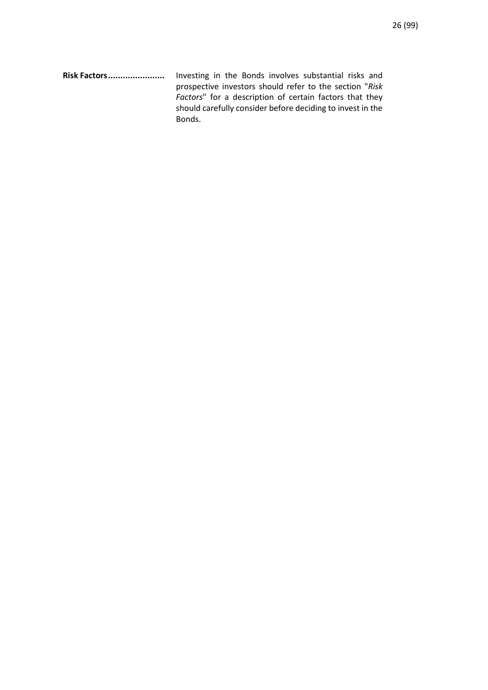**Risk Factors.......................** Investing in the Bonds involves substantial risks and prospective investors should refer to the section "*Risk Factors*" for a description of certain factors that they should carefully consider before deciding to invest in the Bonds.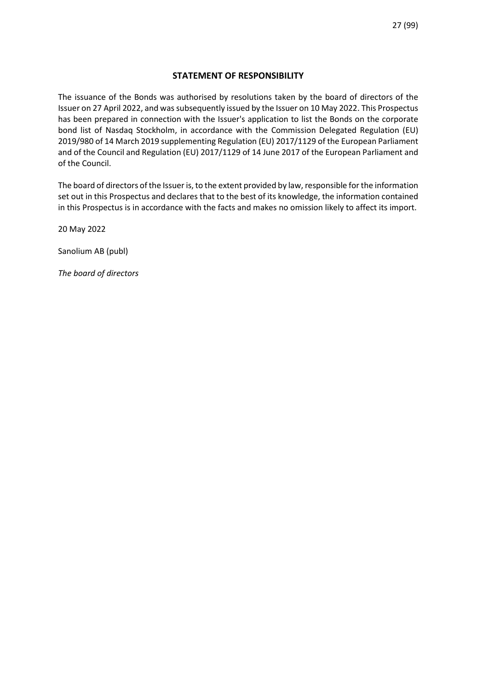# **STATEMENT OF RESPONSIBILITY**

The issuance of the Bonds was authorised by resolutions taken by the board of directors of the Issuer on 27 April 2022, and was subsequently issued by the Issuer on 10 May 2022. This Prospectus has been prepared in connection with the Issuer's application to list the Bonds on the corporate bond list of Nasdaq Stockholm, in accordance with the Commission Delegated Regulation (EU) 2019/980 of 14 March 2019 supplementing Regulation (EU) 2017/1129 of the European Parliament and of the Council and Regulation (EU) 2017/1129 of 14 June 2017 of the European Parliament and of the Council.

The board of directors of the Issuer is, to the extent provided by law, responsible for the information set out in this Prospectus and declares that to the best of its knowledge, the information contained in this Prospectus is in accordance with the facts and makes no omission likely to affect its import.

20 May 2022

Sanolium AB (publ)

*The board of directors*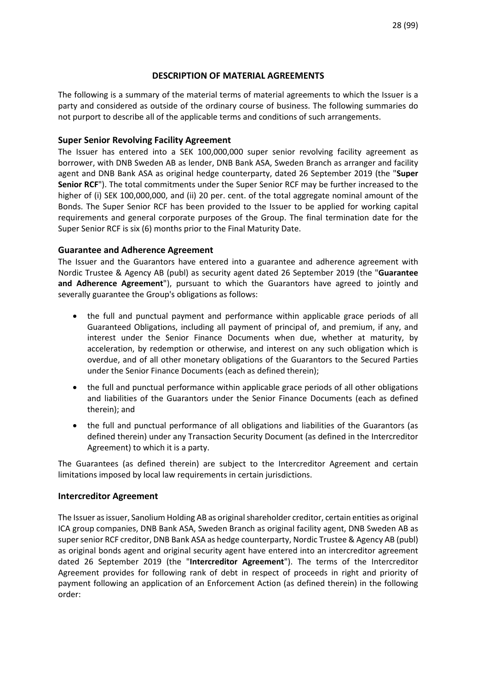# **DESCRIPTION OF MATERIAL AGREEMENTS**

The following is a summary of the material terms of material agreements to which the Issuer is a party and considered as outside of the ordinary course of business. The following summaries do not purport to describe all of the applicable terms and conditions of such arrangements.

# **Super Senior Revolving Facility Agreement**

The Issuer has entered into a SEK 100,000,000 super senior revolving facility agreement as borrower, with DNB Sweden AB as lender, DNB Bank ASA, Sweden Branch as arranger and facility agent and DNB Bank ASA as original hedge counterparty, dated 26 September 2019 (the "**Super Senior RCF**"). The total commitments under the Super Senior RCF may be further increased to the higher of (i) SEK 100,000,000, and (ii) 20 per. cent. of the total aggregate nominal amount of the Bonds. The Super Senior RCF has been provided to the Issuer to be applied for working capital requirements and general corporate purposes of the Group. The final termination date for the Super Senior RCF is six (6) months prior to the Final Maturity Date.

# **Guarantee and Adherence Agreement**

The Issuer and the Guarantors have entered into a guarantee and adherence agreement with Nordic Trustee & Agency AB (publ) as security agent dated 26 September 2019 (the "**Guarantee and Adherence Agreement**"), pursuant to which the Guarantors have agreed to jointly and severally guarantee the Group's obligations as follows:

- the full and punctual payment and performance within applicable grace periods of all Guaranteed Obligations, including all payment of principal of, and premium, if any, and interest under the Senior Finance Documents when due, whether at maturity, by acceleration, by redemption or otherwise, and interest on any such obligation which is overdue, and of all other monetary obligations of the Guarantors to the Secured Parties under the Senior Finance Documents (each as defined therein);
- the full and punctual performance within applicable grace periods of all other obligations and liabilities of the Guarantors under the Senior Finance Documents (each as defined therein); and
- the full and punctual performance of all obligations and liabilities of the Guarantors (as defined therein) under any Transaction Security Document (as defined in the Intercreditor Agreement) to which it is a party.

The Guarantees (as defined therein) are subject to the Intercreditor Agreement and certain limitations imposed by local law requirements in certain jurisdictions.

# **Intercreditor Agreement**

The Issuer as issuer, Sanolium Holding AB as original shareholder creditor, certain entities as original ICA group companies, DNB Bank ASA, Sweden Branch as original facility agent, DNB Sweden AB as super senior RCF creditor, DNB Bank ASA as hedge counterparty, Nordic Trustee & Agency AB (publ) as original bonds agent and original security agent have entered into an intercreditor agreement dated 26 September 2019 (the "**Intercreditor Agreement**"). The terms of the Intercreditor Agreement provides for following rank of debt in respect of proceeds in right and priority of payment following an application of an Enforcement Action (as defined therein) in the following order: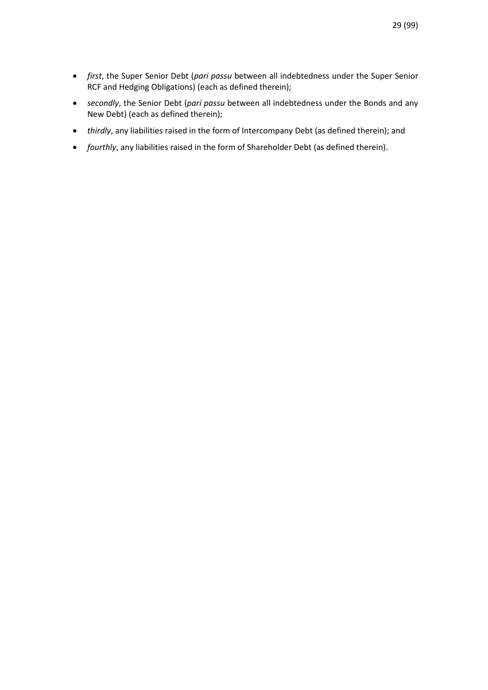- *first*, the Super Senior Debt (*pari passu* between all indebtedness under the Super Senior RCF and Hedging Obligations) (each as defined therein);
- *secondly*, the Senior Debt (*pari passu* between all indebtedness under the Bonds and any New Debt) (each as defined therein);
- *thirdly*, any liabilities raised in the form of Intercompany Debt (as defined therein); and
- *fourthly*, any liabilities raised in the form of Shareholder Debt (as defined therein).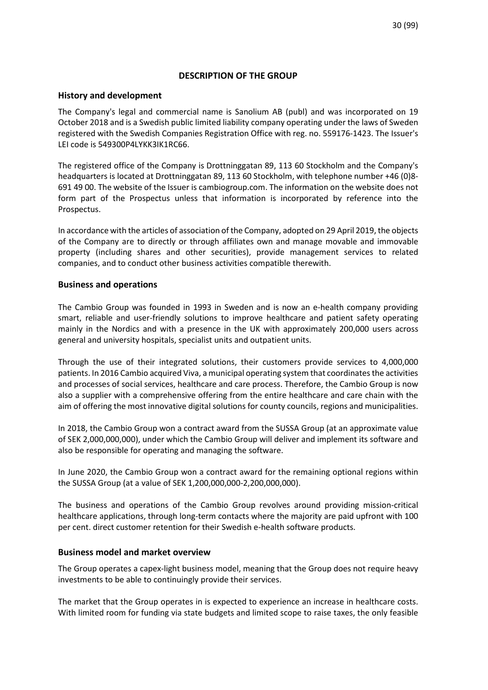# **DESCRIPTION OF THE GROUP**

### **History and development**

The Company's legal and commercial name is Sanolium AB (publ) and was incorporated on 19 October 2018 and is a Swedish public limited liability company operating under the laws of Sweden registered with the Swedish Companies Registration Office with reg. no. 559176-1423. The Issuer's LEI code is 549300P4LYKK3IK1RC66.

The registered office of the Company is Drottninggatan 89, 113 60 Stockholm and the Company's headquarters is located at Drottninggatan 89, 113 60 Stockholm, with telephone number +46 (0)8- 691 49 00. The website of the Issuer is cambiogroup.com. The information on the website does not form part of the Prospectus unless that information is incorporated by reference into the Prospectus.

In accordance with the articles of association of the Company, adopted on 29 April 2019, the objects of the Company are to directly or through affiliates own and manage movable and immovable property (including shares and other securities), provide management services to related companies, and to conduct other business activities compatible therewith.

# **Business and operations**

The Cambio Group was founded in 1993 in Sweden and is now an e-health company providing smart, reliable and user-friendly solutions to improve healthcare and patient safety operating mainly in the Nordics and with a presence in the UK with approximately 200,000 users across general and university hospitals, specialist units and outpatient units.

Through the use of their integrated solutions, their customers provide services to 4,000,000 patients. In 2016 Cambio acquired Viva, a municipal operating system that coordinates the activities and processes of social services, healthcare and care process. Therefore, the Cambio Group is now also a supplier with a comprehensive offering from the entire healthcare and care chain with the aim of offering the most innovative digital solutions for county councils, regions and municipalities.

In 2018, the Cambio Group won a contract award from the SUSSA Group (at an approximate value of SEK 2,000,000,000), under which the Cambio Group will deliver and implement its software and also be responsible for operating and managing the software.

In June 2020, the Cambio Group won a contract award for the remaining optional regions within the SUSSA Group (at a value of SEK 1,200,000,000-2,200,000,000).

The business and operations of the Cambio Group revolves around providing mission-critical healthcare applications, through long-term contacts where the majority are paid upfront with 100 per cent. direct customer retention for their Swedish e-health software products.

#### **Business model and market overview**

The Group operates a capex-light business model, meaning that the Group does not require heavy investments to be able to continuingly provide their services.

The market that the Group operates in is expected to experience an increase in healthcare costs. With limited room for funding via state budgets and limited scope to raise taxes, the only feasible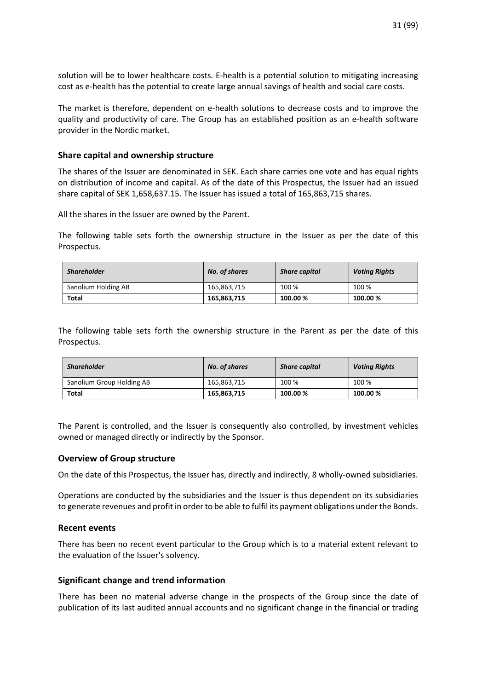solution will be to lower healthcare costs. E-health is a potential solution to mitigating increasing cost as e-health has the potential to create large annual savings of health and social care costs.

The market is therefore, dependent on e-health solutions to decrease costs and to improve the quality and productivity of care. The Group has an established position as an e-health software provider in the Nordic market.

# **Share capital and ownership structure**

The shares of the Issuer are denominated in SEK. Each share carries one vote and has equal rights on distribution of income and capital. As of the date of this Prospectus, the Issuer had an issued share capital of SEK 1,658,637.15. The Issuer has issued a total of 165,863,715 shares.

All the shares in the Issuer are owned by the Parent.

The following table sets forth the ownership structure in the Issuer as per the date of this Prospectus.

| <b>Shareholder</b>  | No. of shares | <b>Share capital</b> | <b>Voting Rights</b> |
|---------------------|---------------|----------------------|----------------------|
| Sanolium Holding AB | 165,863,715   | 100 %                | 100 %                |
| Total               | 165.863.715   | 100.00 %             | 100.00%              |

The following table sets forth the ownership structure in the Parent as per the date of this Prospectus.

| <b>Shareholder</b>        | No. of shares | <b>Share capital</b> | <b>Voting Rights</b> |
|---------------------------|---------------|----------------------|----------------------|
| Sanolium Group Holding AB | 165,863,715   | 100 %                | 100 %                |
| <b>Total</b>              | 165,863,715   | 100.00 %             | 100.00%              |

The Parent is controlled, and the Issuer is consequently also controlled, by investment vehicles owned or managed directly or indirectly by the Sponsor.

#### **Overview of Group structure**

On the date of this Prospectus, the Issuer has, directly and indirectly, 8 wholly-owned subsidiaries.

Operations are conducted by the subsidiaries and the Issuer is thus dependent on its subsidiaries to generate revenues and profit in order to be able to fulfil its payment obligations under the Bonds.

#### **Recent events**

There has been no recent event particular to the Group which is to a material extent relevant to the evaluation of the Issuer's solvency.

# **Significant change and trend information**

There has been no material adverse change in the prospects of the Group since the date of publication of its last audited annual accounts and no significant change in the financial or trading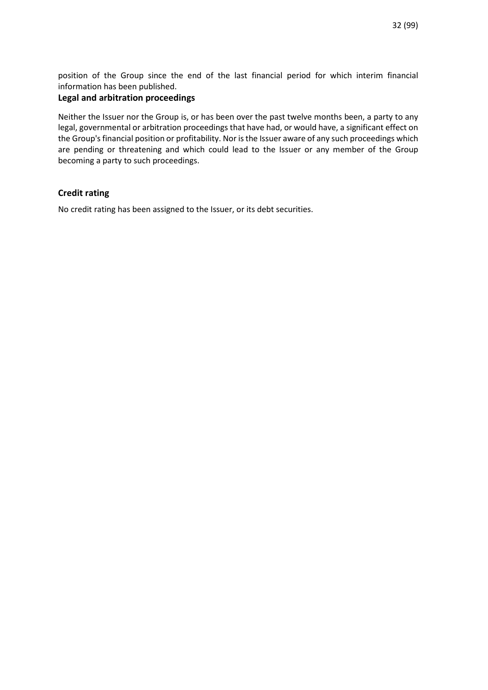position of the Group since the end of the last financial period for which interim financial information has been published.

# **Legal and arbitration proceedings**

Neither the Issuer nor the Group is, or has been over the past twelve months been, a party to any legal, governmental or arbitration proceedings that have had, or would have, a significant effect on the Group's financial position or profitability. Nor is the Issuer aware of any such proceedings which are pending or threatening and which could lead to the Issuer or any member of the Group becoming a party to such proceedings.

# **Credit rating**

No credit rating has been assigned to the Issuer, or its debt securities.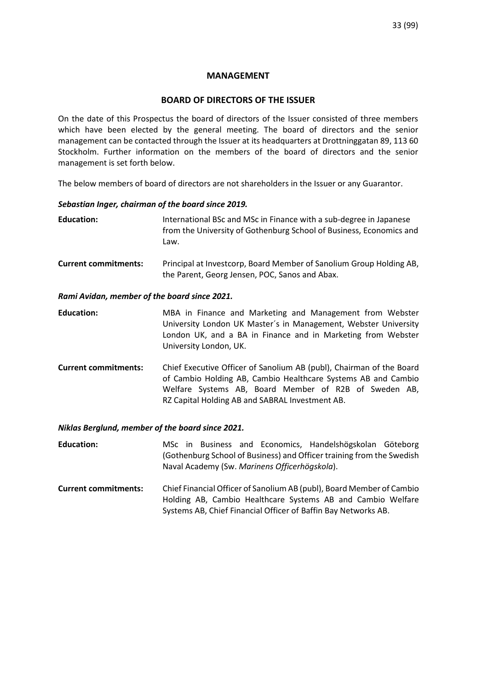# **MANAGEMENT**

# **BOARD OF DIRECTORS OF THE ISSUER**

On the date of this Prospectus the board of directors of the Issuer consisted of three members which have been elected by the general meeting. The board of directors and the senior management can be contacted through the Issuer at its headquarters at Drottninggatan 89, 113 60 Stockholm. Further information on the members of the board of directors and the senior management is set forth below.

The below members of board of directors are not shareholders in the Issuer or any Guarantor.

# *Sebastian Inger, chairman of the board since 2019.*

**Education:** International BSc and MSc in Finance with a sub-degree in Japanese from the University of Gothenburg School of Business, Economics and Law.

**Current commitments:**Principal at Investcorp, Board Member of Sanolium Group Holding AB, the Parent, Georg Jensen, POC, Sanos and Abax.

#### *Rami Avidan, member of the board since 2021.*

**Education:** MBA in Finance and Marketing and Management from Webster University London UK Master´s in Management, Webster University London UK, and a BA in Finance and in Marketing from Webster University London, UK.

**Current commitments:** Chief Executive Officer of Sanolium AB (publ), Chairman of the Board of Cambio Holding AB, Cambio Healthcare Systems AB and Cambio Welfare Systems AB, Board Member of R2B of Sweden AB, RZ Capital Holding AB and SABRAL Investment AB.

# *Niklas Berglund, member of the board since 2021.*

**Education:** MSc in Business and Economics, Handelshögskolan Göteborg (Gothenburg School of Business) and Officer training from the Swedish Naval Academy (Sw. *Marinens Officerhögskola*).

**Current commitments:** Chief Financial Officer of Sanolium AB (publ), Board Member of Cambio Holding AB, Cambio Healthcare Systems AB and Cambio Welfare Systems AB, Chief Financial Officer of Baffin Bay Networks AB.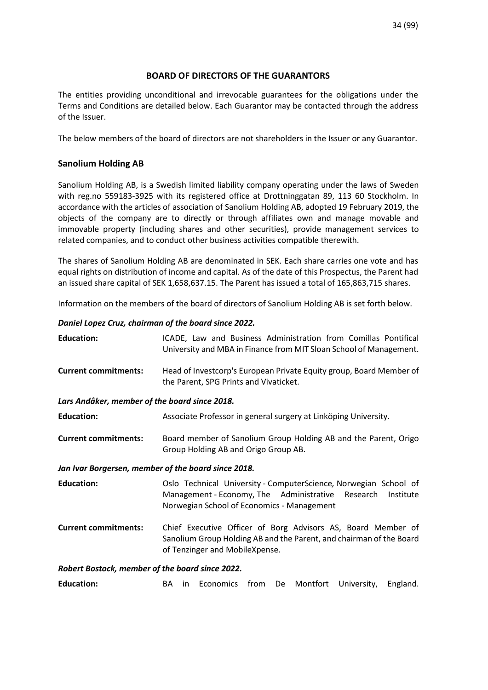# **BOARD OF DIRECTORS OF THE GUARANTORS**

The entities providing unconditional and irrevocable guarantees for the obligations under the Terms and Conditions are detailed below. Each Guarantor may be contacted through the address of the Issuer.

The below members of the board of directors are not shareholders in the Issuer or any Guarantor.

# **Sanolium Holding AB**

Sanolium Holding AB, is a Swedish limited liability company operating under the laws of Sweden with reg.no 559183-3925 with its registered office at Drottninggatan 89, 113 60 Stockholm. In accordance with the articles of association of Sanolium Holding AB, adopted 19 February 2019, the objects of the company are to directly or through affiliates own and manage movable and immovable property (including shares and other securities), provide management services to related companies, and to conduct other business activities compatible therewith.

The shares of Sanolium Holding AB are denominated in SEK. Each share carries one vote and has equal rights on distribution of income and capital. As of the date of this Prospectus, the Parent had an issued share capital of SEK 1,658,637.15. The Parent has issued a total of 165,863,715 shares.

Information on the members of the board of directors of Sanolium Holding AB is set forth below.

#### *Daniel Lopez Cruz, chairman of the board since 2022.*

| <b>Education:</b>                                   | ICADE, Law and Business Administration from Comillas Pontifical<br>University and MBA in Finance from MIT Sloan School of Management.                                            |  |  |
|-----------------------------------------------------|----------------------------------------------------------------------------------------------------------------------------------------------------------------------------------|--|--|
| <b>Current commitments:</b>                         | Head of Investcorp's European Private Equity group, Board Member of<br>the Parent, SPG Prints and Vivaticket.                                                                    |  |  |
| Lars Andåker, member of the board since 2018.       |                                                                                                                                                                                  |  |  |
| <b>Education:</b>                                   | Associate Professor in general surgery at Linköping University.                                                                                                                  |  |  |
| <b>Current commitments:</b>                         | Board member of Sanolium Group Holding AB and the Parent, Origo<br>Group Holding AB and Origo Group AB.                                                                          |  |  |
| Jan Ivar Borgersen, member of the board since 2018. |                                                                                                                                                                                  |  |  |
| <b>Education:</b>                                   | Oslo Technical University - ComputerScience, Norwegian School of<br>Management - Economy, The Administrative Research<br>Institute<br>Norwegian School of Economics - Management |  |  |
| <b>Current commitments:</b>                         | Chief Executive Officer of Borg Advisors AS, Board Member of<br>Sanolium Group Holding AB and the Parent, and chairman of the Board<br>of Tenzinger and MobileXpense.            |  |  |
| Robert Bostock, member of the board since 2022.     |                                                                                                                                                                                  |  |  |

**Education:** BA in Economics from De Montfort University, England.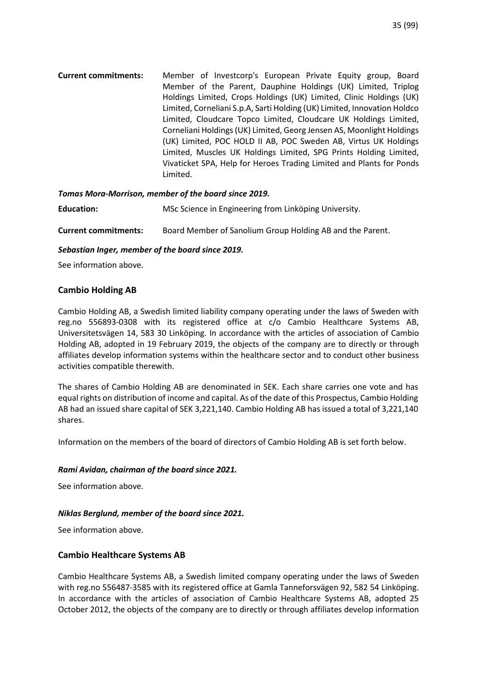**Current commitments:**Member of Investcorp's European Private Equity group, Board Member of the Parent, Dauphine Holdings (UK) Limited, Triplog Holdings Limited, Crops Holdings (UK) Limited, Clinic Holdings (UK) Limited, Corneliani S.p.A, Sarti Holding (UK) Limited, Innovation Holdco Limited, Cloudcare Topco Limited, Cloudcare UK Holdings Limited, Corneliani Holdings (UK) Limited, Georg Jensen AS, Moonlight Holdings (UK) Limited, POC HOLD II AB, POC Sweden AB, Virtus UK Holdings Limited, Muscles UK Holdings Limited, SPG Prints Holding Limited, Vivaticket SPA, Help for Heroes Trading Limited and Plants for Ponds Limited.

# *Tomas Mora-Morrison, member of the board since 2019.*

| <b>Education:</b> | MSc Science in Engineering from Linköping University. |  |
|-------------------|-------------------------------------------------------|--|
|                   |                                                       |  |

**Current commitments:**Board Member of Sanolium Group Holding AB and the Parent.

#### *Sebastian Inger, member of the board since 2019.*

See information above.

# **Cambio Holding AB**

Cambio Holding AB, a Swedish limited liability company operating under the laws of Sweden with reg.no 556893-0308 with its registered office at c/o Cambio Healthcare Systems AB, Universitetsvägen 14, 583 30 Linköping. In accordance with the articles of association of Cambio Holding AB, adopted in 19 February 2019, the objects of the company are to directly or through affiliates develop information systems within the healthcare sector and to conduct other business activities compatible therewith.

The shares of Cambio Holding AB are denominated in SEK. Each share carries one vote and has equal rights on distribution of income and capital. As of the date of this Prospectus, Cambio Holding AB had an issued share capital of SEK 3,221,140. Cambio Holding AB has issued a total of 3,221,140 shares.

Information on the members of the board of directors of Cambio Holding AB is set forth below.

#### *Rami Avidan, chairman of the board since 2021.*

See information above.

#### *Niklas Berglund, member of the board since 2021.*

See information above.

# **Cambio Healthcare Systems AB**

Cambio Healthcare Systems AB, a Swedish limited company operating under the laws of Sweden with reg.no 556487-3585 with its registered office at Gamla Tanneforsvägen 92, 582 54 Linköping. In accordance with the articles of association of Cambio Healthcare Systems AB, adopted 25 October 2012, the objects of the company are to directly or through affiliates develop information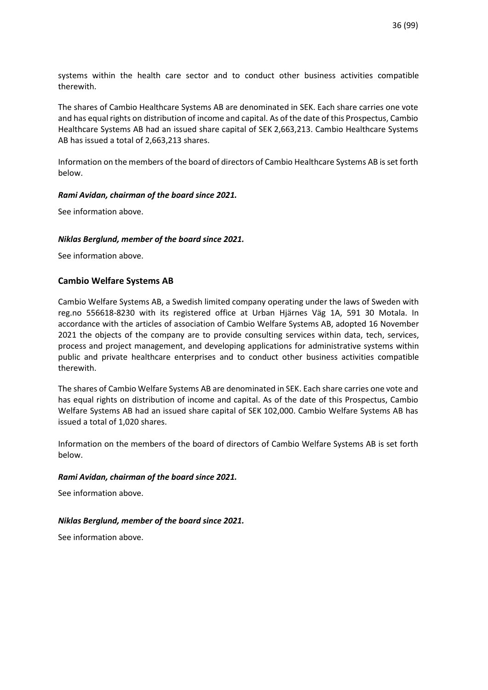systems within the health care sector and to conduct other business activities compatible therewith.

The shares of Cambio Healthcare Systems AB are denominated in SEK. Each share carries one vote and has equal rights on distribution of income and capital. As of the date of this Prospectus, Cambio Healthcare Systems AB had an issued share capital of SEK 2,663,213. Cambio Healthcare Systems AB has issued a total of 2,663,213 shares.

Information on the members of the board of directors of Cambio Healthcare Systems AB is set forth below.

# *Rami Avidan, chairman of the board since 2021.*

See information above.

#### *Niklas Berglund, member of the board since 2021.*

See information above.

# **Cambio Welfare Systems AB**

Cambio Welfare Systems AB, a Swedish limited company operating under the laws of Sweden with reg.no 556618-8230 with its registered office at Urban Hjärnes Väg 1A, 591 30 Motala. In accordance with the articles of association of Cambio Welfare Systems AB, adopted 16 November 2021 the objects of the company are to provide consulting services within data, tech, services, process and project management, and developing applications for administrative systems within public and private healthcare enterprises and to conduct other business activities compatible therewith.

The shares of Cambio Welfare Systems AB are denominated in SEK. Each share carries one vote and has equal rights on distribution of income and capital. As of the date of this Prospectus, Cambio Welfare Systems AB had an issued share capital of SEK 102,000. Cambio Welfare Systems AB has issued a total of 1,020 shares.

Information on the members of the board of directors of Cambio Welfare Systems AB is set forth below.

#### *Rami Avidan, chairman of the board since 2021.*

See information above.

#### *Niklas Berglund, member of the board since 2021.*

See information above.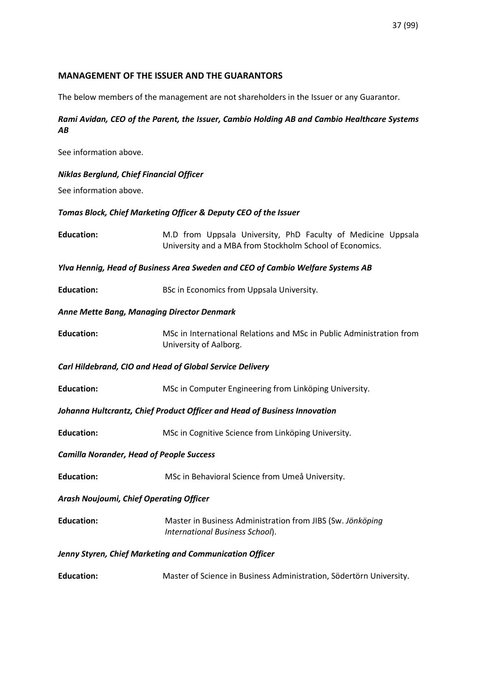# **MANAGEMENT OF THE ISSUER AND THE GUARANTORS**

The below members of the management are not shareholders in the Issuer or any Guarantor.

# *Rami Avidan, CEO of the Parent, the Issuer, Cambio Holding AB and Cambio Healthcare Systems AB*

See information above.

*Niklas Berglund, Chief Financial Officer* 

See information above.

*Tomas Block, Chief Marketing Officer & Deputy CEO of the Issuer* 

| <b>Education:</b>                                                              | M.D from Uppsala University, PhD Faculty of Medicine Uppsala<br>University and a MBA from Stockholm School of Economics. |
|--------------------------------------------------------------------------------|--------------------------------------------------------------------------------------------------------------------------|
| Ylva Hennig, Head of Business Area Sweden and CEO of Cambio Welfare Systems AB |                                                                                                                          |
| <b>Education:</b>                                                              | BSc in Economics from Uppsala University.                                                                                |
| <b>Anne Mette Bang, Managing Director Denmark</b>                              |                                                                                                                          |
| <b>Education:</b>                                                              | MSc in International Relations and MSc in Public Administration from<br>University of Aalborg.                           |
| Carl Hildebrand, CIO and Head of Global Service Delivery                       |                                                                                                                          |
| <b>Education:</b>                                                              | MSc in Computer Engineering from Linköping University.                                                                   |
| Johanna Hultcrantz, Chief Product Officer and Head of Business Innovation      |                                                                                                                          |
| <b>Education:</b>                                                              | MSc in Cognitive Science from Linköping University.                                                                      |
| <b>Camilla Norander, Head of People Success</b>                                |                                                                                                                          |
| <b>Education:</b>                                                              | MSc in Behavioral Science from Umeå University.                                                                          |
| <b>Arash Noujoumi, Chief Operating Officer</b>                                 |                                                                                                                          |
| <b>Education:</b>                                                              | Master in Business Administration from JIBS (Sw. Jönköping<br>International Business School).                            |
| Jenny Styren, Chief Marketing and Communication Officer                        |                                                                                                                          |
| <b>Education:</b>                                                              | Master of Science in Business Administration, Södertörn University.                                                      |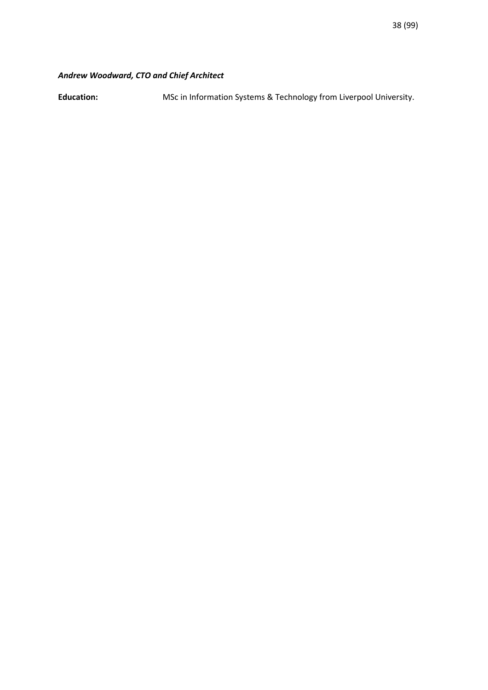# *Andrew Woodward, CTO and Chief Architect*

**Education:** MSc in Information Systems & Technology from Liverpool University.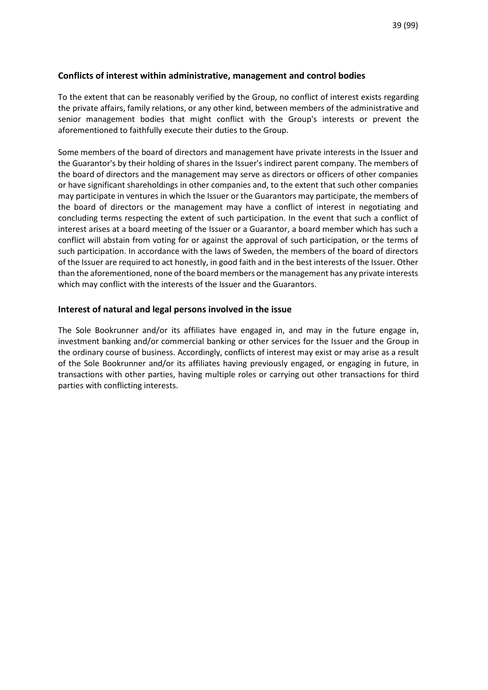## **Conflicts of interest within administrative, management and control bodies**

To the extent that can be reasonably verified by the Group, no conflict of interest exists regarding the private affairs, family relations, or any other kind, between members of the administrative and senior management bodies that might conflict with the Group's interests or prevent the aforementioned to faithfully execute their duties to the Group.

Some members of the board of directors and management have private interests in the Issuer and the Guarantor's by their holding of shares in the Issuer's indirect parent company. The members of the board of directors and the management may serve as directors or officers of other companies or have significant shareholdings in other companies and, to the extent that such other companies may participate in ventures in which the Issuer or the Guarantors may participate, the members of the board of directors or the management may have a conflict of interest in negotiating and concluding terms respecting the extent of such participation. In the event that such a conflict of interest arises at a board meeting of the Issuer or a Guarantor, a board member which has such a conflict will abstain from voting for or against the approval of such participation, or the terms of such participation. In accordance with the laws of Sweden, the members of the board of directors of the Issuer are required to act honestly, in good faith and in the best interests of the Issuer. Other than the aforementioned, none of the board members or the management has any private interests which may conflict with the interests of the Issuer and the Guarantors.

### **Interest of natural and legal persons involved in the issue**

The Sole Bookrunner and/or its affiliates have engaged in, and may in the future engage in, investment banking and/or commercial banking or other services for the Issuer and the Group in the ordinary course of business. Accordingly, conflicts of interest may exist or may arise as a result of the Sole Bookrunner and/or its affiliates having previously engaged, or engaging in future, in transactions with other parties, having multiple roles or carrying out other transactions for third parties with conflicting interests.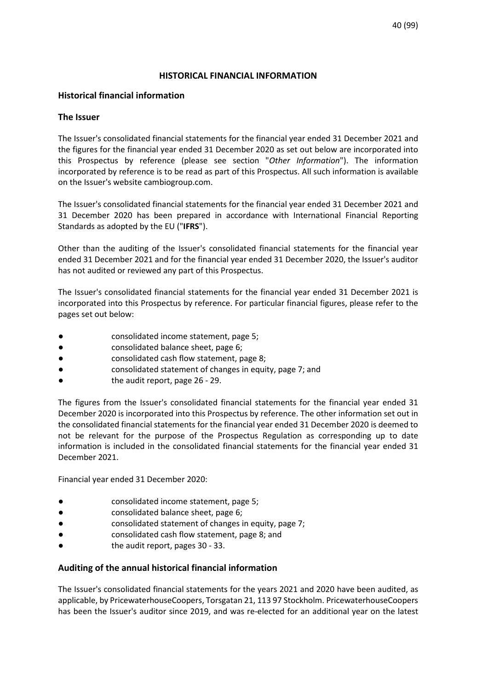## **HISTORICAL FINANCIAL INFORMATION**

# **Historical financial information**

## **The Issuer**

The Issuer's consolidated financial statements for the financial year ended 31 December 2021 and the figures for the financial year ended 31 December 2020 as set out below are incorporated into this Prospectus by reference (please see section "*Other Information*"). The information incorporated by reference is to be read as part of this Prospectus. All such information is available on the Issuer's website cambiogroup.com.

The Issuer's consolidated financial statements for the financial year ended 31 December 2021 and 31 December 2020 has been prepared in accordance with International Financial Reporting Standards as adopted by the EU ("**IFRS**").

Other than the auditing of the Issuer's consolidated financial statements for the financial year ended 31 December 2021 and for the financial year ended 31 December 2020, the Issuer's auditor has not audited or reviewed any part of this Prospectus.

The Issuer's consolidated financial statements for the financial year ended 31 December 2021 is incorporated into this Prospectus by reference. For particular financial figures, please refer to the pages set out below:

- consolidated income statement, page 5;
- consolidated balance sheet, page 6;
- consolidated cash flow statement, page 8;
- consolidated statement of changes in equity, page 7; and
- the audit report, page 26 29.

The figures from the Issuer's consolidated financial statements for the financial year ended 31 December 2020 is incorporated into this Prospectus by reference. The other information set out in the consolidated financial statements for the financial year ended 31 December 2020 is deemed to not be relevant for the purpose of the Prospectus Regulation as corresponding up to date information is included in the consolidated financial statements for the financial year ended 31 December 2021.

Financial year ended 31 December 2020:

- consolidated income statement, page 5;
- consolidated balance sheet, page 6;
- consolidated statement of changes in equity, page 7;
- consolidated cash flow statement, page 8; and
- the audit report, pages 30 33.

### **Auditing of the annual historical financial information**

The Issuer's consolidated financial statements for the years 2021 and 2020 have been audited, as applicable, by PricewaterhouseCoopers, Torsgatan 21, 113 97 Stockholm. PricewaterhouseCoopers has been the Issuer's auditor since 2019, and was re-elected for an additional year on the latest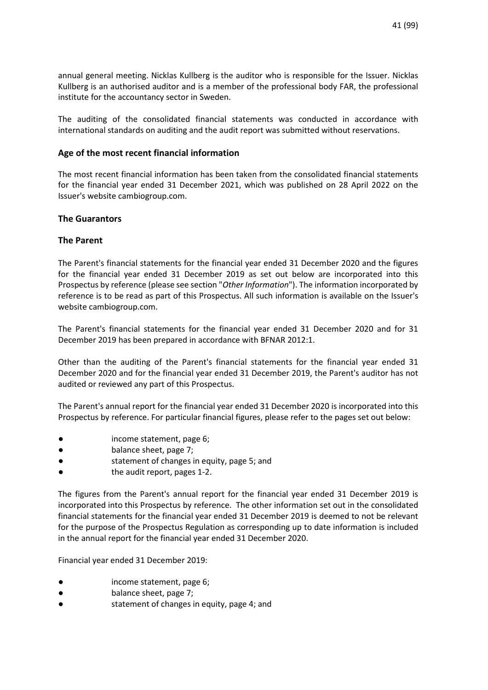annual general meeting. Nicklas Kullberg is the auditor who is responsible for the Issuer. Nicklas Kullberg is an authorised auditor and is a member of the professional body FAR, the professional institute for the accountancy sector in Sweden.

The auditing of the consolidated financial statements was conducted in accordance with international standards on auditing and the audit report was submitted without reservations.

# **Age of the most recent financial information**

The most recent financial information has been taken from the consolidated financial statements for the financial year ended 31 December 2021, which was published on 28 April 2022 on the Issuer's website cambiogroup.com.

# **The Guarantors**

### **The Parent**

The Parent's financial statements for the financial year ended 31 December 2020 and the figures for the financial year ended 31 December 2019 as set out below are incorporated into this Prospectus by reference (please see section "*Other Information*"). The information incorporated by reference is to be read as part of this Prospectus. All such information is available on the Issuer's website cambiogroup.com.

The Parent's financial statements for the financial year ended 31 December 2020 and for 31 December 2019 has been prepared in accordance with BFNAR 2012:1.

Other than the auditing of the Parent's financial statements for the financial year ended 31 December 2020 and for the financial year ended 31 December 2019, the Parent's auditor has not audited or reviewed any part of this Prospectus.

The Parent's annual report for the financial year ended 31 December 2020 is incorporated into this Prospectus by reference. For particular financial figures, please refer to the pages set out below:

- income statement, page 6;
- balance sheet, page 7;
- statement of changes in equity, page 5; and
- the audit report, pages 1-2.

The figures from the Parent's annual report for the financial year ended 31 December 2019 is incorporated into this Prospectus by reference. The other information set out in the consolidated financial statements for the financial year ended 31 December 2019 is deemed to not be relevant for the purpose of the Prospectus Regulation as corresponding up to date information is included in the annual report for the financial year ended 31 December 2020.

Financial year ended 31 December 2019:

- income statement, page 6;
- balance sheet, page 7;
- statement of changes in equity, page 4; and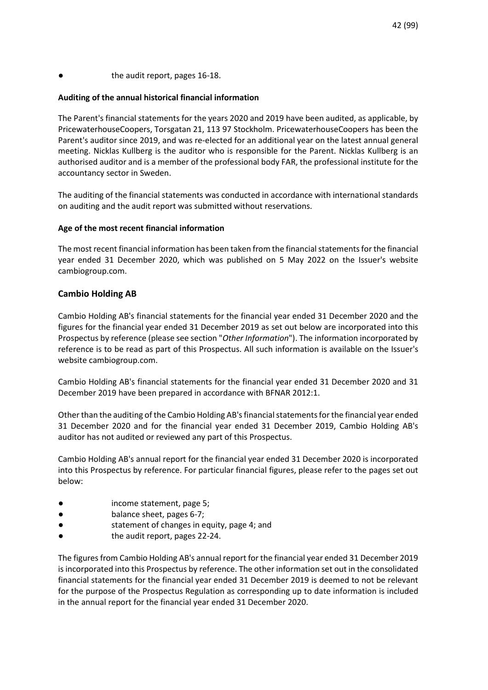## the audit report, pages 16-18.

### **Auditing of the annual historical financial information**

The Parent's financial statements for the years 2020 and 2019 have been audited, as applicable, by PricewaterhouseCoopers, Torsgatan 21, 113 97 Stockholm. PricewaterhouseCoopers has been the Parent's auditor since 2019, and was re-elected for an additional year on the latest annual general meeting. Nicklas Kullberg is the auditor who is responsible for the Parent. Nicklas Kullberg is an authorised auditor and is a member of the professional body FAR, the professional institute for the accountancy sector in Sweden.

The auditing of the financial statements was conducted in accordance with international standards on auditing and the audit report was submitted without reservations.

### **Age of the most recent financial information**

The most recent financial information has been taken from the financial statements for the financial year ended 31 December 2020, which was published on 5 May 2022 on the Issuer's website cambiogroup.com.

### **Cambio Holding AB**

Cambio Holding AB's financial statements for the financial year ended 31 December 2020 and the figures for the financial year ended 31 December 2019 as set out below are incorporated into this Prospectus by reference (please see section "*Other Information*"). The information incorporated by reference is to be read as part of this Prospectus. All such information is available on the Issuer's website cambiogroup.com.

Cambio Holding AB's financial statements for the financial year ended 31 December 2020 and 31 December 2019 have been prepared in accordance with BFNAR 2012:1.

Other than the auditing of the Cambio Holding AB's financial statements for the financial year ended 31 December 2020 and for the financial year ended 31 December 2019, Cambio Holding AB's auditor has not audited or reviewed any part of this Prospectus.

Cambio Holding AB's annual report for the financial year ended 31 December 2020 is incorporated into this Prospectus by reference. For particular financial figures, please refer to the pages set out below:

- income statement, page 5;
- balance sheet, pages 6-7;
- statement of changes in equity, page 4; and
- the audit report, pages 22-24.

The figures from Cambio Holding AB's annual report for the financial year ended 31 December 2019 is incorporated into this Prospectus by reference. The other information set out in the consolidated financial statements for the financial year ended 31 December 2019 is deemed to not be relevant for the purpose of the Prospectus Regulation as corresponding up to date information is included in the annual report for the financial year ended 31 December 2020.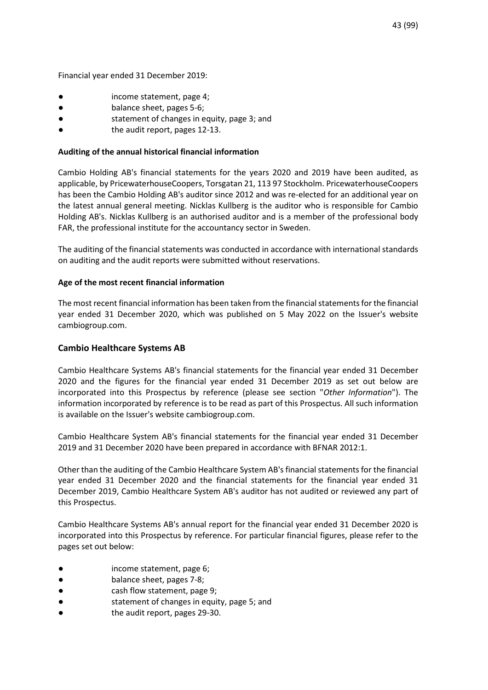Financial year ended 31 December 2019:

- income statement, page 4;
- balance sheet, pages 5-6;
- statement of changes in equity, page 3; and
- the audit report, pages 12-13.

### **Auditing of the annual historical financial information**

Cambio Holding AB's financial statements for the years 2020 and 2019 have been audited, as applicable, by PricewaterhouseCoopers, Torsgatan 21, 113 97 Stockholm. PricewaterhouseCoopers has been the Cambio Holding AB's auditor since 2012 and was re-elected for an additional year on the latest annual general meeting. Nicklas Kullberg is the auditor who is responsible for Cambio Holding AB's. Nicklas Kullberg is an authorised auditor and is a member of the professional body FAR, the professional institute for the accountancy sector in Sweden.

The auditing of the financial statements was conducted in accordance with international standards on auditing and the audit reports were submitted without reservations.

### **Age of the most recent financial information**

The most recent financial information has been taken from the financial statements for the financial year ended 31 December 2020, which was published on 5 May 2022 on the Issuer's website cambiogroup.com.

## **Cambio Healthcare Systems AB**

Cambio Healthcare Systems AB's financial statements for the financial year ended 31 December 2020 and the figures for the financial year ended 31 December 2019 as set out below are incorporated into this Prospectus by reference (please see section "*Other Information*"). The information incorporated by reference is to be read as part of this Prospectus. All such information is available on the Issuer's website cambiogroup.com.

Cambio Healthcare System AB's financial statements for the financial year ended 31 December 2019 and 31 December 2020 have been prepared in accordance with BFNAR 2012:1.

Other than the auditing of the Cambio Healthcare System AB's financial statements for the financial year ended 31 December 2020 and the financial statements for the financial year ended 31 December 2019, Cambio Healthcare System AB's auditor has not audited or reviewed any part of this Prospectus.

Cambio Healthcare Systems AB's annual report for the financial year ended 31 December 2020 is incorporated into this Prospectus by reference. For particular financial figures, please refer to the pages set out below:

- income statement, page 6;
- balance sheet, pages 7-8;
- cash flow statement, page 9;
- statement of changes in equity, page 5; and
- the audit report, pages 29-30.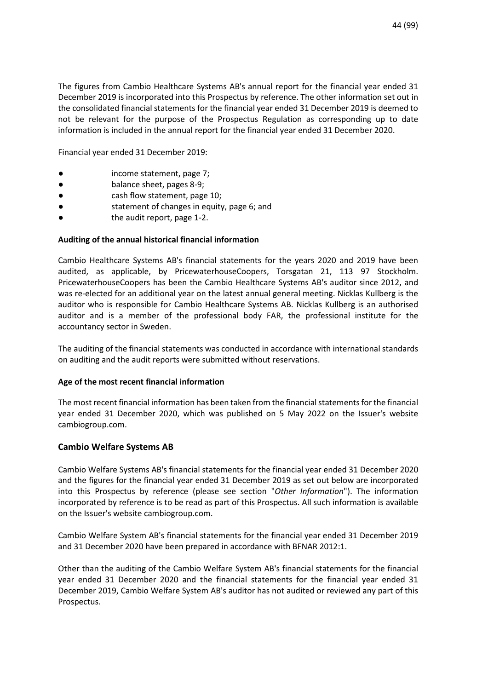The figures from Cambio Healthcare Systems AB's annual report for the financial year ended 31 December 2019 is incorporated into this Prospectus by reference. The other information set out in the consolidated financial statements for the financial year ended 31 December 2019 is deemed to not be relevant for the purpose of the Prospectus Regulation as corresponding up to date information is included in the annual report for the financial year ended 31 December 2020.

Financial year ended 31 December 2019:

- income statement, page 7;
- balance sheet, pages 8-9;
- cash flow statement, page 10;
- statement of changes in equity, page 6; and
- the audit report, page 1-2.

### **Auditing of the annual historical financial information**

Cambio Healthcare Systems AB's financial statements for the years 2020 and 2019 have been audited, as applicable, by PricewaterhouseCoopers, Torsgatan 21, 113 97 Stockholm. PricewaterhouseCoopers has been the Cambio Healthcare Systems AB's auditor since 2012, and was re-elected for an additional year on the latest annual general meeting. Nicklas Kullberg is the auditor who is responsible for Cambio Healthcare Systems AB. Nicklas Kullberg is an authorised auditor and is a member of the professional body FAR, the professional institute for the accountancy sector in Sweden.

The auditing of the financial statements was conducted in accordance with international standards on auditing and the audit reports were submitted without reservations.

#### **Age of the most recent financial information**

The most recent financial information has been taken from the financial statements for the financial year ended 31 December 2020, which was published on 5 May 2022 on the Issuer's website cambiogroup.com.

### **Cambio Welfare Systems AB**

Cambio Welfare Systems AB's financial statements for the financial year ended 31 December 2020 and the figures for the financial year ended 31 December 2019 as set out below are incorporated into this Prospectus by reference (please see section "*Other Information*"). The information incorporated by reference is to be read as part of this Prospectus. All such information is available on the Issuer's website cambiogroup.com.

Cambio Welfare System AB's financial statements for the financial year ended 31 December 2019 and 31 December 2020 have been prepared in accordance with BFNAR 2012:1.

Other than the auditing of the Cambio Welfare System AB's financial statements for the financial year ended 31 December 2020 and the financial statements for the financial year ended 31 December 2019, Cambio Welfare System AB's auditor has not audited or reviewed any part of this Prospectus.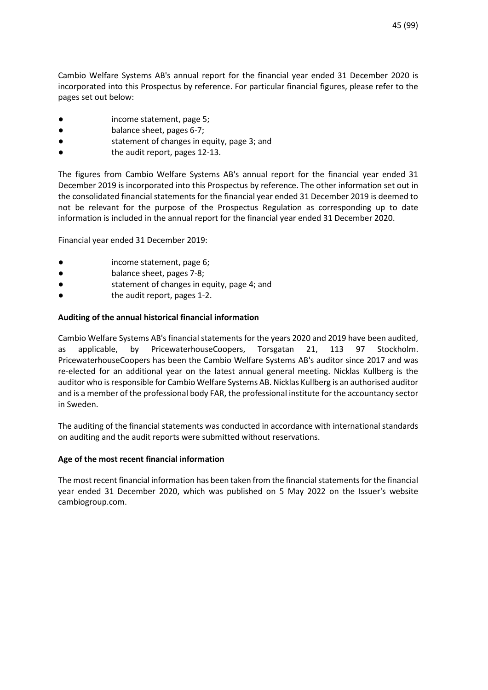Cambio Welfare Systems AB's annual report for the financial year ended 31 December 2020 is incorporated into this Prospectus by reference. For particular financial figures, please refer to the pages set out below:

- income statement, page 5;
- balance sheet, pages 6-7;
- statement of changes in equity, page 3; and
- the audit report, pages 12-13.

The figures from Cambio Welfare Systems AB's annual report for the financial year ended 31 December 2019 is incorporated into this Prospectus by reference. The other information set out in the consolidated financial statements for the financial year ended 31 December 2019 is deemed to not be relevant for the purpose of the Prospectus Regulation as corresponding up to date information is included in the annual report for the financial year ended 31 December 2020.

Financial year ended 31 December 2019:

- income statement, page 6;
- balance sheet, pages 7-8;
- statement of changes in equity, page 4; and
- the audit report, pages 1-2.

# **Auditing of the annual historical financial information**

Cambio Welfare Systems AB's financial statements for the years 2020 and 2019 have been audited, as applicable, by PricewaterhouseCoopers, Torsgatan 21, 113 97 Stockholm. PricewaterhouseCoopers has been the Cambio Welfare Systems AB's auditor since 2017 and was re-elected for an additional year on the latest annual general meeting. Nicklas Kullberg is the auditor who is responsible for Cambio Welfare Systems AB. Nicklas Kullberg is an authorised auditor and is a member of the professional body FAR, the professional institute for the accountancy sector in Sweden.

The auditing of the financial statements was conducted in accordance with international standards on auditing and the audit reports were submitted without reservations.

# **Age of the most recent financial information**

The most recent financial information has been taken from the financial statements for the financial year ended 31 December 2020, which was published on 5 May 2022 on the Issuer's website cambiogroup.com.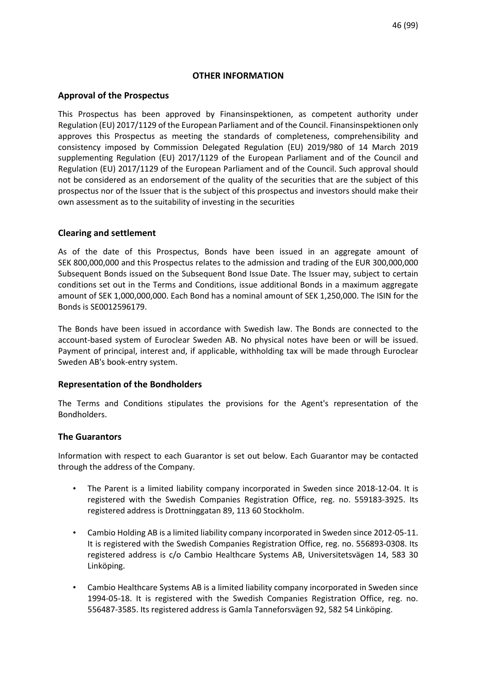### **OTHER INFORMATION**

## **Approval of the Prospectus**

This Prospectus has been approved by Finansinspektionen, as competent authority under Regulation (EU) 2017/1129 of the European Parliament and of the Council. Finansinspektionen only approves this Prospectus as meeting the standards of completeness, comprehensibility and consistency imposed by Commission Delegated Regulation (EU) 2019/980 of 14 March 2019 supplementing Regulation (EU) 2017/1129 of the European Parliament and of the Council and Regulation (EU) 2017/1129 of the European Parliament and of the Council. Such approval should not be considered as an endorsement of the quality of the securities that are the subject of this prospectus nor of the Issuer that is the subject of this prospectus and investors should make their own assessment as to the suitability of investing in the securities

# **Clearing and settlement**

As of the date of this Prospectus, Bonds have been issued in an aggregate amount of SEK 800,000,000 and this Prospectus relates to the admission and trading of the EUR 300,000,000 Subsequent Bonds issued on the Subsequent Bond Issue Date. The Issuer may, subject to certain conditions set out in the Terms and Conditions, issue additional Bonds in a maximum aggregate amount of SEK 1,000,000,000. Each Bond has a nominal amount of SEK 1,250,000. The ISIN for the Bonds is SE0012596179.

The Bonds have been issued in accordance with Swedish law. The Bonds are connected to the account-based system of Euroclear Sweden AB. No physical notes have been or will be issued. Payment of principal, interest and, if applicable, withholding tax will be made through Euroclear Sweden AB's book-entry system.

### **Representation of the Bondholders**

The Terms and Conditions stipulates the provisions for the Agent's representation of the Bondholders.

### **The Guarantors**

Information with respect to each Guarantor is set out below. Each Guarantor may be contacted through the address of the Company.

- The Parent is a limited liability company incorporated in Sweden since 2018-12-04. It is registered with the Swedish Companies Registration Office, reg. no. 559183-3925. Its registered address is Drottninggatan 89, 113 60 Stockholm.
- Cambio Holding AB is a limited liability company incorporated in Sweden since 2012-05-11. It is registered with the Swedish Companies Registration Office, reg. no. 556893-0308. Its registered address is c/o Cambio Healthcare Systems AB, Universitetsvägen 14, 583 30 Linköping.
- Cambio Healthcare Systems AB is a limited liability company incorporated in Sweden since 1994-05-18. It is registered with the Swedish Companies Registration Office, reg. no. 556487-3585. Its registered address is Gamla Tanneforsvägen 92, 582 54 Linköping.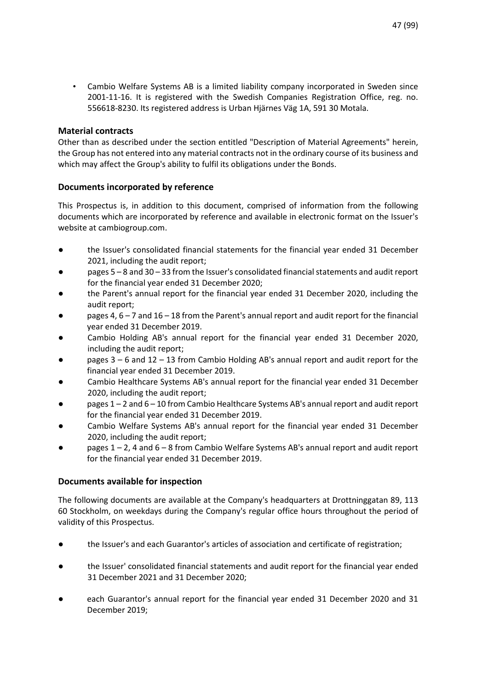• Cambio Welfare Systems AB is a limited liability company incorporated in Sweden since 2001-11-16. It is registered with the Swedish Companies Registration Office, reg. no. 556618-8230. Its registered address is Urban Hjärnes Väg 1A, 591 30 Motala.

# **Material contracts**

Other than as described under the section entitled "Description of Material Agreements" herein, the Group has not entered into any material contracts not in the ordinary course of its business and which may affect the Group's ability to fulfil its obligations under the Bonds.

# **Documents incorporated by reference**

This Prospectus is, in addition to this document, comprised of information from the following documents which are incorporated by reference and available in electronic format on the Issuer's website at cambiogroup.com.

- the Issuer's consolidated financial statements for the financial year ended 31 December 2021, including the audit report;
- pages 5 8 and 30 33 from the Issuer's consolidated financial statements and audit report for the financial year ended 31 December 2020;
- the Parent's annual report for the financial year ended 31 December 2020, including the audit report;
- pages 4,  $6 7$  and  $16 18$  from the Parent's annual report and audit report for the financial year ended 31 December 2019.
- Cambio Holding AB's annual report for the financial year ended 31 December 2020, including the audit report;
- pages  $3 6$  and  $12 13$  from Cambio Holding AB's annual report and audit report for the financial year ended 31 December 2019.
- Cambio Healthcare Systems AB's annual report for the financial year ended 31 December 2020, including the audit report;
- pages 1 2 and 6 10 from Cambio Healthcare Systems AB's annual report and audit report for the financial year ended 31 December 2019.
- Cambio Welfare Systems AB's annual report for the financial year ended 31 December 2020, including the audit report;
- pages  $1 2$ , 4 and  $6 8$  from Cambio Welfare Systems AB's annual report and audit report for the financial year ended 31 December 2019.

# **Documents available for inspection**

The following documents are available at the Company's headquarters at Drottninggatan 89, 113 60 Stockholm, on weekdays during the Company's regular office hours throughout the period of validity of this Prospectus.

- the Issuer's and each Guarantor's articles of association and certificate of registration;
- the Issuer' consolidated financial statements and audit report for the financial year ended 31 December 2021 and 31 December 2020;
- each Guarantor's annual report for the financial year ended 31 December 2020 and 31 December 2019;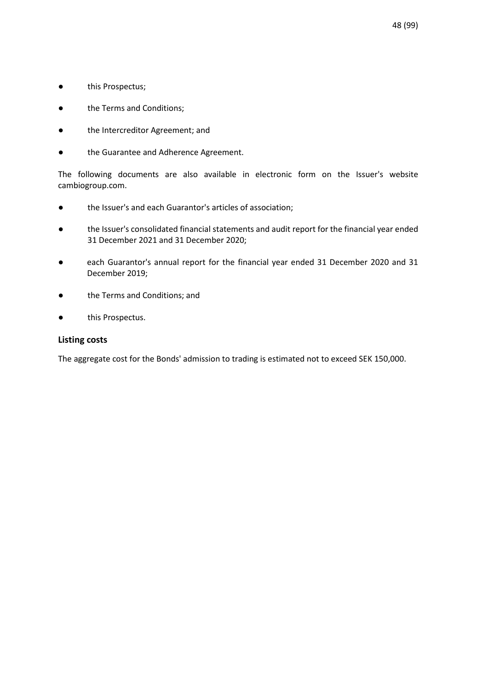- this Prospectus;
- the Terms and Conditions;
- the Intercreditor Agreement; and
- the Guarantee and Adherence Agreement.

The following documents are also available in electronic form on the Issuer's website cambiogroup.com.

- the Issuer's and each Guarantor's articles of association;
- the Issuer's consolidated financial statements and audit report for the financial year ended 31 December 2021 and 31 December 2020;
- each Guarantor's annual report for the financial year ended 31 December 2020 and 31 December 2019;
- the Terms and Conditions; and
- this Prospectus.

### **Listing costs**

The aggregate cost for the Bonds' admission to trading is estimated not to exceed SEK 150,000.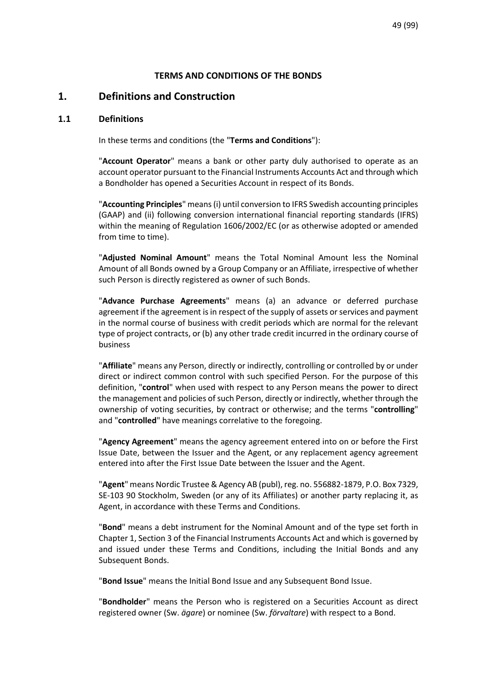## **TERMS AND CONDITIONS OF THE BONDS**

# **1. Definitions and Construction**

#### **1.1 Definitions**

In these terms and conditions (the "**Terms and Conditions**"):

"**Account Operator**" means a bank or other party duly authorised to operate as an account operator pursuant to the Financial Instruments Accounts Act and through which a Bondholder has opened a Securities Account in respect of its Bonds.

"**Accounting Principles**" means (i) until conversion to IFRS Swedish accounting principles (GAAP) and (ii) following conversion international financial reporting standards (IFRS) within the meaning of Regulation 1606/2002/EC (or as otherwise adopted or amended from time to time).

"**Adjusted Nominal Amount**" means the Total Nominal Amount less the Nominal Amount of all Bonds owned by a Group Company or an Affiliate, irrespective of whether such Person is directly registered as owner of such Bonds.

"**Advance Purchase Agreements**" means (a) an advance or deferred purchase agreement if the agreement is in respect of the supply of assets or services and payment in the normal course of business with credit periods which are normal for the relevant type of project contracts, or (b) any other trade credit incurred in the ordinary course of business

"**Affiliate**" means any Person, directly or indirectly, controlling or controlled by or under direct or indirect common control with such specified Person. For the purpose of this definition, "**control**" when used with respect to any Person means the power to direct the management and policies of such Person, directly or indirectly, whether through the ownership of voting securities, by contract or otherwise; and the terms "**controlling**" and "**controlled**" have meanings correlative to the foregoing.

"**Agency Agreement**" means the agency agreement entered into on or before the First Issue Date, between the Issuer and the Agent, or any replacement agency agreement entered into after the First Issue Date between the Issuer and the Agent.

"**Agent**" means Nordic Trustee & Agency AB (publ), reg. no. 556882-1879, P.O. Box 7329, SE-103 90 Stockholm, Sweden (or any of its Affiliates) or another party replacing it, as Agent, in accordance with these Terms and Conditions.

"**Bond**" means a debt instrument for the Nominal Amount and of the type set forth in Chapter 1, Section 3 of the Financial Instruments Accounts Act and which is governed by and issued under these Terms and Conditions, including the Initial Bonds and any Subsequent Bonds.

"**Bond Issue**" means the Initial Bond Issue and any Subsequent Bond Issue.

"**Bondholder**" means the Person who is registered on a Securities Account as direct registered owner (Sw. *ägare*) or nominee (Sw. *förvaltare*) with respect to a Bond.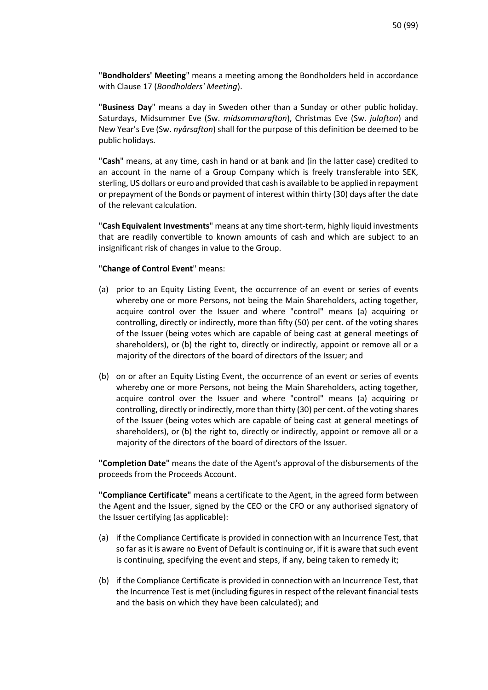"**Bondholders' Meeting**" means a meeting among the Bondholders held in accordance with Claus[e 17](#page-87-0) (*[Bondholders' Meeting](#page-87-0)*).

"**Business Day**" means a day in Sweden other than a Sunday or other public holiday. Saturdays, Midsummer Eve (Sw. *midsommarafton*), Christmas Eve (Sw. *julafton*) and New Year's Eve (Sw. *nyårsafton*) shall for the purpose of this definition be deemed to be public holidays.

"**Cash**" means, at any time, cash in hand or at bank and (in the latter case) credited to an account in the name of a Group Company which is freely transferable into SEK, sterling, US dollars or euro and provided that cash is available to be applied in repayment or prepayment of the Bonds or payment of interest within thirty (30) days after the date of the relevant calculation.

"**Cash Equivalent Investments**" means at any time short-term, highly liquid investments that are readily convertible to known amounts of cash and which are subject to an insignificant risk of changes in value to the Group.

#### "**Change of Control Event**" means:

- (a) prior to an Equity Listing Event, the occurrence of an event or series of events whereby one or more Persons, not being the Main Shareholders, acting together, acquire control over the Issuer and where "control" means (a) acquiring or controlling, directly or indirectly, more than fifty (50) per cent. of the voting shares of the Issuer (being votes which are capable of being cast at general meetings of shareholders), or (b) the right to, directly or indirectly, appoint or remove all or a majority of the directors of the board of directors of the Issuer; and
- (b) on or after an Equity Listing Event, the occurrence of an event or series of events whereby one or more Persons, not being the Main Shareholders, acting together, acquire control over the Issuer and where "control" means (a) acquiring or controlling, directly or indirectly, more than thirty (30) per cent. of the voting shares of the Issuer (being votes which are capable of being cast at general meetings of shareholders), or (b) the right to, directly or indirectly, appoint or remove all or a majority of the directors of the board of directors of the Issuer.

**"Completion Date"** means the date of the Agent's approval of the disbursements of the proceeds from the Proceeds Account.

**"Compliance Certificate"** means a certificate to the Agent, in the agreed form between the Agent and the Issuer, signed by the CEO or the CFO or any authorised signatory of the Issuer certifying (as applicable):

- (a) if the Compliance Certificate is provided in connection with an Incurrence Test, that so far as it is aware no Event of Default is continuing or, if it is aware that such event is continuing, specifying the event and steps, if any, being taken to remedy it;
- (b) if the Compliance Certificate is provided in connection with an Incurrence Test, that the Incurrence Test is met (including figures in respect of the relevant financial tests and the basis on which they have been calculated); and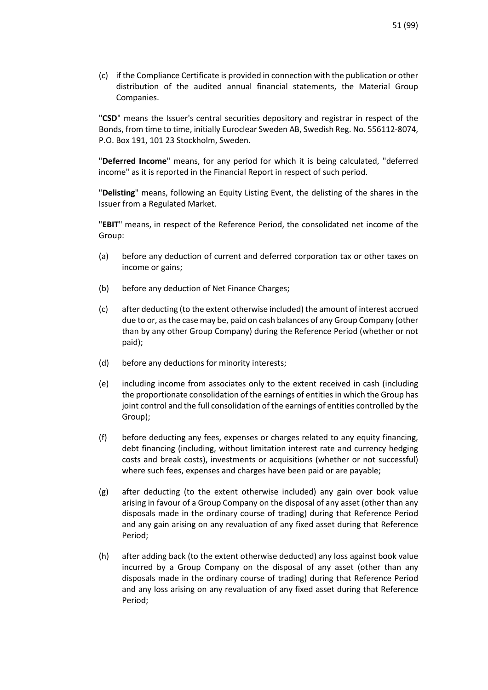(c) if the Compliance Certificate is provided in connection with the publication or other distribution of the audited annual financial statements, the Material Group Companies.

"**CSD**" means the Issuer's central securities depository and registrar in respect of the Bonds, from time to time, initially Euroclear Sweden AB, Swedish Reg. No. 556112-8074, P.O. Box 191, 101 23 Stockholm, Sweden.

"**Deferred Income**" means, for any period for which it is being calculated, "deferred income" as it is reported in the Financial Report in respect of such period.

"**Delisting**" means, following an Equity Listing Event, the delisting of the shares in the Issuer from a Regulated Market.

"**EBIT**" means, in respect of the Reference Period, the consolidated net income of the Group:

- (a) before any deduction of current and deferred corporation tax or other taxes on income or gains;
- (b) before any deduction of Net Finance Charges;
- (c) after deducting (to the extent otherwise included) the amount of interest accrued due to or, as the case may be, paid on cash balances of any Group Company (other than by any other Group Company) during the Reference Period (whether or not paid);
- (d) before any deductions for minority interests;
- (e) including income from associates only to the extent received in cash (including the proportionate consolidation of the earnings of entities in which the Group has joint control and the full consolidation of the earnings of entities controlled by the Group);
- (f) before deducting any fees, expenses or charges related to any equity financing, debt financing (including, without limitation interest rate and currency hedging costs and break costs), investments or acquisitions (whether or not successful) where such fees, expenses and charges have been paid or are payable;
- (g) after deducting (to the extent otherwise included) any gain over book value arising in favour of a Group Company on the disposal of any asset (other than any disposals made in the ordinary course of trading) during that Reference Period and any gain arising on any revaluation of any fixed asset during that Reference Period;
- (h) after adding back (to the extent otherwise deducted) any loss against book value incurred by a Group Company on the disposal of any asset (other than any disposals made in the ordinary course of trading) during that Reference Period and any loss arising on any revaluation of any fixed asset during that Reference Period;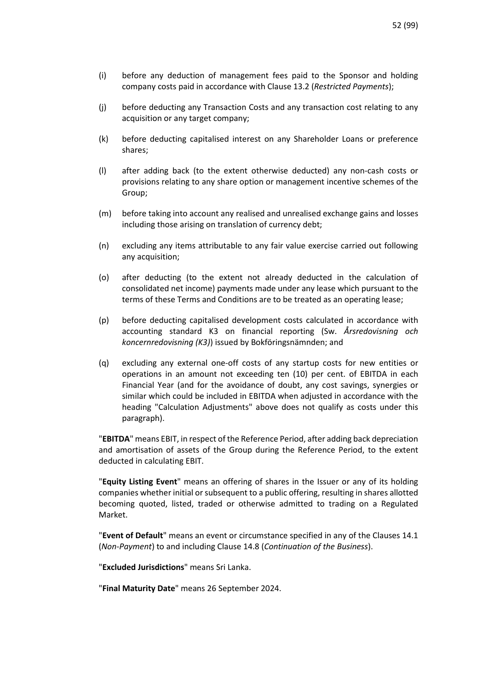- (i) before any deduction of management fees paid to the Sponsor and holding company costs paid in accordance with Clause [13.2](#page-76-0) (*[Restricted Payments](#page-76-0)*);
- (j) before deducting any Transaction Costs and any transaction cost relating to any acquisition or any target company;
- (k) before deducting capitalised interest on any Shareholder Loans or preference shares;
- (l) after adding back (to the extent otherwise deducted) any non-cash costs or provisions relating to any share option or management incentive schemes of the Group;
- (m) before taking into account any realised and unrealised exchange gains and losses including those arising on translation of currency debt;
- (n) excluding any items attributable to any fair value exercise carried out following any acquisition;
- (o) after deducting (to the extent not already deducted in the calculation of consolidated net income) payments made under any lease which pursuant to the terms of these Terms and Conditions are to be treated as an operating lease;
- (p) before deducting capitalised development costs calculated in accordance with accounting standard K3 on financial reporting (Sw. *Årsredovisning och koncernredovisning (K3)*) issued by Bokföringsnämnden; and
- (q) excluding any external one-off costs of any startup costs for new entities or operations in an amount not exceeding ten (10) per cent. of EBITDA in each Financial Year (and for the avoidance of doubt, any cost savings, synergies or similar which could be included in EBITDA when adjusted in accordance with the heading "Calculation Adjustments" above does not qualify as costs under this paragraph).

"**EBITDA**" means EBIT, in respect of the Reference Period, after adding back depreciation and amortisation of assets of the Group during the Reference Period, to the extent deducted in calculating EBIT.

"**Equity Listing Event**" means an offering of shares in the Issuer or any of its holding companies whether initial or subsequent to a public offering, resulting in shares allotted becoming quoted, listed, traded or otherwise admitted to trading on a Regulated Market.

"**Event of Default**" means an event or circumstance specified in any of the Clauses [14.1](#page-81-0) (*[Non-Payment](#page-81-0)*) to and including Clause [14.8](#page-82-0) (*[Continuation of the Business](#page-82-0)*).

"**Excluded Jurisdictions**" means Sri Lanka.

"**Final Maturity Date**" means 26 September 2024.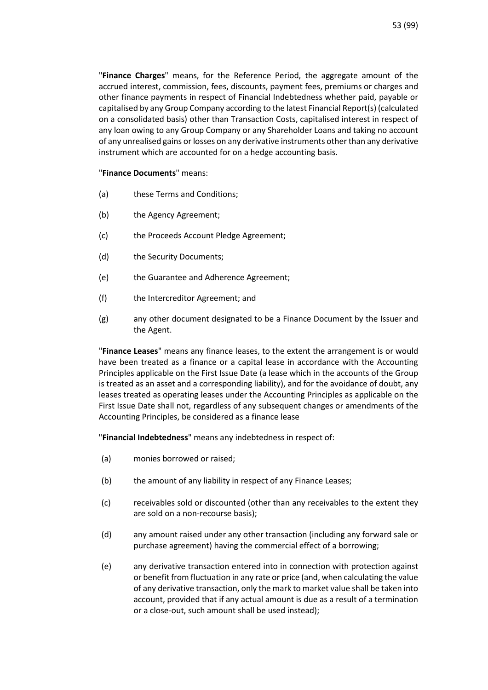"**Finance Charges**" means, for the Reference Period, the aggregate amount of the accrued interest, commission, fees, discounts, payment fees, premiums or charges and other finance payments in respect of Financial Indebtedness whether paid, payable or capitalised by any Group Company according to the latest Financial Report(s) (calculated on a consolidated basis) other than Transaction Costs, capitalised interest in respect of any loan owing to any Group Company or any Shareholder Loans and taking no account of any unrealised gains or losses on any derivative instruments other than any derivative instrument which are accounted for on a hedge accounting basis.

#### "**Finance Documents**" means:

- (a) these Terms and Conditions;
- (b) the Agency Agreement;
- (c) the Proceeds Account Pledge Agreement;
- (d) the Security Documents;
- (e) the Guarantee and Adherence Agreement;
- (f) the Intercreditor Agreement; and
- (g) any other document designated to be a Finance Document by the Issuer and the Agent.

"**Finance Leases**" means any finance leases, to the extent the arrangement is or would have been treated as a finance or a capital lease in accordance with the Accounting Principles applicable on the First Issue Date (a lease which in the accounts of the Group is treated as an asset and a corresponding liability), and for the avoidance of doubt, any leases treated as operating leases under the Accounting Principles as applicable on the First Issue Date shall not, regardless of any subsequent changes or amendments of the Accounting Principles, be considered as a finance lease

"**Financial Indebtedness**" means any indebtedness in respect of:

- (a) monies borrowed or raised;
- (b) the amount of any liability in respect of any Finance Leases;
- (c) receivables sold or discounted (other than any receivables to the extent they are sold on a non-recourse basis);
- (d) any amount raised under any other transaction (including any forward sale or purchase agreement) having the commercial effect of a borrowing;
- (e) any derivative transaction entered into in connection with protection against or benefit from fluctuation in any rate or price (and, when calculating the value of any derivative transaction, only the mark to market value shall be taken into account, provided that if any actual amount is due as a result of a termination or a close-out, such amount shall be used instead);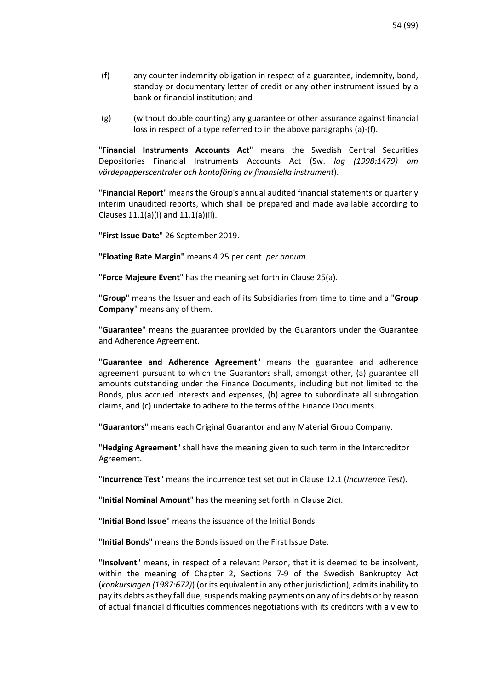- <span id="page-53-0"></span>(f) any counter indemnity obligation in respect of a guarantee, indemnity, bond, standby or documentary letter of credit or any other instrument issued by a bank or financial institution; and
- (g) (without double counting) any guarantee or other assurance against financial loss in respect of a type referred to in the above paragraphs (a)[-\(f\).](#page-53-0)

"**Financial Instruments Accounts Act**" means the Swedish Central Securities Depositories Financial Instruments Accounts Act (Sw. *lag (1998:1479) om värdepapperscentraler och kontoföring av finansiella instrument*).

"**Financial Report**" means the Group's annual audited financial statements or quarterly interim unaudited reports, which shall be prepared and made available according to Clauses 11.1(a)(i) and 11.1(a)(ii).

"**First Issue Date**" 26 September 2019.

**"Floating Rate Margin"** means 4.25 per cent. *per annum*.

"**Force Majeure Event**" has the meaning set forth in Clause 25(a).

"**Group**" means the Issuer and each of its Subsidiaries from time to time and a "**Group Company**" means any of them.

"**Guarantee**" means the guarantee provided by the Guarantors under the Guarantee and Adherence Agreement.

"**Guarantee and Adherence Agreement**" means the guarantee and adherence agreement pursuant to which the Guarantors shall, amongst other, (a) guarantee all amounts outstanding under the Finance Documents, including but not limited to the Bonds, plus accrued interests and expenses, (b) agree to subordinate all subrogation claims, and (c) undertake to adhere to the terms of the Finance Documents.

"**Guarantors**" means each Original Guarantor and any Material Group Company.

"**Hedging Agreement**" shall have the meaning given to such term in the Intercreditor Agreement.

"**Incurrence Test**" means the incurrence test set out in Clause [12.1 \(](#page-74-0)*[Incurrence Test](#page-74-0)*).

"**Initial Nominal Amount**" has the meaning set forth in Clause 2(c).

"**Initial Bond Issue**" means the issuance of the Initial Bonds.

"**Initial Bonds**" means the Bonds issued on the First Issue Date.

"**Insolvent**" means, in respect of a relevant Person, that it is deemed to be insolvent, within the meaning of Chapter 2, Sections 7-9 of the Swedish Bankruptcy Act (*konkurslagen (1987:672)*) (or its equivalent in any other jurisdiction), admits inability to pay its debts as they fall due, suspends making payments on any of its debts or by reason of actual financial difficulties commences negotiations with its creditors with a view to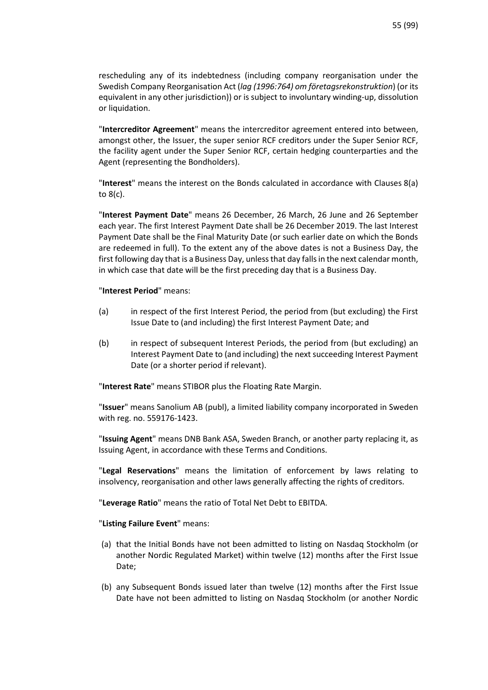rescheduling any of its indebtedness (including company reorganisation under the Swedish Company Reorganisation Act (*lag (1996:764) om företagsrekonstruktion*) (or its equivalent in any other jurisdiction)) or is subject to involuntary winding-up, dissolution or liquidation.

"**Intercreditor Agreement**" means the intercreditor agreement entered into between, amongst other, the Issuer, the super senior RCF creditors under the Super Senior RCF, the facility agent under the Super Senior RCF, certain hedging counterparties and the Agent (representing the Bondholders).

"**Interest**" means the interest on the Bonds calculated in accordance with Clauses 8(a) to 8(c).

"**Interest Payment Date**" means 26 December, 26 March, 26 June and 26 September each year. The first Interest Payment Date shall be 26 December 2019. The last Interest Payment Date shall be the Final Maturity Date (or such earlier date on which the Bonds are redeemed in full). To the extent any of the above dates is not a Business Day, the first following day that is a Business Day, unless that day falls in the next calendar month, in which case that date will be the first preceding day that is a Business Day.

#### "**Interest Period**" means:

- (a) in respect of the first Interest Period, the period from (but excluding) the First Issue Date to (and including) the first Interest Payment Date; and
- (b) in respect of subsequent Interest Periods, the period from (but excluding) an Interest Payment Date to (and including) the next succeeding Interest Payment Date (or a shorter period if relevant).

"**Interest Rate**" means STIBOR plus the Floating Rate Margin.

"**Issuer**" means Sanolium AB (publ), a limited liability company incorporated in Sweden with reg. no. 559176-1423.

"**Issuing Agent**" means DNB Bank ASA, Sweden Branch, or another party replacing it, as Issuing Agent, in accordance with these Terms and Conditions.

"**Legal Reservations**" means the limitation of enforcement by laws relating to insolvency, reorganisation and other laws generally affecting the rights of creditors.

"**Leverage Ratio**" means the ratio of Total Net Debt to EBITDA.

### "**Listing Failure Event**" means:

- (a) that the Initial Bonds have not been admitted to listing on Nasdaq Stockholm (or another Nordic Regulated Market) within twelve (12) months after the First Issue Date;
- (b) any Subsequent Bonds issued later than twelve (12) months after the First Issue Date have not been admitted to listing on Nasdaq Stockholm (or another Nordic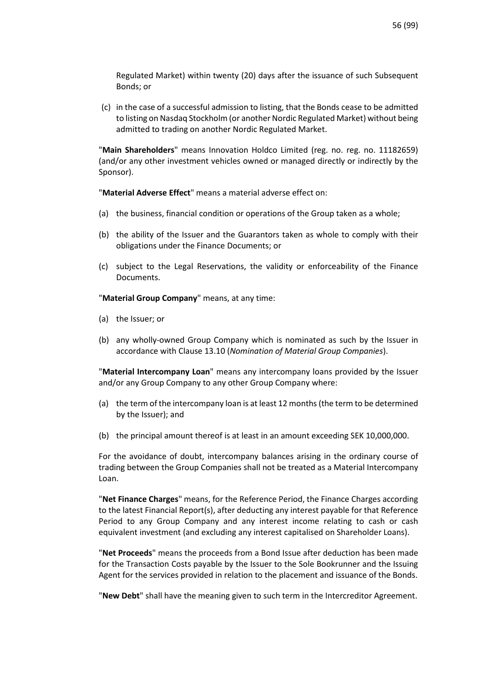Regulated Market) within twenty (20) days after the issuance of such Subsequent Bonds; or

(c) in the case of a successful admission to listing, that the Bonds cease to be admitted to listing on Nasdaq Stockholm (or another Nordic Regulated Market) without being admitted to trading on another Nordic Regulated Market.

"**Main Shareholders**" means Innovation Holdco Limited (reg. no. reg. no. 11182659) (and/or any other investment vehicles owned or managed directly or indirectly by the Sponsor).

"**Material Adverse Effect**" means a material adverse effect on:

- (a) the business, financial condition or operations of the Group taken as a whole;
- (b) the ability of the Issuer and the Guarantors taken as whole to comply with their obligations under the Finance Documents; or
- (c) subject to the Legal Reservations, the validity or enforceability of the Finance Documents.

"**Material Group Company**" means, at any time:

- (a) the Issuer; or
- (b) any wholly-owned Group Company which is nominated as such by the Issuer in accordance with Claus[e 13.10](#page-78-0) (*[Nomination of Material Group Companies](#page-78-0)*).

"**Material Intercompany Loan**" means any intercompany loans provided by the Issuer and/or any Group Company to any other Group Company where:

- (a) the term of the intercompany loan is at least 12 months (the term to be determined by the Issuer); and
- (b) the principal amount thereof is at least in an amount exceeding SEK 10,000,000.

For the avoidance of doubt, intercompany balances arising in the ordinary course of trading between the Group Companies shall not be treated as a Material Intercompany Loan.

"**Net Finance Charges**" means, for the Reference Period, the Finance Charges according to the latest Financial Report(s), after deducting any interest payable for that Reference Period to any Group Company and any interest income relating to cash or cash equivalent investment (and excluding any interest capitalised on Shareholder Loans).

"**Net Proceeds**" means the proceeds from a Bond Issue after deduction has been made for the Transaction Costs payable by the Issuer to the Sole Bookrunner and the Issuing Agent for the services provided in relation to the placement and issuance of the Bonds.

"**New Debt**" shall have the meaning given to such term in the Intercreditor Agreement.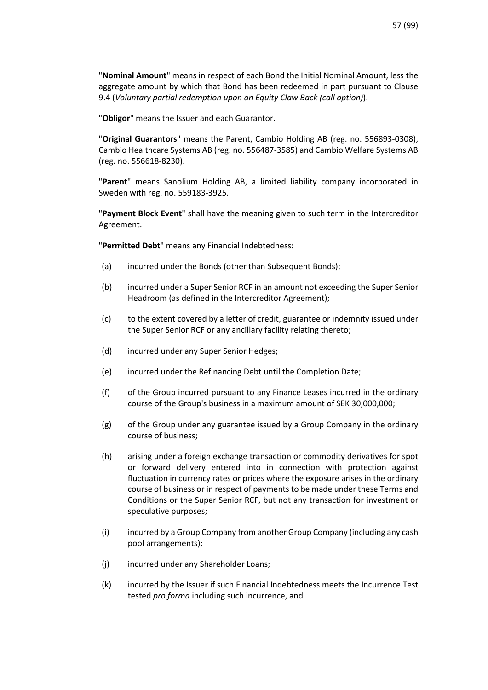"**Nominal Amount**" means in respect of each Bond the Initial Nominal Amount, less the aggregate amount by which that Bond has been redeemed in part pursuant to Clause [9.4](#page-70-0) (*[Voluntary partial redemption upon an Equity Claw Back \(call option\)](#page-70-0)*).

"**Obligor**" means the Issuer and each Guarantor.

"**Original Guarantors**" means the Parent, Cambio Holding AB (reg. no. 556893-0308), Cambio Healthcare Systems AB (reg. no. 556487-3585) and Cambio Welfare Systems AB (reg. no. 556618-8230).

"**Parent**" means Sanolium Holding AB, a limited liability company incorporated in Sweden with reg. no. 559183-3925.

"**Payment Block Event**" shall have the meaning given to such term in the Intercreditor Agreement.

"**Permitted Debt**" means any Financial Indebtedness:

- <span id="page-56-0"></span>(a) incurred under the Bonds (other than Subsequent Bonds);
- <span id="page-56-2"></span>(b) incurred under a Super Senior RCF in an amount not exceeding the Super Senior Headroom (as defined in the Intercreditor Agreement);
- <span id="page-56-3"></span>(c) to the extent covered by a letter of credit, guarantee or indemnity issued under the Super Senior RCF or any ancillary facility relating thereto;
- <span id="page-56-4"></span>(d) incurred under any Super Senior Hedges;
- (e) incurred under the Refinancing Debt until the Completion Date;
- <span id="page-56-1"></span>(f) of the Group incurred pursuant to any Finance Leases incurred in the ordinary course of the Group's business in a maximum amount of SEK 30,000,000;
- (g) of the Group under any guarantee issued by a Group Company in the ordinary course of business;
- <span id="page-56-5"></span>(h) arising under a foreign exchange transaction or commodity derivatives for spot or forward delivery entered into in connection with protection against fluctuation in currency rates or prices where the exposure arises in the ordinary course of business or in respect of payments to be made under these Terms and Conditions or the Super Senior RCF, but not any transaction for investment or speculative purposes;
- (i) incurred by a Group Company from another Group Company (including any cash pool arrangements);
- (j) incurred under any Shareholder Loans;
- (k) incurred by the Issuer if such Financial Indebtedness meets the Incurrence Test tested *pro forma* including such incurrence, and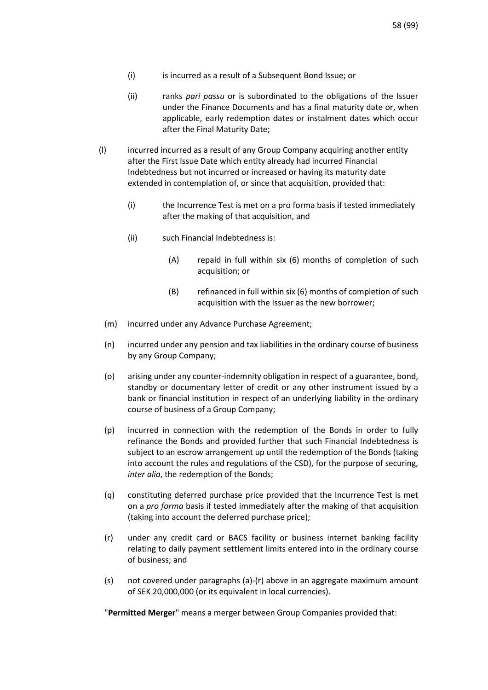- (i) is incurred as a result of a Subsequent Bond Issue; or
- <span id="page-57-1"></span>(ii) ranks *pari passu* or is subordinated to the obligations of the Issuer under the Finance Documents and has a final maturity date or, when applicable, early redemption dates or instalment dates which occur after the Final Maturity Date;
- (l) incurred incurred as a result of any Group Company acquiring another entity after the First Issue Date which entity already had incurred Financial Indebtedness but not incurred or increased or having its maturity date extended in contemplation of, or since that acquisition, provided that:
	- (i) the Incurrence Test is met on a pro forma basis if tested immediately after the making of that acquisition, and
	- (ii) such Financial Indebtedness is:
		- (A) repaid in full within six (6) months of completion of such acquisition; or
		- (B) refinanced in full within six (6) months of completion of such acquisition with the Issuer as the new borrower;
	- (m) incurred under any Advance Purchase Agreement;
	- (n) incurred under any pension and tax liabilities in the ordinary course of business by any Group Company;
	- (o) arising under any counter-indemnity obligation in respect of a guarantee, bond, standby or documentary letter of credit or any other instrument issued by a bank or financial institution in respect of an underlying liability in the ordinary course of business of a Group Company;
	- (p) incurred in connection with the redemption of the Bonds in order to fully refinance the Bonds and provided further that such Financial Indebtedness is subject to an escrow arrangement up until the redemption of the Bonds (taking into account the rules and regulations of the CSD), for the purpose of securing, *inter alia*, the redemption of the Bonds;
	- (q) constituting deferred purchase price provided that the Incurrence Test is met on a *pro forma* basis if tested immediately after the making of that acquisition (taking into account the deferred purchase price);
	- (r) under any credit card or BACS facility or business internet banking facility relating to daily payment settlement limits entered into in the ordinary course of business; and
	- (s) not covered under paragraphs [\(a\)](#page-56-0)[-\(r\)](#page-57-0) above in an aggregate maximum amount of SEK 20,000,000 (or its equivalent in local currencies).

<span id="page-57-0"></span>"**Permitted Merger**" means a merger between Group Companies provided that: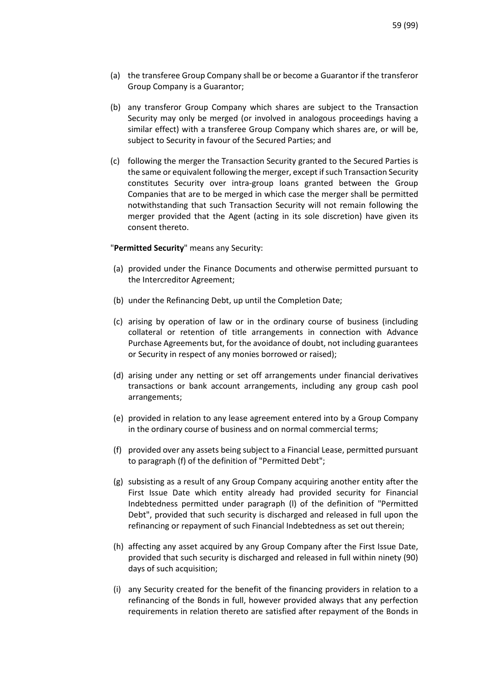- <span id="page-58-0"></span>(a) the transferee Group Company shall be or become a Guarantor if the transferor Group Company is a Guarantor;
- (b) any transferor Group Company which shares are subject to the Transaction Security may only be merged (or involved in analogous proceedings having a similar effect) with a transferee Group Company which shares are, or will be, subject to Security in favour of the Secured Parties; and
- (c) following the merger the Transaction Security granted to the Secured Parties is the same or equivalent following the merger, except if such Transaction Security constitutes Security over intra-group loans granted between the Group Companies that are to be merged in which case the merger shall be permitted notwithstanding that such Transaction Security will not remain following the merger provided that the Agent (acting in its sole discretion) have given its consent thereto.

"**Permitted Security**" means any Security:

- (a) provided under the Finance Documents and otherwise permitted pursuant to the Intercreditor Agreement;
- (b) under the Refinancing Debt, up until the Completion Date;
- (c) arising by operation of law or in the ordinary course of business (including collateral or retention of title arrangements in connection with Advance Purchase Agreements but, for the avoidance of doubt, not including guarantees or Security in respect of any monies borrowed or raised);
- (d) arising under any netting or set off arrangements under financial derivatives transactions or bank account arrangements, including any group cash pool arrangements;
- (e) provided in relation to any lease agreement entered into by a Group Company in the ordinary course of business and on normal commercial terms;
- (f) provided over any assets being subject to a Financial Lease, permitted pursuant to paragraph [\(f\)](#page-56-1) of the definition of "Permitted Debt";
- (g) subsisting as a result of any Group Company acquiring another entity after the First Issue Date which entity already had provided security for Financial Indebtedness permitted under paragraph [\(l\)](#page-57-1) of the definition of "Permitted Debt", provided that such security is discharged and released in full upon the refinancing or repayment of such Financial Indebtedness as set out therein;
- (h) affecting any asset acquired by any Group Company after the First Issue Date, provided that such security is discharged and released in full within ninety (90) days of such acquisition;
- (i) any Security created for the benefit of the financing providers in relation to a refinancing of the Bonds in full, however provided always that any perfection requirements in relation thereto are satisfied after repayment of the Bonds in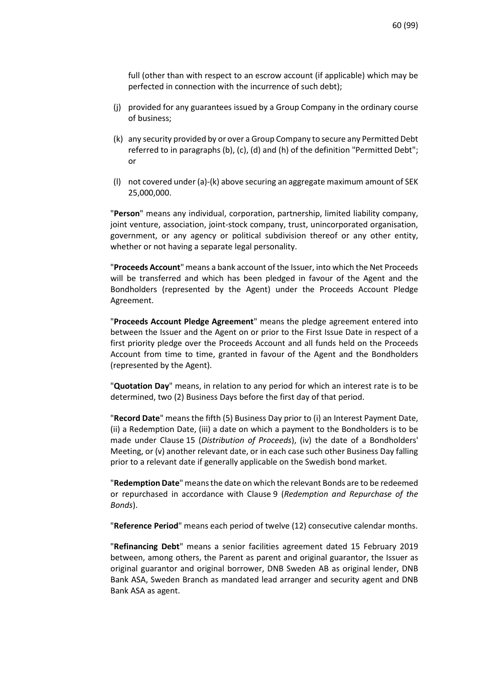full (other than with respect to an escrow account (if applicable) which may be perfected in connection with the incurrence of such debt);

- (j) provided for any guarantees issued by a Group Company in the ordinary course of business;
- <span id="page-59-0"></span>(k) any security provided by or over a Group Company to secure any Permitted Debt referred to in paragraph[s \(b\),](#page-56-2) [\(c\),](#page-56-3) [\(d\)](#page-56-4) and [\(h\) o](#page-56-5)f the definition "Permitted Debt"; or
- (l) not covered under [\(a\)](#page-58-0)[-\(k\)](#page-59-0) above securing an aggregate maximum amount of SEK 25,000,000.

"**Person**" means any individual, corporation, partnership, limited liability company, joint venture, association, joint-stock company, trust, unincorporated organisation, government, or any agency or political subdivision thereof or any other entity, whether or not having a separate legal personality.

"**Proceeds Account**" means a bank account of the Issuer, into which the Net Proceeds will be transferred and which has been pledged in favour of the Agent and the Bondholders (represented by the Agent) under the Proceeds Account Pledge Agreement.

"**Proceeds Account Pledge Agreement**" means the pledge agreement entered into between the Issuer and the Agent on or prior to the First Issue Date in respect of a first priority pledge over the Proceeds Account and all funds held on the Proceeds Account from time to time, granted in favour of the Agent and the Bondholders (represented by the Agent).

"**Quotation Day**" means, in relation to any period for which an interest rate is to be determined, two (2) Business Days before the first day of that period.

"**Record Date**" means the fifth (5) Business Day prior to (i) an Interest Payment Date, (ii) a Redemption Date, (iii) a date on which a payment to the Bondholders is to be made under Clause [15](#page-83-0) (*[Distribution of Proceeds](#page-83-0)*), (iv) the date of a Bondholders' Meeting, or (v) another relevant date, or in each case such other Business Day falling prior to a relevant date if generally applicable on the Swedish bond market.

"**Redemption Date**" means the date on which the relevant Bonds are to be redeemed or repurchased in accordance with Clause [9](#page-69-0) (*[Redemption and Repurchase of the](#page-69-0)  [Bonds](#page-69-0)*).

"**Reference Period**" means each period of twelve (12) consecutive calendar months.

"**Refinancing Debt**" means a senior facilities agreement dated 15 February 2019 between, among others, the Parent as parent and original guarantor, the Issuer as original guarantor and original borrower, DNB Sweden AB as original lender, DNB Bank ASA, Sweden Branch as mandated lead arranger and security agent and DNB Bank ASA as agent.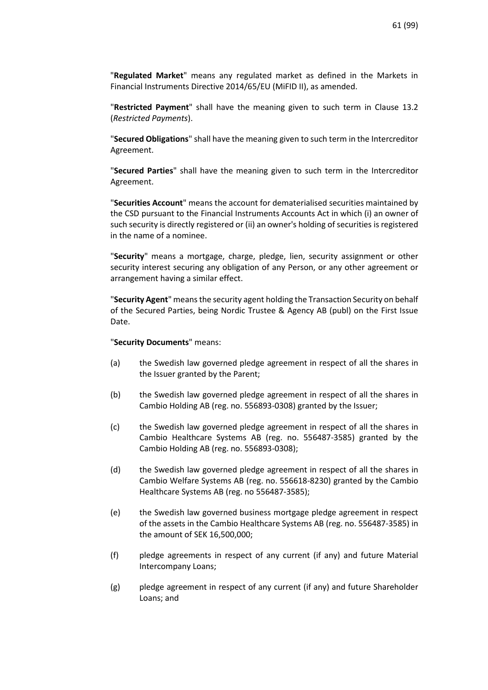"**Regulated Market**" means any regulated market as defined in the Markets in Financial Instruments Directive 2014/65/EU (MiFID II), as amended.

"**Restricted Payment**" shall have the meaning given to such term in Clause 13.2 (*Restricted Payments*).

"**Secured Obligations**" shall have the meaning given to such term in the Intercreditor Agreement.

"**Secured Parties**" shall have the meaning given to such term in the Intercreditor Agreement.

"**Securities Account**" means the account for dematerialised securities maintained by the CSD pursuant to the Financial Instruments Accounts Act in which (i) an owner of such security is directly registered or (ii) an owner's holding of securities is registered in the name of a nominee.

"**Security**" means a mortgage, charge, pledge, lien, security assignment or other security interest securing any obligation of any Person, or any other agreement or arrangement having a similar effect.

"**Security Agent**" means the security agent holding the Transaction Security on behalf of the Secured Parties, being Nordic Trustee & Agency AB (publ) on the First Issue Date.

#### "**Security Documents**" means:

- (a) the Swedish law governed pledge agreement in respect of all the shares in the Issuer granted by the Parent;
- (b) the Swedish law governed pledge agreement in respect of all the shares in Cambio Holding AB (reg. no. 556893-0308) granted by the Issuer;
- (c) the Swedish law governed pledge agreement in respect of all the shares in Cambio Healthcare Systems AB (reg. no. 556487-3585) granted by the Cambio Holding AB (reg. no. 556893-0308);
- (d) the Swedish law governed pledge agreement in respect of all the shares in Cambio Welfare Systems AB (reg. no. 556618-8230) granted by the Cambio Healthcare Systems AB (reg. no 556487-3585);
- (e) the Swedish law governed business mortgage pledge agreement in respect of the assets in the Cambio Healthcare Systems AB (reg. no. 556487-3585) in the amount of SEK 16,500,000;
- (f) pledge agreements in respect of any current (if any) and future Material Intercompany Loans;
- (g) pledge agreement in respect of any current (if any) and future Shareholder Loans; and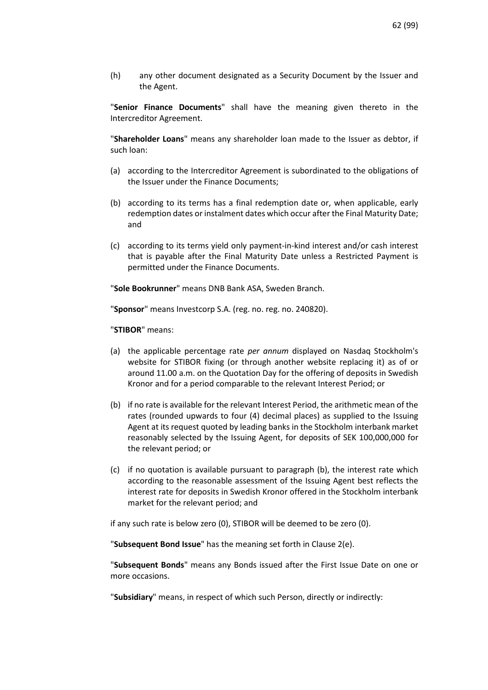(h) any other document designated as a Security Document by the Issuer and the Agent.

"**Senior Finance Documents**" shall have the meaning given thereto in the Intercreditor Agreement.

"**Shareholder Loans**" means any shareholder loan made to the Issuer as debtor, if such loan:

- (a) according to the Intercreditor Agreement is subordinated to the obligations of the Issuer under the Finance Documents;
- (b) according to its terms has a final redemption date or, when applicable, early redemption dates or instalment dates which occur after the Final Maturity Date; and
- (c) according to its terms yield only payment-in-kind interest and/or cash interest that is payable after the Final Maturity Date unless a Restricted Payment is permitted under the Finance Documents.

"**Sole Bookrunner**" means DNB Bank ASA, Sweden Branch.

"**Sponsor**" means Investcorp S.A. (reg. no. reg. no. 240820).

"**STIBOR**" means:

- (a) the applicable percentage rate *per annum* displayed on Nasdaq Stockholm's website for STIBOR fixing (or through another website replacing it) as of or around 11.00 a.m. on the Quotation Day for the offering of deposits in Swedish Kronor and for a period comparable to the relevant Interest Period; or
- (b) if no rate is available for the relevant Interest Period, the arithmetic mean of the rates (rounded upwards to four (4) decimal places) as supplied to the Issuing Agent at its request quoted by leading banks in the Stockholm interbank market reasonably selected by the Issuing Agent, for deposits of SEK 100,000,000 for the relevant period; or
- (c) if no quotation is available pursuant to paragraph (b), the interest rate which according to the reasonable assessment of the Issuing Agent best reflects the interest rate for deposits in Swedish Kronor offered in the Stockholm interbank market for the relevant period; and

if any such rate is below zero (0), STIBOR will be deemed to be zero (0).

"**Subsequent Bond Issue**" has the meaning set forth in Clause 2(e).

"**Subsequent Bonds**" means any Bonds issued after the First Issue Date on one or more occasions.

"**Subsidiary**" means, in respect of which such Person, directly or indirectly: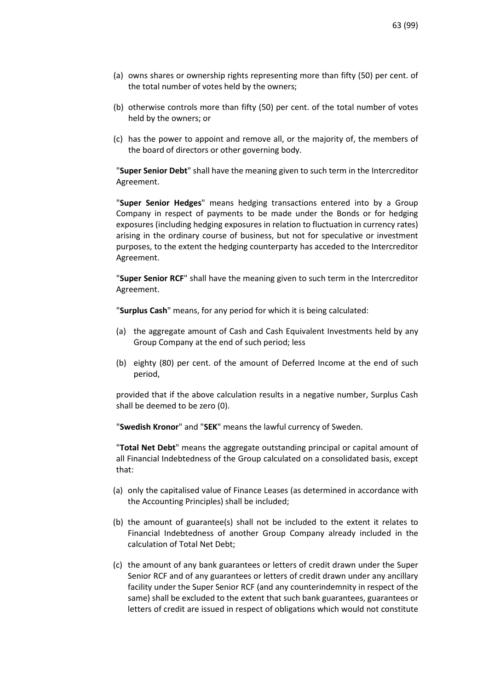- (a) owns shares or ownership rights representing more than fifty (50) per cent. of the total number of votes held by the owners;
- (b) otherwise controls more than fifty (50) per cent. of the total number of votes held by the owners; or
- (c) has the power to appoint and remove all, or the majority of, the members of the board of directors or other governing body.

"**Super Senior Debt**" shall have the meaning given to such term in the Intercreditor Agreement.

"**Super Senior Hedges**" means hedging transactions entered into by a Group Company in respect of payments to be made under the Bonds or for hedging exposures (including hedging exposures in relation to fluctuation in currency rates) arising in the ordinary course of business, but not for speculative or investment purposes, to the extent the hedging counterparty has acceded to the Intercreditor Agreement.

"**Super Senior RCF**" shall have the meaning given to such term in the Intercreditor Agreement.

"**Surplus Cash**" means, for any period for which it is being calculated:

- (a) the aggregate amount of Cash and Cash Equivalent Investments held by any Group Company at the end of such period; less
- (b) eighty (80) per cent. of the amount of Deferred Income at the end of such period,

provided that if the above calculation results in a negative number, Surplus Cash shall be deemed to be zero (0).

"**Swedish Kronor**" and "**SEK**" means the lawful currency of Sweden.

"**Total Net Debt**" means the aggregate outstanding principal or capital amount of all Financial Indebtedness of the Group calculated on a consolidated basis, except that:

- (a) only the capitalised value of Finance Leases (as determined in accordance with the Accounting Principles) shall be included;
- (b) the amount of guarantee(s) shall not be included to the extent it relates to Financial Indebtedness of another Group Company already included in the calculation of Total Net Debt;
- (c) the amount of any bank guarantees or letters of credit drawn under the Super Senior RCF and of any guarantees or letters of credit drawn under any ancillary facility under the Super Senior RCF (and any counterindemnity in respect of the same) shall be excluded to the extent that such bank guarantees, guarantees or letters of credit are issued in respect of obligations which would not constitute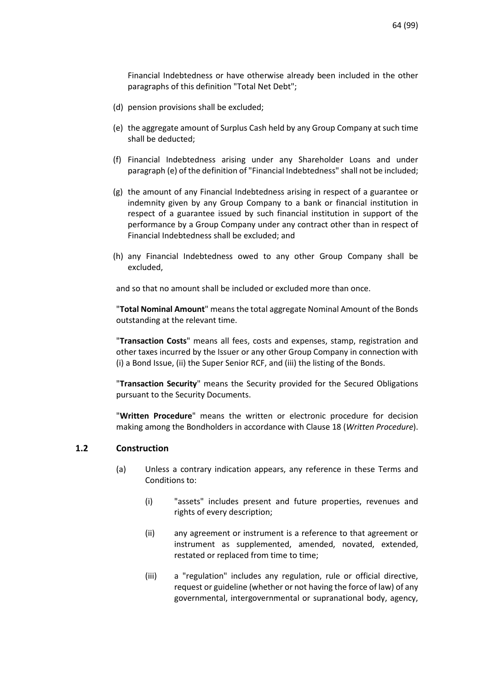Financial Indebtedness or have otherwise already been included in the other paragraphs of this definition "Total Net Debt";

- (d) pension provisions shall be excluded;
- (e) the aggregate amount of Surplus Cash held by any Group Company at such time shall be deducted;
- (f) Financial Indebtedness arising under any Shareholder Loans and under paragraph (e) of the definition of "Financial Indebtedness" shall not be included;
- (g) the amount of any Financial Indebtedness arising in respect of a guarantee or indemnity given by any Group Company to a bank or financial institution in respect of a guarantee issued by such financial institution in support of the performance by a Group Company under any contract other than in respect of Financial Indebtedness shall be excluded; and
- (h) any Financial Indebtedness owed to any other Group Company shall be excluded,

and so that no amount shall be included or excluded more than once.

"**Total Nominal Amount**" means the total aggregate Nominal Amount of the Bonds outstanding at the relevant time.

"**Transaction Costs**" means all fees, costs and expenses, stamp, registration and other taxes incurred by the Issuer or any other Group Company in connection with (i) a Bond Issue, (ii) the Super Senior RCF, and (iii) the listing of the Bonds.

"**Transaction Security**" means the Security provided for the Secured Obligations pursuant to the Security Documents.

"**Written Procedure**" means the written or electronic procedure for decision making among the Bondholders in accordance with Clause [18 \(](#page-88-0)*[Written Procedure](#page-88-0)*).

### **1.2 Construction**

- (a) Unless a contrary indication appears, any reference in these Terms and Conditions to:
	- (i) "assets" includes present and future properties, revenues and rights of every description;
	- (ii) any agreement or instrument is a reference to that agreement or instrument as supplemented, amended, novated, extended, restated or replaced from time to time;
	- (iii) a "regulation" includes any regulation, rule or official directive, request or guideline (whether or not having the force of law) of any governmental, intergovernmental or supranational body, agency,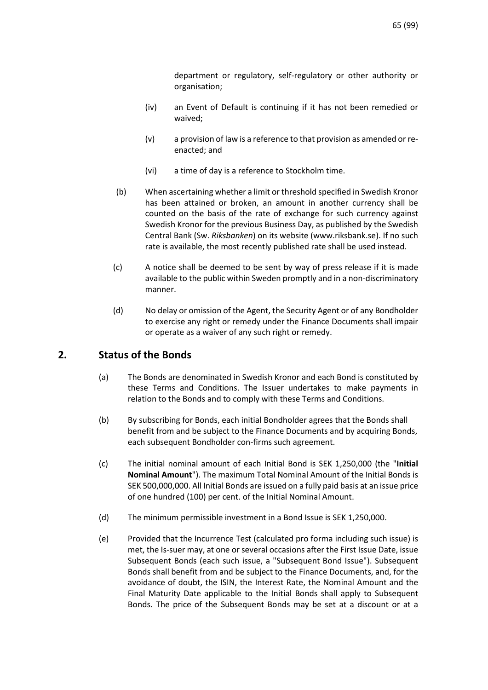department or regulatory, self-regulatory or other authority or organisation;

- (iv) an Event of Default is continuing if it has not been remedied or waived;
- (v) a provision of law is a reference to that provision as amended or reenacted; and
- (vi) a time of day is a reference to Stockholm time.
- (b) When ascertaining whether a limit or threshold specified in Swedish Kronor has been attained or broken, an amount in another currency shall be counted on the basis of the rate of exchange for such currency against Swedish Kronor for the previous Business Day, as published by the Swedish Central Bank (Sw. *Riksbanken*) on its website (www.riksbank.se). If no such rate is available, the most recently published rate shall be used instead.
- (c) A notice shall be deemed to be sent by way of press release if it is made available to the public within Sweden promptly and in a non-discriminatory manner.
- (d) No delay or omission of the Agent, the Security Agent or of any Bondholder to exercise any right or remedy under the Finance Documents shall impair or operate as a waiver of any such right or remedy.

# **2. Status of the Bonds**

- (a) The Bonds are denominated in Swedish Kronor and each Bond is constituted by these Terms and Conditions. The Issuer undertakes to make payments in relation to the Bonds and to comply with these Terms and Conditions.
- (b) By subscribing for Bonds, each initial Bondholder agrees that the Bonds shall benefit from and be subject to the Finance Documents and by acquiring Bonds, each subsequent Bondholder con-firms such agreement.
- (c) The initial nominal amount of each Initial Bond is SEK 1,250,000 (the "**Initial Nominal Amount**"). The maximum Total Nominal Amount of the Initial Bonds is SEK 500,000,000. All Initial Bonds are issued on a fully paid basis at an issue price of one hundred (100) per cent. of the Initial Nominal Amount.
- (d) The minimum permissible investment in a Bond Issue is SEK 1,250,000.
- (e) Provided that the Incurrence Test (calculated pro forma including such issue) is met, the Is-suer may, at one or several occasions after the First Issue Date, issue Subsequent Bonds (each such issue, a "Subsequent Bond Issue"). Subsequent Bonds shall benefit from and be subject to the Finance Documents, and, for the avoidance of doubt, the ISIN, the Interest Rate, the Nominal Amount and the Final Maturity Date applicable to the Initial Bonds shall apply to Subsequent Bonds. The price of the Subsequent Bonds may be set at a discount or at a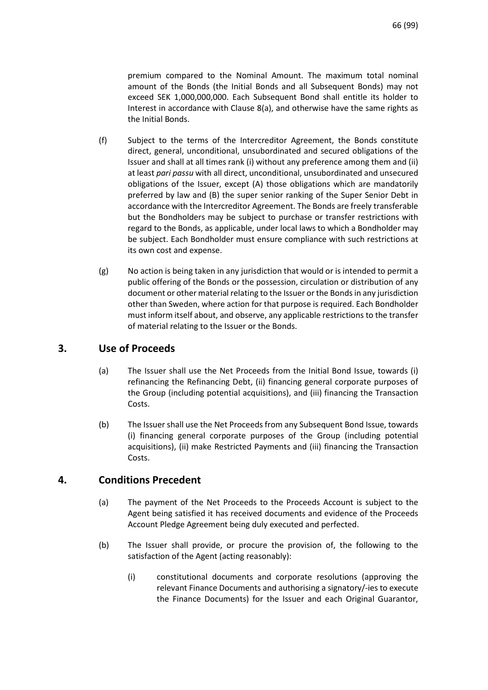premium compared to the Nominal Amount. The maximum total nominal amount of the Bonds (the Initial Bonds and all Subsequent Bonds) may not exceed SEK 1,000,000,000. Each Subsequent Bond shall entitle its holder to Interest in accordance with Clause 8(a), and otherwise have the same rights as the Initial Bonds.

- (f) Subject to the terms of the Intercreditor Agreement, the Bonds constitute direct, general, unconditional, unsubordinated and secured obligations of the Issuer and shall at all times rank (i) without any preference among them and (ii) at least *pari passu* with all direct, unconditional, unsubordinated and unsecured obligations of the Issuer, except (A) those obligations which are mandatorily preferred by law and (B) the super senior ranking of the Super Senior Debt in accordance with the Intercreditor Agreement. The Bonds are freely transferable but the Bondholders may be subject to purchase or transfer restrictions with regard to the Bonds, as applicable, under local laws to which a Bondholder may be subject. Each Bondholder must ensure compliance with such restrictions at its own cost and expense.
- (g) No action is being taken in any jurisdiction that would or is intended to permit a public offering of the Bonds or the possession, circulation or distribution of any document or other material relating to the Issuer or the Bonds in any jurisdiction other than Sweden, where action for that purpose is required. Each Bondholder must inform itself about, and observe, any applicable restrictions to the transfer of material relating to the Issuer or the Bonds.

# <span id="page-65-0"></span>**3. Use of Proceeds**

- (a) The Issuer shall use the Net Proceeds from the Initial Bond Issue, towards (i) refinancing the Refinancing Debt, (ii) financing general corporate purposes of the Group (including potential acquisitions), and (iii) financing the Transaction Costs.
- (b) The Issuer shall use the Net Proceeds from any Subsequent Bond Issue, towards (i) financing general corporate purposes of the Group (including potential acquisitions), (ii) make Restricted Payments and (iii) financing the Transaction Costs.

# **4. Conditions Precedent**

- (a) The payment of the Net Proceeds to the Proceeds Account is subject to the Agent being satisfied it has received documents and evidence of the Proceeds Account Pledge Agreement being duly executed and perfected.
- (b) The Issuer shall provide, or procure the provision of, the following to the satisfaction of the Agent (acting reasonably):
	- (i) constitutional documents and corporate resolutions (approving the relevant Finance Documents and authorising a signatory/-ies to execute the Finance Documents) for the Issuer and each Original Guarantor,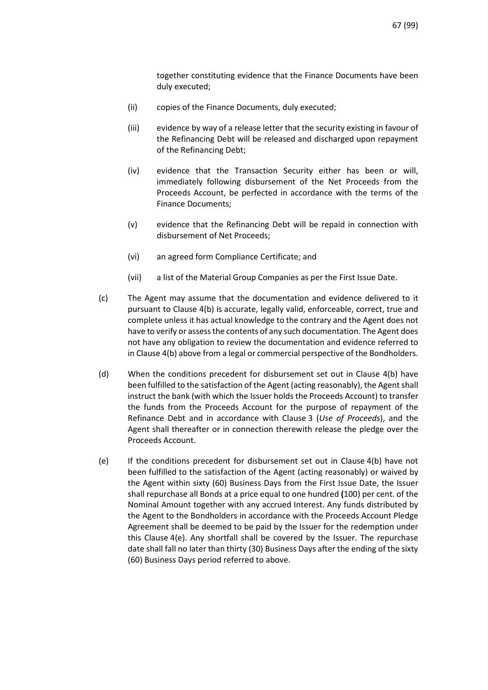together constituting evidence that the Finance Documents have been duly executed;

- (ii) copies of the Finance Documents, duly executed;
- (iii) evidence by way of a release letter that the security existing in favour of the Refinancing Debt will be released and discharged upon repayment of the Refinancing Debt;
- (iv) evidence that the Transaction Security either has been or will, immediately following disbursement of the Net Proceeds from the Proceeds Account, be perfected in accordance with the terms of the Finance Documents;
- (v) evidence that the Refinancing Debt will be repaid in connection with disbursement of Net Proceeds;
- (vi) an agreed form Compliance Certificate; and
- (vii) a list of the Material Group Companies as per the First Issue Date.
- (c) The Agent may assume that the documentation and evidence delivered to it pursuant to Clause 4(b) is accurate, legally valid, enforceable, correct, true and complete unless it has actual knowledge to the contrary and the Agent does not have to verify or assess the contents of any such documentation. The Agent does not have any obligation to review the documentation and evidence referred to in Clause 4(b) above from a legal or commercial perspective of the Bondholders.
- (d) When the conditions precedent for disbursement set out in Clause 4(b) have been fulfilled to the satisfaction of the Agent (acting reasonably), the Agent shall instruct the bank (with which the Issuer holds the Proceeds Account) to transfer the funds from the Proceeds Account for the purpose of repayment of the Refinance Debt and in accordance with Clause [3](#page-65-0) (*[Use of Proceeds](#page-65-0)*), and the Agent shall thereafter or in connection therewith release the pledge over the Proceeds Account.
- (e) If the conditions precedent for disbursement set out in Clause 4(b) have not been fulfilled to the satisfaction of the Agent (acting reasonably) or waived by the Agent within sixty (60) Business Days from the First Issue Date, the Issuer shall repurchase all Bonds at a price equal to one hundred **(**100) per cent. of the Nominal Amount together with any accrued Interest. Any funds distributed by the Agent to the Bondholders in accordance with the Proceeds Account Pledge Agreement shall be deemed to be paid by the Issuer for the redemption under this Clause 4(e). Any shortfall shall be covered by the Issuer. The repurchase date shall fall no later than thirty (30) Business Days after the ending of the sixty (60) Business Days period referred to above.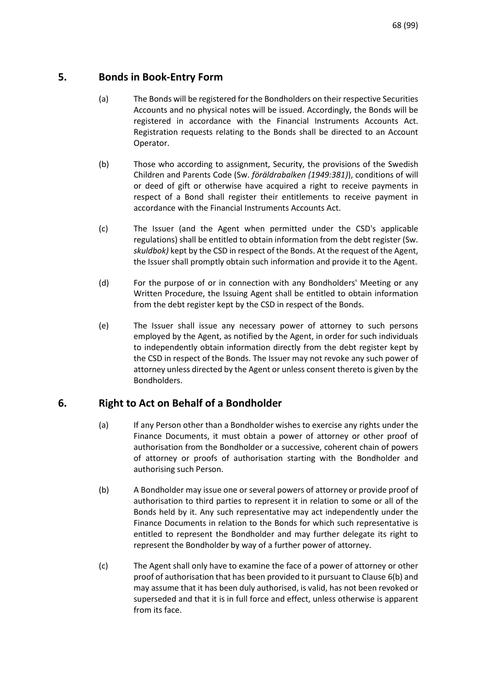# **5. Bonds in Book-Entry Form**

- (a) The Bonds will be registered for the Bondholders on their respective Securities Accounts and no physical notes will be issued. Accordingly, the Bonds will be registered in accordance with the Financial Instruments Accounts Act. Registration requests relating to the Bonds shall be directed to an Account Operator.
- (b) Those who according to assignment, Security, the provisions of the Swedish Children and Parents Code (Sw. *föräldrabalken (1949:381)*), conditions of will or deed of gift or otherwise have acquired a right to receive payments in respect of a Bond shall register their entitlements to receive payment in accordance with the Financial Instruments Accounts Act.
- (c) The Issuer (and the Agent when permitted under the CSD's applicable regulations) shall be entitled to obtain information from the debt register (Sw. *skuldbok)* kept by the CSD in respect of the Bonds. At the request of the Agent, the Issuer shall promptly obtain such information and provide it to the Agent.
- (d) For the purpose of or in connection with any Bondholders' Meeting or any Written Procedure, the Issuing Agent shall be entitled to obtain information from the debt register kept by the CSD in respect of the Bonds.
- (e) The Issuer shall issue any necessary power of attorney to such persons employed by the Agent, as notified by the Agent, in order for such individuals to independently obtain information directly from the debt register kept by the CSD in respect of the Bonds. The Issuer may not revoke any such power of attorney unless directed by the Agent or unless consent thereto is given by the Bondholders.

# **6. Right to Act on Behalf of a Bondholder**

- (a) If any Person other than a Bondholder wishes to exercise any rights under the Finance Documents, it must obtain a power of attorney or other proof of authorisation from the Bondholder or a successive, coherent chain of powers of attorney or proofs of authorisation starting with the Bondholder and authorising such Person.
- (b) A Bondholder may issue one or several powers of attorney or provide proof of authorisation to third parties to represent it in relation to some or all of the Bonds held by it. Any such representative may act independently under the Finance Documents in relation to the Bonds for which such representative is entitled to represent the Bondholder and may further delegate its right to represent the Bondholder by way of a further power of attorney.
- (c) The Agent shall only have to examine the face of a power of attorney or other proof of authorisation that has been provided to it pursuant to Clause 6(b) and may assume that it has been duly authorised, is valid, has not been revoked or superseded and that it is in full force and effect, unless otherwise is apparent from its face.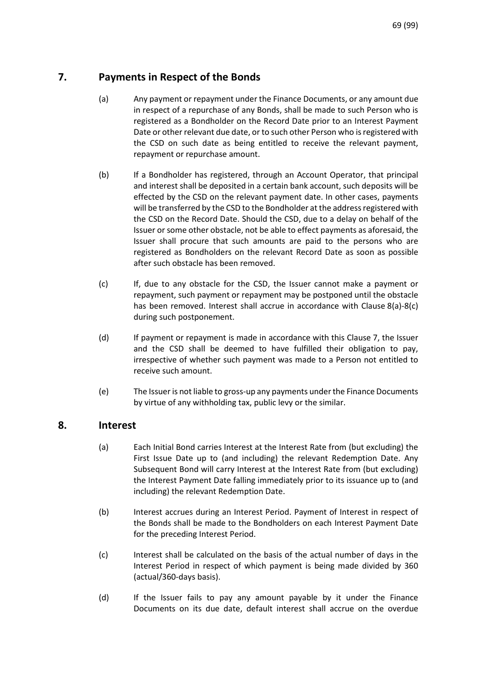# <span id="page-68-0"></span>**7. Payments in Respect of the Bonds**

- (a) Any payment or repayment under the Finance Documents, or any amount due in respect of a repurchase of any Bonds, shall be made to such Person who is registered as a Bondholder on the Record Date prior to an Interest Payment Date or other relevant due date, or to such other Person who is registered with the CSD on such date as being entitled to receive the relevant payment, repayment or repurchase amount.
- (b) If a Bondholder has registered, through an Account Operator, that principal and interest shall be deposited in a certain bank account, such deposits will be effected by the CSD on the relevant payment date. In other cases, payments will be transferred by the CSD to the Bondholder at the address registered with the CSD on the Record Date. Should the CSD, due to a delay on behalf of the Issuer or some other obstacle, not be able to effect payments as aforesaid, the Issuer shall procure that such amounts are paid to the persons who are registered as Bondholders on the relevant Record Date as soon as possible after such obstacle has been removed.
- (c) If, due to any obstacle for the CSD, the Issuer cannot make a payment or repayment, such payment or repayment may be postponed until the obstacle has been removed. Interest shall accrue in accordance with Clause 8(a)-8(c) during such postponement.
- (d) If payment or repayment is made in accordance with this Clause [7,](#page-68-0) the Issuer and the CSD shall be deemed to have fulfilled their obligation to pay, irrespective of whether such payment was made to a Person not entitled to receive such amount.
- (e) The Issuer is not liable to gross-up any payments under the Finance Documents by virtue of any withholding tax, public levy or the similar.

# <span id="page-68-1"></span>**8. Interest**

- (a) Each Initial Bond carries Interest at the Interest Rate from (but excluding) the First Issue Date up to (and including) the relevant Redemption Date. Any Subsequent Bond will carry Interest at the Interest Rate from (but excluding) the Interest Payment Date falling immediately prior to its issuance up to (and including) the relevant Redemption Date.
- (b) Interest accrues during an Interest Period. Payment of Interest in respect of the Bonds shall be made to the Bondholders on each Interest Payment Date for the preceding Interest Period.
- (c) Interest shall be calculated on the basis of the actual number of days in the Interest Period in respect of which payment is being made divided by 360 (actual/360-days basis).
- <span id="page-68-2"></span>(d) If the Issuer fails to pay any amount payable by it under the Finance Documents on its due date, default interest shall accrue on the overdue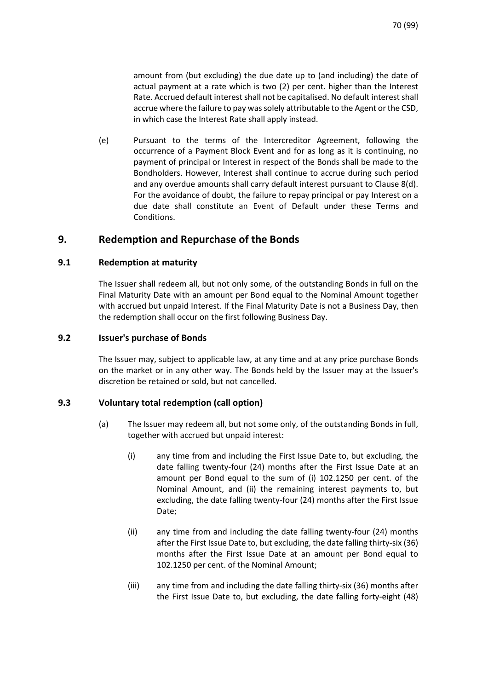amount from (but excluding) the due date up to (and including) the date of actual payment at a rate which is two (2) per cent. higher than the Interest Rate. Accrued default interest shall not be capitalised. No default interest shall accrue where the failure to pay was solely attributable to the Agent or the CSD, in which case the Interest Rate shall apply instead.

(e) Pursuant to the terms of the Intercreditor Agreement, following the occurrence of a Payment Block Event and for as long as it is continuing, no payment of principal or Interest in respect of the Bonds shall be made to the Bondholders. However, Interest shall continue to accrue during such period and any overdue amounts shall carry default interest pursuant to Clause [8](#page-68-1)[\(d\).](#page-68-2) For the avoidance of doubt, the failure to repay principal or pay Interest on a due date shall constitute an Event of Default under these Terms and **Conditions** 

# <span id="page-69-0"></span>**9. Redemption and Repurchase of the Bonds**

# **9.1 Redemption at maturity**

The Issuer shall redeem all, but not only some, of the outstanding Bonds in full on the Final Maturity Date with an amount per Bond equal to the Nominal Amount together with accrued but unpaid Interest. If the Final Maturity Date is not a Business Day, then the redemption shall occur on the first following Business Day.

# **9.2 Issuer's purchase of Bonds**

The Issuer may, subject to applicable law, at any time and at any price purchase Bonds on the market or in any other way. The Bonds held by the Issuer may at the Issuer's discretion be retained or sold, but not cancelled.

# <span id="page-69-2"></span><span id="page-69-1"></span>**9.3 Voluntary total redemption (call option)**

- (a) The Issuer may redeem all, but not some only, of the outstanding Bonds in full, together with accrued but unpaid interest:
	- (i) any time from and including the First Issue Date to, but excluding, the date falling twenty-four (24) months after the First Issue Date at an amount per Bond equal to the sum of (i) 102.1250 per cent. of the Nominal Amount, and (ii) the remaining interest payments to, but excluding, the date falling twenty-four (24) months after the First Issue Date;
	- (ii) any time from and including the date falling twenty-four (24) months after the First Issue Date to, but excluding, the date falling thirty-six (36) months after the First Issue Date at an amount per Bond equal to 102.1250 per cent. of the Nominal Amount;
	- (iii) any time from and including the date falling thirty-six (36) months after the First Issue Date to, but excluding, the date falling forty-eight (48)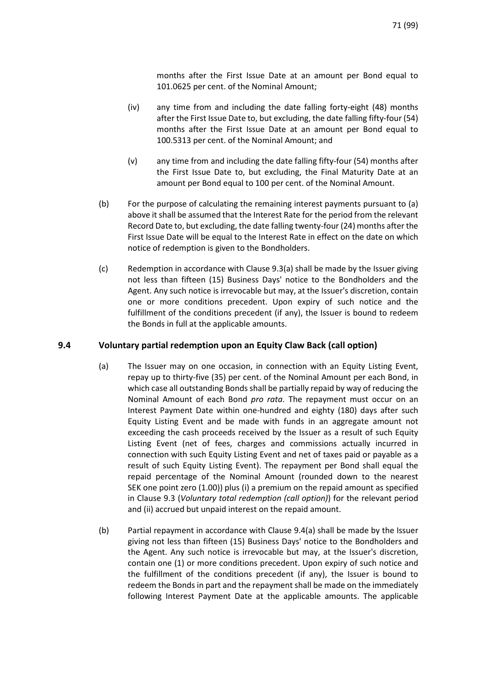months after the First Issue Date at an amount per Bond equal to 101.0625 per cent. of the Nominal Amount;

- (iv) any time from and including the date falling forty-eight (48) months after the First Issue Date to, but excluding, the date falling fifty-four (54) months after the First Issue Date at an amount per Bond equal to 100.5313 per cent. of the Nominal Amount; and
- (v) any time from and including the date falling fifty-four (54) months after the First Issue Date to, but excluding, the Final Maturity Date at an amount per Bond equal to 100 per cent. of the Nominal Amount.
- (b) For the purpose of calculating the remaining interest payments pursuant to [\(a\)](#page-69-1) above it shall be assumed that the Interest Rate for the period from the relevant Record Date to, but excluding, the date falling twenty-four (24) months after the First Issue Date will be equal to the Interest Rate in effect on the date on which notice of redemption is given to the Bondholders.
- (c) Redemption in accordance with Clause 9.3(a) shall be made by the Issuer giving not less than fifteen (15) Business Days' notice to the Bondholders and the Agent. Any such notice is irrevocable but may, at the Issuer's discretion, contain one or more conditions precedent. Upon expiry of such notice and the fulfillment of the conditions precedent (if any), the Issuer is bound to redeem the Bonds in full at the applicable amounts.

# <span id="page-70-1"></span><span id="page-70-0"></span>**9.4 Voluntary partial redemption upon an Equity Claw Back (call option)**

- (a) The Issuer may on one occasion, in connection with an Equity Listing Event, repay up to thirty-five (35) per cent. of the Nominal Amount per each Bond, in which case all outstanding Bonds shall be partially repaid by way of reducing the Nominal Amount of each Bond *pro rata*. The repayment must occur on an Interest Payment Date within one-hundred and eighty (180) days after such Equity Listing Event and be made with funds in an aggregate amount not exceeding the cash proceeds received by the Issuer as a result of such Equity Listing Event (net of fees, charges and commissions actually incurred in connection with such Equity Listing Event and net of taxes paid or payable as a result of such Equity Listing Event). The repayment per Bond shall equal the repaid percentage of the Nominal Amount (rounded down to the nearest SEK one point zero (1.00)) plus (i) a premium on the repaid amount as specified in Clause [9.3](#page-69-2) (*[Voluntary total redemption \(call option\)](#page-69-2)*) for the relevant period and (ii) accrued but unpaid interest on the repaid amount.
- (b) Partial repayment in accordance with Clause [9.4](#page-70-0)[\(a\)](#page-70-1) shall be made by the Issuer giving not less than fifteen (15) Business Days' notice to the Bondholders and the Agent. Any such notice is irrevocable but may, at the Issuer's discretion, contain one (1) or more conditions precedent. Upon expiry of such notice and the fulfillment of the conditions precedent (if any), the Issuer is bound to redeem the Bonds in part and the repayment shall be made on the immediately following Interest Payment Date at the applicable amounts. The applicable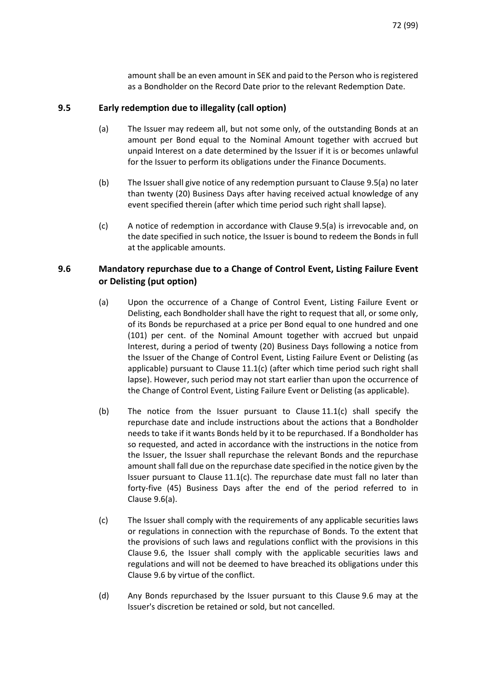amount shall be an even amount in SEK and paid to the Person who is registered as a Bondholder on the Record Date prior to the relevant Redemption Date.

# **9.5 Early redemption due to illegality (call option)**

- (a) The Issuer may redeem all, but not some only, of the outstanding Bonds at an amount per Bond equal to the Nominal Amount together with accrued but unpaid Interest on a date determined by the Issuer if it is or becomes unlawful for the Issuer to perform its obligations under the Finance Documents.
- (b) The Issuer shall give notice of any redemption pursuant to Clause 9.5(a) no later than twenty (20) Business Days after having received actual knowledge of any event specified therein (after which time period such right shall lapse).
- (c) A notice of redemption in accordance with Clause 9.5(a) is irrevocable and, on the date specified in such notice, the Issuer is bound to redeem the Bonds in full at the applicable amounts.

# <span id="page-71-0"></span>**9.6 Mandatory repurchase due to a Change of Control Event, Listing Failure Event or Delisting (put option)**

- (a) Upon the occurrence of a Change of Control Event, Listing Failure Event or Delisting, each Bondholder shall have the right to request that all, or some only, of its Bonds be repurchased at a price per Bond equal to one hundred and one (101) per cent. of the Nominal Amount together with accrued but unpaid Interest, during a period of twenty (20) Business Days following a notice from the Issuer of the Change of Control Event, Listing Failure Event or Delisting (as applicable) pursuant to Clause  $11.1(c)$  (after which time period such right shall lapse). However, such period may not start earlier than upon the occurrence of the Change of Control Event, Listing Failure Event or Delisting (as applicable).
- (b) The notice from the Issuer pursuant to Clause  $11.1(c)$  shall specify the repurchase date and include instructions about the actions that a Bondholder needs to take if it wants Bonds held by it to be repurchased. If a Bondholder has so requested, and acted in accordance with the instructions in the notice from the Issuer, the Issuer shall repurchase the relevant Bonds and the repurchase amount shall fall due on the repurchase date specified in the notice given by the Issuer pursuant to Clause 11.1(c). The repurchase date must fall no later than forty-five (45) Business Days after the end of the period referred to in Clause 9.6(a).
- (c) The Issuer shall comply with the requirements of any applicable securities laws or regulations in connection with the repurchase of Bonds. To the extent that the provisions of such laws and regulations conflict with the provisions in this Claus[e 9.6,](#page-71-0) the Issuer shall comply with the applicable securities laws and regulations and will not be deemed to have breached its obligations under this Claus[e 9.6](#page-71-0) by virtue of the conflict.
- (d) Any Bonds repurchased by the Issuer pursuant to this Claus[e 9.6](#page-71-0) may at the Issuer's discretion be retained or sold, but not cancelled.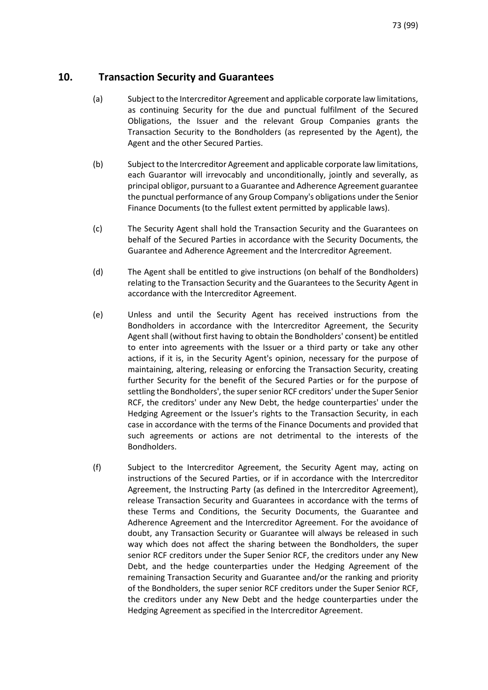### **10. Transaction Security and Guarantees**

- (a) Subject to the Intercreditor Agreement and applicable corporate law limitations, as continuing Security for the due and punctual fulfilment of the Secured Obligations, the Issuer and the relevant Group Companies grants the Transaction Security to the Bondholders (as represented by the Agent), the Agent and the other Secured Parties.
- (b) Subject to the Intercreditor Agreement and applicable corporate law limitations, each Guarantor will irrevocably and unconditionally, jointly and severally, as principal obligor, pursuant to a Guarantee and Adherence Agreement guarantee the punctual performance of any Group Company's obligations under the Senior Finance Documents (to the fullest extent permitted by applicable laws).
- (c) The Security Agent shall hold the Transaction Security and the Guarantees on behalf of the Secured Parties in accordance with the Security Documents, the Guarantee and Adherence Agreement and the Intercreditor Agreement.
- (d) The Agent shall be entitled to give instructions (on behalf of the Bondholders) relating to the Transaction Security and the Guarantees to the Security Agent in accordance with the Intercreditor Agreement.
- (e) Unless and until the Security Agent has received instructions from the Bondholders in accordance with the Intercreditor Agreement, the Security Agent shall (without first having to obtain the Bondholders' consent) be entitled to enter into agreements with the Issuer or a third party or take any other actions, if it is, in the Security Agent's opinion, necessary for the purpose of maintaining, altering, releasing or enforcing the Transaction Security, creating further Security for the benefit of the Secured Parties or for the purpose of settling the Bondholders', the super senior RCF creditors' under the Super Senior RCF, the creditors' under any New Debt, the hedge counterparties' under the Hedging Agreement or the Issuer's rights to the Transaction Security, in each case in accordance with the terms of the Finance Documents and provided that such agreements or actions are not detrimental to the interests of the Bondholders.
- (f) Subject to the Intercreditor Agreement, the Security Agent may, acting on instructions of the Secured Parties, or if in accordance with the Intercreditor Agreement, the Instructing Party (as defined in the Intercreditor Agreement), release Transaction Security and Guarantees in accordance with the terms of these Terms and Conditions, the Security Documents, the Guarantee and Adherence Agreement and the Intercreditor Agreement. For the avoidance of doubt, any Transaction Security or Guarantee will always be released in such way which does not affect the sharing between the Bondholders, the super senior RCF creditors under the Super Senior RCF, the creditors under any New Debt, and the hedge counterparties under the Hedging Agreement of the remaining Transaction Security and Guarantee and/or the ranking and priority of the Bondholders, the super senior RCF creditors under the Super Senior RCF, the creditors under any New Debt and the hedge counterparties under the Hedging Agreement as specified in the Intercreditor Agreement.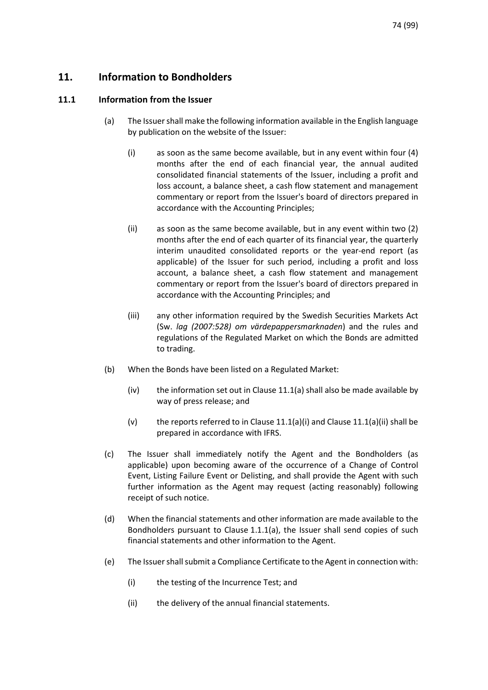# **11. Information to Bondholders**

### <span id="page-73-2"></span><span id="page-73-0"></span>**11.1 Information from the Issuer**

- (a) The Issuer shall make the following information available in the English language by publication on the website of the Issuer:
	- (i) as soon as the same become available, but in any event within four (4) months after the end of each financial year, the annual audited consolidated financial statements of the Issuer, including a profit and loss account, a balance sheet, a cash flow statement and management commentary or report from the Issuer's board of directors prepared in accordance with the Accounting Principles;
	- (ii) as soon as the same become available, but in any event within two (2) months after the end of each quarter of its financial year, the quarterly interim unaudited consolidated reports or the year-end report (as applicable) of the Issuer for such period, including a profit and loss account, a balance sheet, a cash flow statement and management commentary or report from the Issuer's board of directors prepared in accordance with the Accounting Principles; and
	- (iii) any other information required by the Swedish Securities Markets Act (Sw. *lag (2007:528) om värdepappersmarknaden*) and the rules and regulations of the Regulated Market on which the Bonds are admitted to trading.
- (b) When the Bonds have been listed on a Regulated Market:
	- (iv) the information set out in Clause 11.1(a) shall also be made available by way of press release; and
	- (v) the reports referred to in Clause 11.1(a)(i) and Clause 11.1(a)(ii) shall be prepared in accordance with IFRS.
- (c) The Issuer shall immediately notify the Agent and the Bondholders (as applicable) upon becoming aware of the occurrence of a Change of Control Event, Listing Failure Event or Delisting, and shall provide the Agent with such further information as the Agent may request (acting reasonably) following receipt of such notice.
- (d) When the financial statements and other information are made available to the Bondholders pursuant to Claus[e 1.1.1\(a\),](#page-73-0) the Issuer shall send copies of such financial statements and other information to the Agent.
- <span id="page-73-1"></span>(e) The Issuer shall submit a Compliance Certificate to the Agent in connection with:
	- (i) the testing of the Incurrence Test; and
	- (ii) the delivery of the annual financial statements.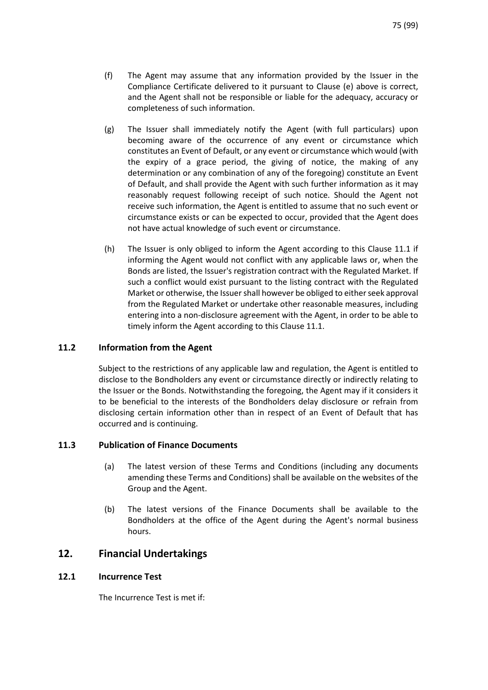- (f) The Agent may assume that any information provided by the Issuer in the Compliance Certificate delivered to it pursuant to Clause [\(e\)](#page-73-1) above is correct, and the Agent shall not be responsible or liable for the adequacy, accuracy or completeness of such information.
- (g) The Issuer shall immediately notify the Agent (with full particulars) upon becoming aware of the occurrence of any event or circumstance which constitutes an Event of Default, or any event or circumstance which would (with the expiry of a grace period, the giving of notice, the making of any determination or any combination of any of the foregoing) constitute an Event of Default, and shall provide the Agent with such further information as it may reasonably request following receipt of such notice. Should the Agent not receive such information, the Agent is entitled to assume that no such event or circumstance exists or can be expected to occur, provided that the Agent does not have actual knowledge of such event or circumstance.
- (h) The Issuer is only obliged to inform the Agent according to this Clause [11.1](#page-73-2) if informing the Agent would not conflict with any applicable laws or, when the Bonds are listed, the Issuer's registration contract with the Regulated Market. If such a conflict would exist pursuant to the listing contract with the Regulated Market or otherwise, the Issuer shall however be obliged to either seek approval from the Regulated Market or undertake other reasonable measures, including entering into a non-disclosure agreement with the Agent, in order to be able to timely inform the Agent according to this Clause [11.1.](#page-73-2)

### **11.2 Information from the Agent**

Subject to the restrictions of any applicable law and regulation, the Agent is entitled to disclose to the Bondholders any event or circumstance directly or indirectly relating to the Issuer or the Bonds. Notwithstanding the foregoing, the Agent may if it considers it to be beneficial to the interests of the Bondholders delay disclosure or refrain from disclosing certain information other than in respect of an Event of Default that has occurred and is continuing.

### <span id="page-74-0"></span>**11.3 Publication of Finance Documents**

- (a) The latest version of these Terms and Conditions (including any documents amending these Terms and Conditions) shall be available on the websites of the Group and the Agent.
- (b) The latest versions of the Finance Documents shall be available to the Bondholders at the office of the Agent during the Agent's normal business hours.

### **12. Financial Undertakings**

### **12.1 Incurrence Test**

The Incurrence Test is met if: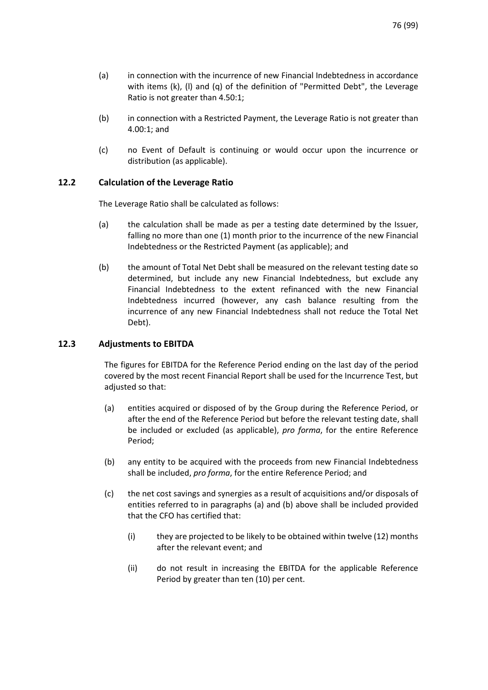- (a) in connection with the incurrence of new Financial Indebtedness in accordance with items (k), (I) and (g) of the definition of "Permitted Debt", the Leverage Ratio is not greater than 4.50:1;
- (b) in connection with a Restricted Payment, the Leverage Ratio is not greater than 4.00:1; and
- (c) no Event of Default is continuing or would occur upon the incurrence or distribution (as applicable).

### **12.2 Calculation of the Leverage Ratio**

The Leverage Ratio shall be calculated as follows:

- (a) the calculation shall be made as per a testing date determined by the Issuer, falling no more than one (1) month prior to the incurrence of the new Financial Indebtedness or the Restricted Payment (as applicable); and
- (b) the amount of Total Net Debt shall be measured on the relevant testing date so determined, but include any new Financial Indebtedness, but exclude any Financial Indebtedness to the extent refinanced with the new Financial Indebtedness incurred (however, any cash balance resulting from the incurrence of any new Financial Indebtedness shall not reduce the Total Net Debt).

### **12.3 Adjustments to EBITDA**

The figures for EBITDA for the Reference Period ending on the last day of the period covered by the most recent Financial Report shall be used for the Incurrence Test, but adjusted so that:

- (a) entities acquired or disposed of by the Group during the Reference Period, or after the end of the Reference Period but before the relevant testing date, shall be included or excluded (as applicable), *pro forma*, for the entire Reference Period;
- (b) any entity to be acquired with the proceeds from new Financial Indebtedness shall be included, *pro forma*, for the entire Reference Period; and
- (c) the net cost savings and synergies as a result of acquisitions and/or disposals of entities referred to in paragraphs (a) and (b) above shall be included provided that the CFO has certified that:
	- (i) they are projected to be likely to be obtained within twelve (12) months after the relevant event; and
	- (ii) do not result in increasing the EBITDA for the applicable Reference Period by greater than ten (10) per cent.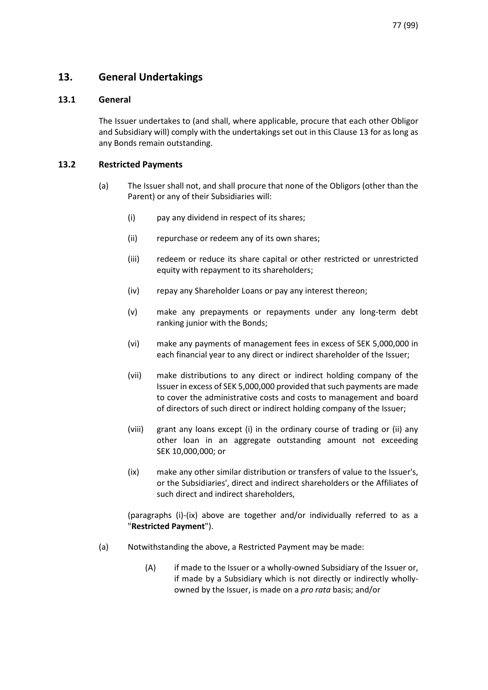# <span id="page-76-0"></span>**13. General Undertakings**

### **13.1 General**

The Issuer undertakes to (and shall, where applicable, procure that each other Obligor and Subsidiary will) comply with the undertakings set out in this Clause [13](#page-76-0) for as long as any Bonds remain outstanding.

### <span id="page-76-3"></span>**13.2 Restricted Payments**

- <span id="page-76-1"></span>(a) The Issuer shall not, and shall procure that none of the Obligors (other than the Parent) or any of their Subsidiaries will:
	- (i) pay any dividend in respect of its shares;
	- (ii) repurchase or redeem any of its own shares;
	- (iii) redeem or reduce its share capital or other restricted or unrestricted equity with repayment to its shareholders;
	- (iv) repay any Shareholder Loans or pay any interest thereon;
	- (v) make any prepayments or repayments under any long-term debt ranking junior with the Bonds;
	- (vi) make any payments of management fees in excess of SEK 5,000,000 in each financial year to any direct or indirect shareholder of the Issuer;
	- (vii) make distributions to any direct or indirect holding company of the Issuer in excess of SEK 5,000,000 provided that such payments are made to cover the administrative costs and costs to management and board of directors of such direct or indirect holding company of the Issuer;
	- (viii) grant any loans except (i) in the ordinary course of trading or (ii) any other loan in an aggregate outstanding amount not exceeding SEK 10,000,000; or
	- (ix) make any other similar distribution or transfers of value to the Issuer's, or the Subsidiaries', direct and indirect shareholders or the Affiliates of such direct and indirect shareholders,

<span id="page-76-2"></span>(paragraphs [\(i\)](#page-76-1)[-\(ix\)](#page-76-2) above are together and/or individually referred to as a "**Restricted Payment**").

- (a) Notwithstanding the above, a Restricted Payment may be made:
	- (A) if made to the Issuer or a wholly-owned Subsidiary of the Issuer or, if made by a Subsidiary which is not directly or indirectly whollyowned by the Issuer, is made on a *pro rata* basis; and/or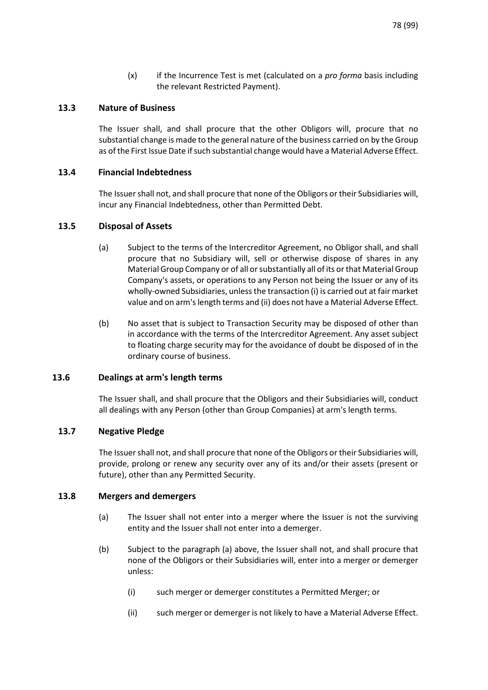(x) if the Incurrence Test is met (calculated on a *pro forma* basis including the relevant Restricted Payment).

### **13.3 Nature of Business**

The Issuer shall, and shall procure that the other Obligors will, procure that no substantial change is made to the general nature of the business carried on by the Group as of the First Issue Date if such substantial change would have a Material Adverse Effect.

#### **13.4 Financial Indebtedness**

The Issuer shall not, and shall procure that none of the Obligors or their Subsidiaries will, incur any Financial Indebtedness, other than Permitted Debt.

#### **13.5 Disposal of Assets**

- (a) Subject to the terms of the Intercreditor Agreement, no Obligor shall, and shall procure that no Subsidiary will, sell or otherwise dispose of shares in any Material Group Company or of all or substantially all of its or that Material Group Company's assets, or operations to any Person not being the Issuer or any of its wholly-owned Subsidiaries, unless the transaction (i) is carried out at fair market value and on arm's length terms and (ii) does not have a Material Adverse Effect.
- (b) No asset that is subject to Transaction Security may be disposed of other than in accordance with the terms of the Intercreditor Agreement. Any asset subject to floating charge security may for the avoidance of doubt be disposed of in the ordinary course of business.

### **13.6 Dealings at arm's length terms**

The Issuer shall, and shall procure that the Obligors and their Subsidiaries will, conduct all dealings with any Person (other than Group Companies) at arm's length terms.

### **13.7 Negative Pledge**

The Issuer shall not, and shall procure that none of the Obligors or their Subsidiaries will, provide, prolong or renew any security over any of its and/or their assets (present or future), other than any Permitted Security.

#### <span id="page-77-0"></span>**13.8 Mergers and demergers**

- (a) The Issuer shall not enter into a merger where the Issuer is not the surviving entity and the Issuer shall not enter into a demerger.
- (b) Subject to the paragraph [\(a\)](#page-77-0) above, the Issuer shall not, and shall procure that none of the Obligors or their Subsidiaries will, enter into a merger or demerger unless:
	- (i) such merger or demerger constitutes a Permitted Merger; or
	- (ii) such merger or demerger is not likely to have a Material Adverse Effect.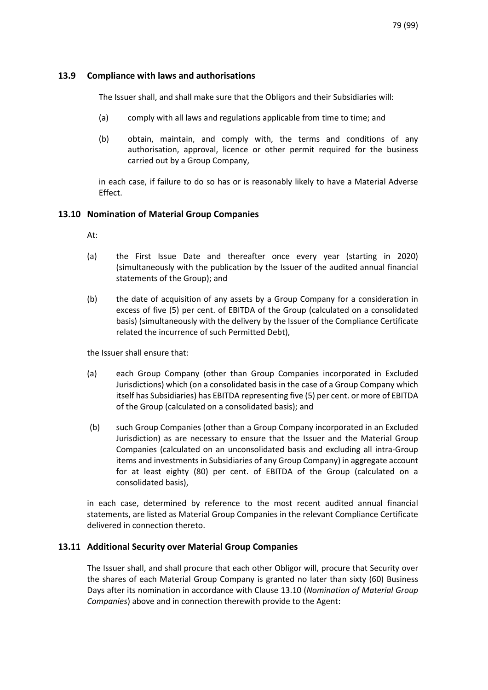### **13.9 Compliance with laws and authorisations**

The Issuer shall, and shall make sure that the Obligors and their Subsidiaries will:

- (a) comply with all laws and regulations applicable from time to time; and
- (b) obtain, maintain, and comply with, the terms and conditions of any authorisation, approval, licence or other permit required for the business carried out by a Group Company,

in each case, if failure to do so has or is reasonably likely to have a Material Adverse Effect.

### <span id="page-78-0"></span>**13.10 Nomination of Material Group Companies**

At:

- (a) the First Issue Date and thereafter once every year (starting in 2020) (simultaneously with the publication by the Issuer of the audited annual financial statements of the Group); and
- (b) the date of acquisition of any assets by a Group Company for a consideration in excess of five (5) per cent. of EBITDA of the Group (calculated on a consolidated basis) (simultaneously with the delivery by the Issuer of the Compliance Certificate related the incurrence of such Permitted Debt),

the Issuer shall ensure that:

- (a) each Group Company (other than Group Companies incorporated in Excluded Jurisdictions) which (on a consolidated basis in the case of a Group Company which itself has Subsidiaries) has EBITDA representing five (5) per cent. or more of EBITDA of the Group (calculated on a consolidated basis); and
- (b) such Group Companies (other than a Group Company incorporated in an Excluded Jurisdiction) as are necessary to ensure that the Issuer and the Material Group Companies (calculated on an unconsolidated basis and excluding all intra-Group items and investments in Subsidiaries of any Group Company) in aggregate account for at least eighty (80) per cent. of EBITDA of the Group (calculated on a consolidated basis),

in each case, determined by reference to the most recent audited annual financial statements, are listed as Material Group Companies in the relevant Compliance Certificate delivered in connection thereto.

### **13.11 Additional Security over Material Group Companies**

The Issuer shall, and shall procure that each other Obligor will, procure that Security over the shares of each Material Group Company is granted no later than sixty (60) Business Days after its nomination in accordance with Clause [13.10](#page-78-0) (*[Nomination of Material Group](#page-78-0)  [Companies](#page-78-0)*) above and in connection therewith provide to the Agent: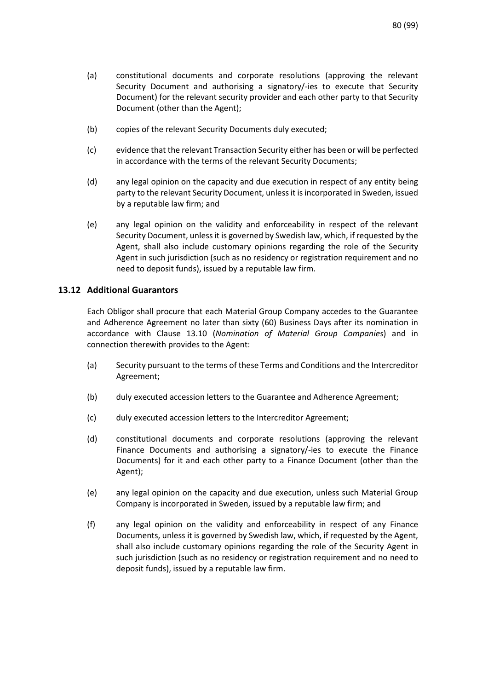- (a) constitutional documents and corporate resolutions (approving the relevant Security Document and authorising a signatory/-ies to execute that Security Document) for the relevant security provider and each other party to that Security Document (other than the Agent);
- (b) copies of the relevant Security Documents duly executed;
- (c) evidence that the relevant Transaction Security either has been or will be perfected in accordance with the terms of the relevant Security Documents;
- (d) any legal opinion on the capacity and due execution in respect of any entity being party to the relevant Security Document, unless it is incorporated in Sweden, issued by a reputable law firm; and
- (e) any legal opinion on the validity and enforceability in respect of the relevant Security Document, unless it is governed by Swedish law, which, if requested by the Agent, shall also include customary opinions regarding the role of the Security Agent in such jurisdiction (such as no residency or registration requirement and no need to deposit funds), issued by a reputable law firm.

### **13.12 Additional Guarantors**

Each Obligor shall procure that each Material Group Company accedes to the Guarantee and Adherence Agreement no later than sixty (60) Business Days after its nomination in accordance with Clause [13.10](#page-78-0) (*[Nomination of Material Group Companies](#page-78-0)*) and in connection therewith provides to the Agent:

- (a) Security pursuant to the terms of these Terms and Conditions and the Intercreditor Agreement;
- (b) duly executed accession letters to the Guarantee and Adherence Agreement;
- (c) duly executed accession letters to the Intercreditor Agreement;
- (d) constitutional documents and corporate resolutions (approving the relevant Finance Documents and authorising a signatory/-ies to execute the Finance Documents) for it and each other party to a Finance Document (other than the Agent);
- (e) any legal opinion on the capacity and due execution, unless such Material Group Company is incorporated in Sweden, issued by a reputable law firm; and
- (f) any legal opinion on the validity and enforceability in respect of any Finance Documents, unless it is governed by Swedish law, which, if requested by the Agent, shall also include customary opinions regarding the role of the Security Agent in such jurisdiction (such as no residency or registration requirement and no need to deposit funds), issued by a reputable law firm.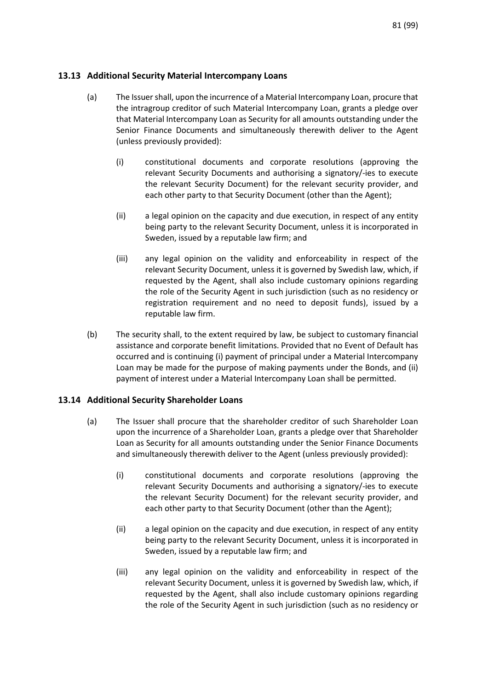### **13.13 Additional Security Material Intercompany Loans**

- (a) The Issuer shall, upon the incurrence of a Material Intercompany Loan, procure that the intragroup creditor of such Material Intercompany Loan, grants a pledge over that Material Intercompany Loan as Security for all amounts outstanding under the Senior Finance Documents and simultaneously therewith deliver to the Agent (unless previously provided):
	- (i) constitutional documents and corporate resolutions (approving the relevant Security Documents and authorising a signatory/-ies to execute the relevant Security Document) for the relevant security provider, and each other party to that Security Document (other than the Agent);
	- (ii) a legal opinion on the capacity and due execution, in respect of any entity being party to the relevant Security Document, unless it is incorporated in Sweden, issued by a reputable law firm; and
	- (iii) any legal opinion on the validity and enforceability in respect of the relevant Security Document, unless it is governed by Swedish law, which, if requested by the Agent, shall also include customary opinions regarding the role of the Security Agent in such jurisdiction (such as no residency or registration requirement and no need to deposit funds), issued by a reputable law firm.
- (b) The security shall, to the extent required by law, be subject to customary financial assistance and corporate benefit limitations. Provided that no Event of Default has occurred and is continuing (i) payment of principal under a Material Intercompany Loan may be made for the purpose of making payments under the Bonds, and (ii) payment of interest under a Material Intercompany Loan shall be permitted.

### **13.14 Additional Security Shareholder Loans**

- (a) The Issuer shall procure that the shareholder creditor of such Shareholder Loan upon the incurrence of a Shareholder Loan, grants a pledge over that Shareholder Loan as Security for all amounts outstanding under the Senior Finance Documents and simultaneously therewith deliver to the Agent (unless previously provided):
	- (i) constitutional documents and corporate resolutions (approving the relevant Security Documents and authorising a signatory/-ies to execute the relevant Security Document) for the relevant security provider, and each other party to that Security Document (other than the Agent);
	- (ii) a legal opinion on the capacity and due execution, in respect of any entity being party to the relevant Security Document, unless it is incorporated in Sweden, issued by a reputable law firm; and
	- (iii) any legal opinion on the validity and enforceability in respect of the relevant Security Document, unless it is governed by Swedish law, which, if requested by the Agent, shall also include customary opinions regarding the role of the Security Agent in such jurisdiction (such as no residency or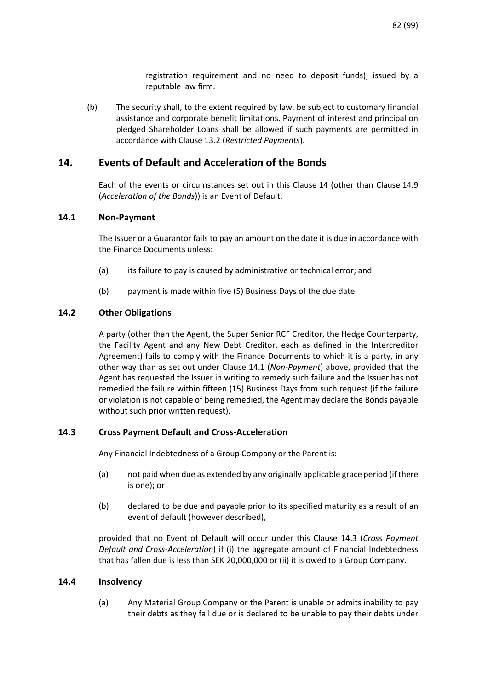registration requirement and no need to deposit funds), issued by a reputable law firm.

(b) The security shall, to the extent required by law, be subject to customary financial assistance and corporate benefit limitations. Payment of interest and principal on pledged Shareholder Loans shall be allowed if such payments are permitted in accordance with Claus[e 13.2](#page-76-3) (*[Restricted Payments](#page-76-3)*).

# <span id="page-81-0"></span>**14. Events of Default and Acceleration of the Bonds**

Each of the events or circumstances set out in this Clause [14](#page-81-0) (other than Clause [14.9](#page-83-0) (*[Acceleration of the Bonds](#page-83-0)*)) is an Event of Default.

### <span id="page-81-1"></span>**14.1 Non-Payment**

The Issuer or a Guarantor fails to pay an amount on the date it is due in accordance with the Finance Documents unless:

- (a) its failure to pay is caused by administrative or technical error; and
- (b) payment is made within five (5) Business Days of the due date.

### **14.2 Other Obligations**

A party (other than the Agent, the Super Senior RCF Creditor, the Hedge Counterparty, the Facility Agent and any New Debt Creditor, each as defined in the Intercreditor Agreement) fails to comply with the Finance Documents to which it is a party, in any other way than as set out under Clause [14.1](#page-81-1) (*[Non-Payment](#page-81-1)*) above, provided that the Agent has requested the Issuer in writing to remedy such failure and the Issuer has not remedied the failure within fifteen (15) Business Days from such request (if the failure or violation is not capable of being remedied, the Agent may declare the Bonds payable without such prior written request).

### <span id="page-81-2"></span>**14.3 Cross Payment Default and Cross-Acceleration**

Any Financial Indebtedness of a Group Company or the Parent is:

- (a) not paid when due as extended by any originally applicable grace period (if there is one); or
- (b) declared to be due and payable prior to its specified maturity as a result of an event of default (however described),

provided that no Event of Default will occur under this Clause [14.3](#page-81-2) (*[Cross Payment](#page-81-2)  [Default and Cross-Acceleration](#page-81-2)*) if (i) the aggregate amount of Financial Indebtedness that has fallen due is less than SEK 20,000,000 or (ii) it is owed to a Group Company.

### **14.4 Insolvency**

(a) Any Material Group Company or the Parent is unable or admits inability to pay their debts as they fall due or is declared to be unable to pay their debts under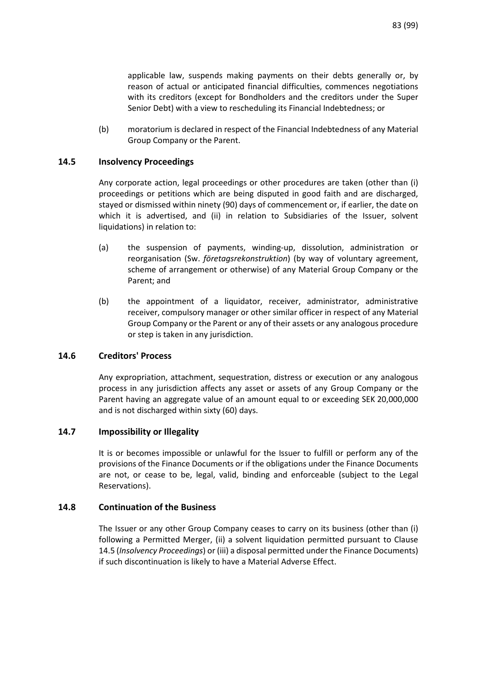applicable law, suspends making payments on their debts generally or, by reason of actual or anticipated financial difficulties, commences negotiations with its creditors (except for Bondholders and the creditors under the Super Senior Debt) with a view to rescheduling its Financial Indebtedness; or

(b) moratorium is declared in respect of the Financial Indebtedness of any Material Group Company or the Parent.

### <span id="page-82-0"></span>**14.5 Insolvency Proceedings**

Any corporate action, legal proceedings or other procedures are taken (other than (i) proceedings or petitions which are being disputed in good faith and are discharged, stayed or dismissed within ninety (90) days of commencement or, if earlier, the date on which it is advertised, and (ii) in relation to Subsidiaries of the Issuer, solvent liquidations) in relation to:

- (a) the suspension of payments, winding-up, dissolution, administration or reorganisation (Sw. *företagsrekonstruktion*) (by way of voluntary agreement, scheme of arrangement or otherwise) of any Material Group Company or the Parent; and
- (b) the appointment of a liquidator, receiver, administrator, administrative receiver, compulsory manager or other similar officer in respect of any Material Group Company or the Parent or any of their assets or any analogous procedure or step is taken in any jurisdiction.

### **14.6 Creditors' Process**

Any expropriation, attachment, sequestration, distress or execution or any analogous process in any jurisdiction affects any asset or assets of any Group Company or the Parent having an aggregate value of an amount equal to or exceeding SEK 20,000,000 and is not discharged within sixty (60) days.

### **14.7 Impossibility or Illegality**

It is or becomes impossible or unlawful for the Issuer to fulfill or perform any of the provisions of the Finance Documents or if the obligations under the Finance Documents are not, or cease to be, legal, valid, binding and enforceable (subject to the Legal Reservations).

#### **14.8 Continuation of the Business**

The Issuer or any other Group Company ceases to carry on its business (other than (i) following a Permitted Merger, (ii) a solvent liquidation permitted pursuant to Clause [14.5](#page-82-0) (*[Insolvency Proceedings](#page-82-0)*) or (iii) a disposal permitted under the Finance Documents) if such discontinuation is likely to have a Material Adverse Effect.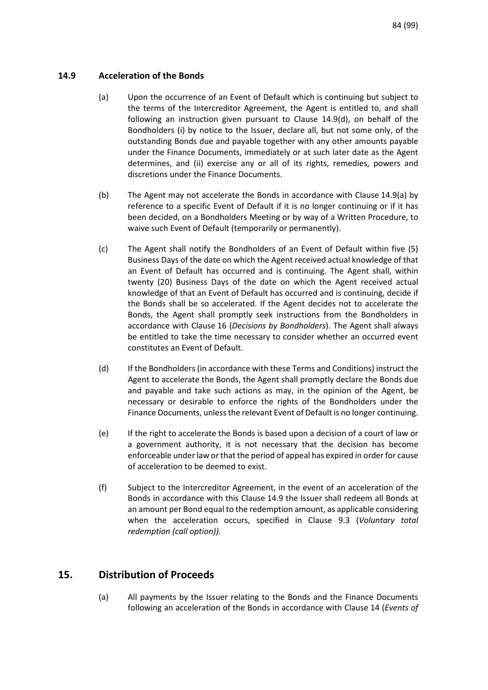### <span id="page-83-0"></span>**14.9 Acceleration of the Bonds**

- (a) Upon the occurrence of an Event of Default which is continuing but subject to the terms of the Intercreditor Agreement, the Agent is entitled to, and shall following an instruction given pursuant to Clause 14.9(d), on behalf of the Bondholders (i) by notice to the Issuer, declare all, but not some only, of the outstanding Bonds due and payable together with any other amounts payable under the Finance Documents, immediately or at such later date as the Agent determines, and (ii) exercise any or all of its rights, remedies, powers and discretions under the Finance Documents.
- (b) The Agent may not accelerate the Bonds in accordance with Clause 14.9(a) by reference to a specific Event of Default if it is no longer continuing or if it has been decided, on a Bondholders Meeting or by way of a Written Procedure, to waive such Event of Default (temporarily or permanently).
- (c) The Agent shall notify the Bondholders of an Event of Default within five (5) Business Days of the date on which the Agent received actual knowledge of that an Event of Default has occurred and is continuing. The Agent shall, within twenty (20) Business Days of the date on which the Agent received actual knowledge of that an Event of Default has occurred and is continuing, decide if the Bonds shall be so accelerated. If the Agent decides not to accelerate the Bonds, the Agent shall promptly seek instructions from the Bondholders in accordance with Clause [16](#page-84-0) (*[Decisions by Bondholders](#page-84-0)*). The Agent shall always be entitled to take the time necessary to consider whether an occurred event constitutes an Event of Default.
- (d) If the Bondholders (in accordance with these Terms and Conditions) instruct the Agent to accelerate the Bonds, the Agent shall promptly declare the Bonds due and payable and take such actions as may, in the opinion of the Agent, be necessary or desirable to enforce the rights of the Bondholders under the Finance Documents, unless the relevant Event of Default is no longer continuing.
- (e) If the right to accelerate the Bonds is based upon a decision of a court of law or a government authority, it is not necessary that the decision has become enforceable under law or that the period of appeal has expired in order for cause of acceleration to be deemed to exist.
- (f) Subject to the Intercreditor Agreement, in the event of an acceleration of the Bonds in accordance with this Clause [14.9](#page-83-0) the Issuer shall redeem all Bonds at an amount per Bond equal to the redemption amount, as applicable considering when the acceleration occurs, specified in Clause [9.3](#page-69-0) (*[Voluntary total](#page-69-0)  [redemption \(call option\)\)](#page-69-0).*

# <span id="page-83-1"></span>**15. Distribution of Proceeds**

(a) All payments by the Issuer relating to the Bonds and the Finance Documents following an acceleration of the Bonds in accordance with Clause [14](#page-81-0) (*[Events of](#page-81-0)*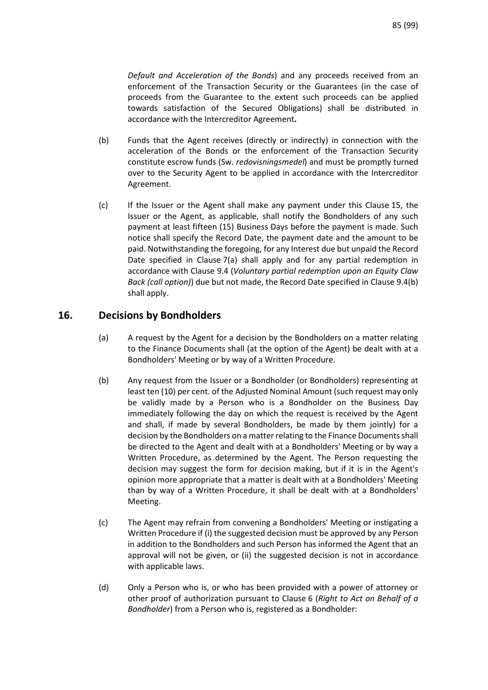*[Default and Acceleration of the Bonds](#page-81-0)*) and any proceeds received from an enforcement of the Transaction Security or the Guarantees (in the case of proceeds from the Guarantee to the extent such proceeds can be applied towards satisfaction of the Secured Obligations) shall be distributed in accordance with the Intercreditor Agreement**.**

- (b) Funds that the Agent receives (directly or indirectly) in connection with the acceleration of the Bonds or the enforcement of the Transaction Security constitute escrow funds (Sw. *redovisningsmedel*) and must be promptly turned over to the Security Agent to be applied in accordance with the Intercreditor Agreement.
- (c) If the Issuer or the Agent shall make any payment under this Claus[e 15,](#page-83-1) the Issuer or the Agent, as applicable, shall notify the Bondholders of any such payment at least fifteen (15) Business Days before the payment is made. Such notice shall specify the Record Date, the payment date and the amount to be paid. Notwithstanding the foregoing, for any Interest due but unpaid the Record Date specified in Clause 7(a) shall apply and for any partial redemption in accordance with Clause [9.4](#page-70-0) (*[Voluntary partial redemption upon an Equity Claw](#page-70-0)  [Back \(call option\)](#page-70-0)*) due but not made, the Record Date specified in Clause 9.4(b) shall apply.

# <span id="page-84-0"></span>**16. Decisions by Bondholders**

- (a) A request by the Agent for a decision by the Bondholders on a matter relating to the Finance Documents shall (at the option of the Agent) be dealt with at a Bondholders' Meeting or by way of a Written Procedure.
- (b) Any request from the Issuer or a Bondholder (or Bondholders) representing at least ten (10) per cent. of the Adjusted Nominal Amount (such request may only be validly made by a Person who is a Bondholder on the Business Day immediately following the day on which the request is received by the Agent and shall, if made by several Bondholders, be made by them jointly) for a decision by the Bondholders on a matter relating to the Finance Documents shall be directed to the Agent and dealt with at a Bondholders' Meeting or by way a Written Procedure, as determined by the Agent. The Person requesting the decision may suggest the form for decision making, but if it is in the Agent's opinion more appropriate that a matter is dealt with at a Bondholders' Meeting than by way of a Written Procedure, it shall be dealt with at a Bondholders' Meeting.
- (c) The Agent may refrain from convening a Bondholders' Meeting or instigating a Written Procedure if (i) the suggested decision must be approved by any Person in addition to the Bondholders and such Person has informed the Agent that an approval will not be given, or (ii) the suggested decision is not in accordance with applicable laws.
- (d) Only a Person who is, or who has been provided with a power of attorney or other proof of authorization pursuant to Clause [6](#page-67-0) (*[Right to Act on Behalf of a](#page-67-0)  [Bondholder](#page-67-0)*) from a Person who is, registered as a Bondholder: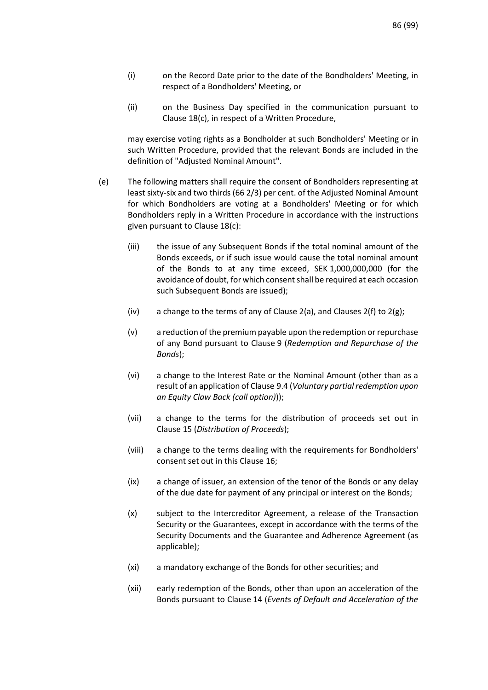- (i) on the Record Date prior to the date of the Bondholders' Meeting, in respect of a Bondholders' Meeting, or
- (ii) on the Business Day specified in the communication pursuant to Clause 18(c), in respect of a Written Procedure,

may exercise voting rights as a Bondholder at such Bondholders' Meeting or in such Written Procedure, provided that the relevant Bonds are included in the definition of "Adjusted Nominal Amount".

- (e) The following matters shall require the consent of Bondholders representing at least sixty-six and two thirds (66 2/3) per cent. of the Adjusted Nominal Amount for which Bondholders are voting at a Bondholders' Meeting or for which Bondholders reply in a Written Procedure in accordance with the instructions given pursuant to Clause 18(c):
	- (iii) the issue of any Subsequent Bonds if the total nominal amount of the Bonds exceeds, or if such issue would cause the total nominal amount of the Bonds to at any time exceed, SEK 1,000,000,000 (for the avoidance of doubt, for which consent shall be required at each occasion such Subsequent Bonds are issued);
	- (iv) a change to the terms of any of Clause [2\(a\),](#page-64-0) and Clauses [2\(f\)](#page-65-0) to  $2(g)$ ;
	- (v) a reduction of the premium payable upon the redemption or repurchase of any Bond pursuant to Clause [9](#page-69-1) (*[Redemption and Repurchase of the](#page-69-1)  [Bonds](#page-69-1)*);
	- (vi) a change to the Interest Rate or the Nominal Amount (other than as a result of an application of Clause [9.4 \(](#page-70-0)*[Voluntary partial redemption upon](#page-70-0)  [an Equity Claw Back \(call option\)](#page-70-0)*));
	- (vii) a change to the terms for the distribution of proceeds set out in Clause [15 \(](#page-83-1)*[Distribution of Proceeds](#page-83-1)*);
	- (viii) a change to the terms dealing with the requirements for Bondholders' consent set out in this Clause [16;](#page-84-0)
	- (ix) a change of issuer, an extension of the tenor of the Bonds or any delay of the due date for payment of any principal or interest on the Bonds;
	- (x) subject to the Intercreditor Agreement, a release of the Transaction Security or the Guarantees, except in accordance with the terms of the Security Documents and the Guarantee and Adherence Agreement (as applicable);
	- (xi) a mandatory exchange of the Bonds for other securities; and
	- (xii) early redemption of the Bonds, other than upon an acceleration of the Bonds pursuant to Clause [14](#page-81-0) (*[Events of Default and Acceleration of the](#page-81-0)*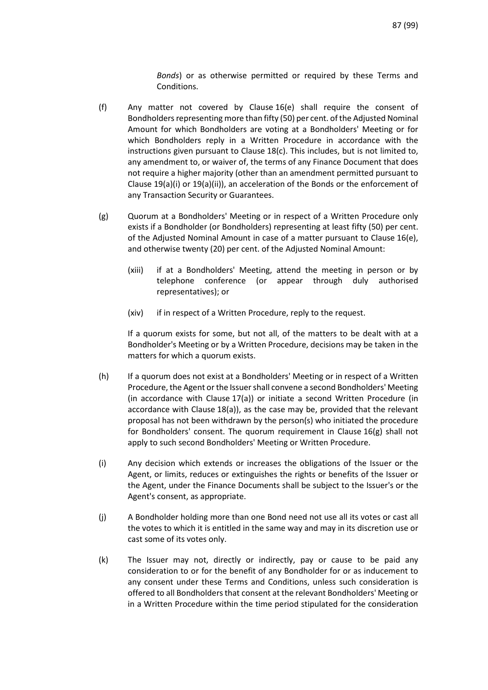*[Bonds](#page-81-0)*) or as otherwise permitted or required by these Terms and Conditions.

- (f) Any matter not covered by Clause 16(e) shall require the consent of Bondholders representing more than fifty (50) per cent. of the Adjusted Nominal Amount for which Bondholders are voting at a Bondholders' Meeting or for which Bondholders reply in a Written Procedure in accordance with the instructions given pursuant to Clause 18(c). This includes, but is not limited to, any amendment to, or waiver of, the terms of any Finance Document that does not require a higher majority (other than an amendment permitted pursuant to Clause 19(a)(i) or 19(a)(ii)), an acceleration of the Bonds or the enforcement of any Transaction Security or Guarantees.
- (g) Quorum at a Bondholders' Meeting or in respect of a Written Procedure only exists if a Bondholder (or Bondholders) representing at least fifty (50) per cent. of the Adjusted Nominal Amount in case of a matter pursuant to Clause 16(e), and otherwise twenty (20) per cent. of the Adjusted Nominal Amount:
	- (xiii) if at a Bondholders' Meeting, attend the meeting in person or by telephone conference (or appear through duly authorised representatives); or
	- (xiv) if in respect of a Written Procedure, reply to the request.

If a quorum exists for some, but not all, of the matters to be dealt with at a Bondholder's Meeting or by a Written Procedure, decisions may be taken in the matters for which a quorum exists.

- (h) If a quorum does not exist at a Bondholders' Meeting or in respect of a Written Procedure, the Agent or the Issuer shall convene a second Bondholders' Meeting (in accordance with Clause 17(a)) or initiate a second Written Procedure (in accordance with Clause 18(a)), as the case may be, provided that the relevant proposal has not been withdrawn by the person(s) who initiated the procedure for Bondholders' consent. The quorum requirement in Clause 16(g) shall not apply to such second Bondholders' Meeting or Written Procedure.
- (i) Any decision which extends or increases the obligations of the Issuer or the Agent, or limits, reduces or extinguishes the rights or benefits of the Issuer or the Agent, under the Finance Documents shall be subject to the Issuer's or the Agent's consent, as appropriate.
- (j) A Bondholder holding more than one Bond need not use all its votes or cast all the votes to which it is entitled in the same way and may in its discretion use or cast some of its votes only.
- (k) The Issuer may not, directly or indirectly, pay or cause to be paid any consideration to or for the benefit of any Bondholder for or as inducement to any consent under these Terms and Conditions, unless such consideration is offered to all Bondholders that consent at the relevant Bondholders' Meeting or in a Written Procedure within the time period stipulated for the consideration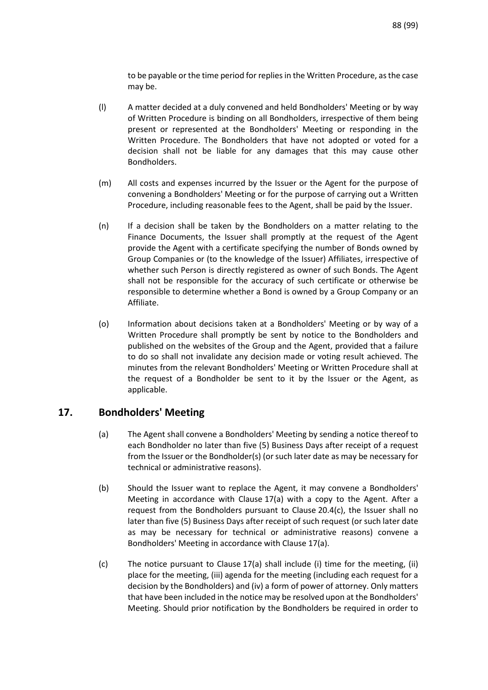to be payable or the time period for replies in the Written Procedure, as the case may be.

- (l) A matter decided at a duly convened and held Bondholders' Meeting or by way of Written Procedure is binding on all Bondholders, irrespective of them being present or represented at the Bondholders' Meeting or responding in the Written Procedure. The Bondholders that have not adopted or voted for a decision shall not be liable for any damages that this may cause other Bondholders.
- (m) All costs and expenses incurred by the Issuer or the Agent for the purpose of convening a Bondholders' Meeting or for the purpose of carrying out a Written Procedure, including reasonable fees to the Agent, shall be paid by the Issuer.
- (n) If a decision shall be taken by the Bondholders on a matter relating to the Finance Documents, the Issuer shall promptly at the request of the Agent provide the Agent with a certificate specifying the number of Bonds owned by Group Companies or (to the knowledge of the Issuer) Affiliates, irrespective of whether such Person is directly registered as owner of such Bonds. The Agent shall not be responsible for the accuracy of such certificate or otherwise be responsible to determine whether a Bond is owned by a Group Company or an Affiliate.
- (o) Information about decisions taken at a Bondholders' Meeting or by way of a Written Procedure shall promptly be sent by notice to the Bondholders and published on the websites of the Group and the Agent, provided that a failure to do so shall not invalidate any decision made or voting result achieved. The minutes from the relevant Bondholders' Meeting or Written Procedure shall at the request of a Bondholder be sent to it by the Issuer or the Agent, as applicable.

# **17. Bondholders' Meeting**

- (a) The Agent shall convene a Bondholders' Meeting by sending a notice thereof to each Bondholder no later than five (5) Business Days after receipt of a request from the Issuer or the Bondholder(s) (or such later date as may be necessary for technical or administrative reasons).
- (b) Should the Issuer want to replace the Agent, it may convene a Bondholders' Meeting in accordance with Clause 17(a) with a copy to the Agent. After a request from the Bondholders pursuant to Clause 20.4(c), the Issuer shall no later than five (5) Business Days after receipt of such request (or such later date as may be necessary for technical or administrative reasons) convene a Bondholders' Meeting in accordance with Clause 17(a).
- (c) The notice pursuant to Clause 17(a) shall include (i) time for the meeting, (ii) place for the meeting, (iii) agenda for the meeting (including each request for a decision by the Bondholders) and (iv) a form of power of attorney. Only matters that have been included in the notice may be resolved upon at the Bondholders' Meeting. Should prior notification by the Bondholders be required in order to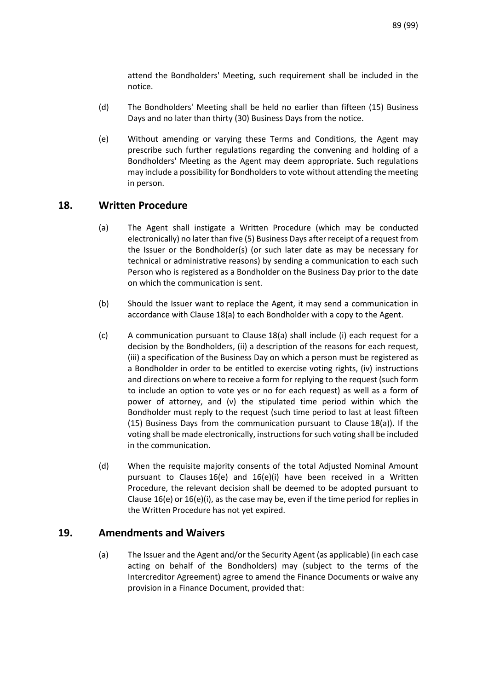attend the Bondholders' Meeting, such requirement shall be included in the notice.

- (d) The Bondholders' Meeting shall be held no earlier than fifteen (15) Business Days and no later than thirty (30) Business Days from the notice.
- (e) Without amending or varying these Terms and Conditions, the Agent may prescribe such further regulations regarding the convening and holding of a Bondholders' Meeting as the Agent may deem appropriate. Such regulations may include a possibility for Bondholders to vote without attending the meeting in person.

### **18. Written Procedure**

- (a) The Agent shall instigate a Written Procedure (which may be conducted electronically) no later than five (5) Business Days after receipt of a request from the Issuer or the Bondholder(s) (or such later date as may be necessary for technical or administrative reasons) by sending a communication to each such Person who is registered as a Bondholder on the Business Day prior to the date on which the communication is sent.
- (b) Should the Issuer want to replace the Agent, it may send a communication in accordance with Clause 18(a) to each Bondholder with a copy to the Agent.
- (c) A communication pursuant to Clause 18(a) shall include (i) each request for a decision by the Bondholders, (ii) a description of the reasons for each request, (iii) a specification of the Business Day on which a person must be registered as a Bondholder in order to be entitled to exercise voting rights, (iv) instructions and directions on where to receive a form for replying to the request (such form to include an option to vote yes or no for each request) as well as a form of power of attorney, and (v) the stipulated time period within which the Bondholder must reply to the request (such time period to last at least fifteen (15) Business Days from the communication pursuant to Clause 18(a)). If the voting shall be made electronically, instructions for such voting shall be included in the communication.
- (d) When the requisite majority consents of the total Adjusted Nominal Amount pursuant to Clauses 16(e) and 16(e)(i) have been received in a Written Procedure, the relevant decision shall be deemed to be adopted pursuant to Clause 16(e) or 16(e)(i), as the case may be, even if the time period for replies in the Written Procedure has not yet expired.

### **19. Amendments and Waivers**

(a) The Issuer and the Agent and/or the Security Agent (as applicable) (in each case acting on behalf of the Bondholders) may (subject to the terms of the Intercreditor Agreement) agree to amend the Finance Documents or waive any provision in a Finance Document, provided that: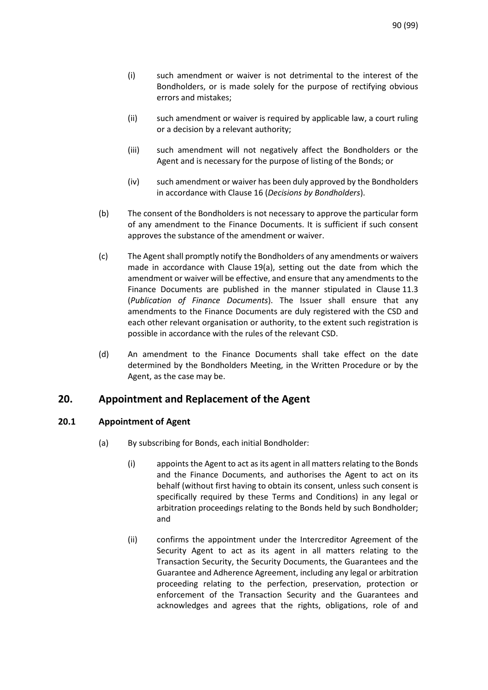- (i) such amendment or waiver is not detrimental to the interest of the Bondholders, or is made solely for the purpose of rectifying obvious errors and mistakes;
- (ii) such amendment or waiver is required by applicable law, a court ruling or a decision by a relevant authority;
- (iii) such amendment will not negatively affect the Bondholders or the Agent and is necessary for the purpose of listing of the Bonds; or
- (iv) such amendment or waiver has been duly approved by the Bondholders in accordance with Clause [16](#page-84-0) (*[Decisions by Bondholders](#page-84-0)*).
- (b) The consent of the Bondholders is not necessary to approve the particular form of any amendment to the Finance Documents. It is sufficient if such consent approves the substance of the amendment or waiver.
- (c) The Agent shall promptly notify the Bondholders of any amendments or waivers made in accordance with Clause 19(a), setting out the date from which the amendment or waiver will be effective, and ensure that any amendments to the Finance Documents are published in the manner stipulated in Clause [11.3](#page-74-0) (*[Publication of Finance Documents](#page-74-0)*). The Issuer shall ensure that any amendments to the Finance Documents are duly registered with the CSD and each other relevant organisation or authority, to the extent such registration is possible in accordance with the rules of the relevant CSD.
- (d) An amendment to the Finance Documents shall take effect on the date determined by the Bondholders Meeting, in the Written Procedure or by the Agent, as the case may be.

# **20. Appointment and Replacement of the Agent**

### <span id="page-89-0"></span>**20.1 Appointment of Agent**

- (a) By subscribing for Bonds, each initial Bondholder:
	- (i) appoints the Agent to act as its agent in all matters relating to the Bonds and the Finance Documents, and authorises the Agent to act on its behalf (without first having to obtain its consent, unless such consent is specifically required by these Terms and Conditions) in any legal or arbitration proceedings relating to the Bonds held by such Bondholder; and
	- (ii) confirms the appointment under the Intercreditor Agreement of the Security Agent to act as its agent in all matters relating to the Transaction Security, the Security Documents, the Guarantees and the Guarantee and Adherence Agreement, including any legal or arbitration proceeding relating to the perfection, preservation, protection or enforcement of the Transaction Security and the Guarantees and acknowledges and agrees that the rights, obligations, role of and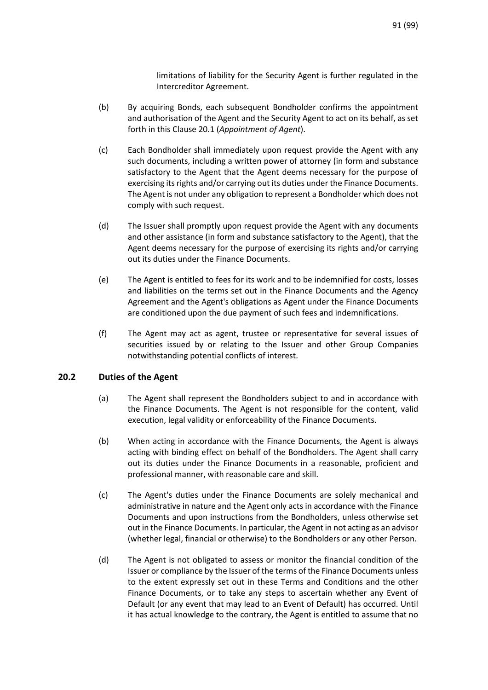limitations of liability for the Security Agent is further regulated in the Intercreditor Agreement.

- (b) By acquiring Bonds, each subsequent Bondholder confirms the appointment and authorisation of the Agent and the Security Agent to act on its behalf, as set forth in this Clause [20.1](#page-89-0) (*[Appointment of Agent](#page-89-0)*).
- (c) Each Bondholder shall immediately upon request provide the Agent with any such documents, including a written power of attorney (in form and substance satisfactory to the Agent that the Agent deems necessary for the purpose of exercising its rights and/or carrying out its duties under the Finance Documents. The Agent is not under any obligation to represent a Bondholder which does not comply with such request.
- (d) The Issuer shall promptly upon request provide the Agent with any documents and other assistance (in form and substance satisfactory to the Agent), that the Agent deems necessary for the purpose of exercising its rights and/or carrying out its duties under the Finance Documents.
- (e) The Agent is entitled to fees for its work and to be indemnified for costs, losses and liabilities on the terms set out in the Finance Documents and the Agency Agreement and the Agent's obligations as Agent under the Finance Documents are conditioned upon the due payment of such fees and indemnifications.
- (f) The Agent may act as agent, trustee or representative for several issues of securities issued by or relating to the Issuer and other Group Companies notwithstanding potential conflicts of interest.

### **20.2 Duties of the Agent**

- (a) The Agent shall represent the Bondholders subject to and in accordance with the Finance Documents. The Agent is not responsible for the content, valid execution, legal validity or enforceability of the Finance Documents.
- (b) When acting in accordance with the Finance Documents, the Agent is always acting with binding effect on behalf of the Bondholders. The Agent shall carry out its duties under the Finance Documents in a reasonable, proficient and professional manner, with reasonable care and skill.
- (c) The Agent's duties under the Finance Documents are solely mechanical and administrative in nature and the Agent only acts in accordance with the Finance Documents and upon instructions from the Bondholders, unless otherwise set out in the Finance Documents. In particular, the Agent in not acting as an advisor (whether legal, financial or otherwise) to the Bondholders or any other Person.
- (d) The Agent is not obligated to assess or monitor the financial condition of the Issuer or compliance by the Issuer of the terms of the Finance Documents unless to the extent expressly set out in these Terms and Conditions and the other Finance Documents, or to take any steps to ascertain whether any Event of Default (or any event that may lead to an Event of Default) has occurred. Until it has actual knowledge to the contrary, the Agent is entitled to assume that no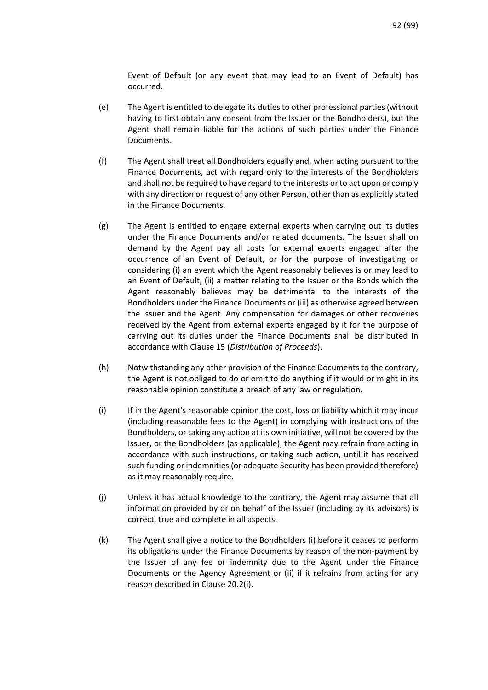Event of Default (or any event that may lead to an Event of Default) has occurred.

- (e) The Agent is entitled to delegate its duties to other professional parties (without having to first obtain any consent from the Issuer or the Bondholders), but the Agent shall remain liable for the actions of such parties under the Finance Documents.
- (f) The Agent shall treat all Bondholders equally and, when acting pursuant to the Finance Documents, act with regard only to the interests of the Bondholders and shall not be required to have regard to the interests or to act upon or comply with any direction or request of any other Person, other than as explicitly stated in the Finance Documents.
- (g) The Agent is entitled to engage external experts when carrying out its duties under the Finance Documents and/or related documents. The Issuer shall on demand by the Agent pay all costs for external experts engaged after the occurrence of an Event of Default, or for the purpose of investigating or considering (i) an event which the Agent reasonably believes is or may lead to an Event of Default, (ii) a matter relating to the Issuer or the Bonds which the Agent reasonably believes may be detrimental to the interests of the Bondholders under the Finance Documents or (iii) as otherwise agreed between the Issuer and the Agent. Any compensation for damages or other recoveries received by the Agent from external experts engaged by it for the purpose of carrying out its duties under the Finance Documents shall be distributed in accordance with Claus[e 15](#page-83-1) (*[Distribution of Proceeds](#page-83-1)*).
- (h) Notwithstanding any other provision of the Finance Documents to the contrary, the Agent is not obliged to do or omit to do anything if it would or might in its reasonable opinion constitute a breach of any law or regulation.
- (i) If in the Agent's reasonable opinion the cost, loss or liability which it may incur (including reasonable fees to the Agent) in complying with instructions of the Bondholders, or taking any action at its own initiative, will not be covered by the Issuer, or the Bondholders (as applicable), the Agent may refrain from acting in accordance with such instructions, or taking such action, until it has received such funding or indemnities (or adequate Security has been provided therefore) as it may reasonably require.
- (j) Unless it has actual knowledge to the contrary, the Agent may assume that all information provided by or on behalf of the Issuer (including by its advisors) is correct, true and complete in all aspects.
- (k) The Agent shall give a notice to the Bondholders (i) before it ceases to perform its obligations under the Finance Documents by reason of the non-payment by the Issuer of any fee or indemnity due to the Agent under the Finance Documents or the Agency Agreement or (ii) if it refrains from acting for any reason described in Clause 20.2(i).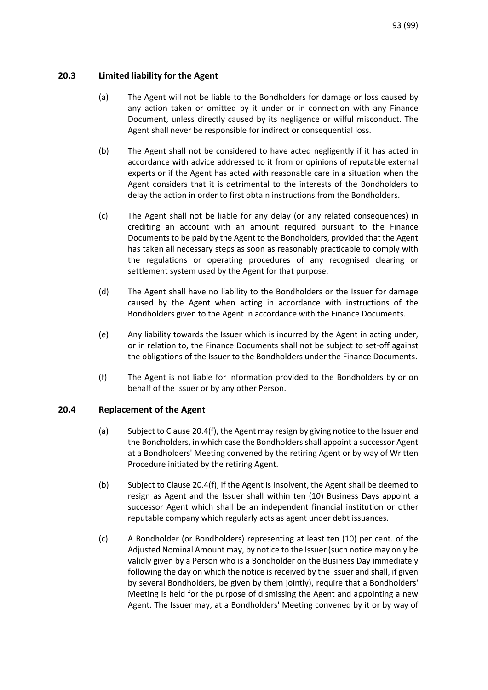### **20.3 Limited liability for the Agent**

- (a) The Agent will not be liable to the Bondholders for damage or loss caused by any action taken or omitted by it under or in connection with any Finance Document, unless directly caused by its negligence or wilful misconduct. The Agent shall never be responsible for indirect or consequential loss.
- (b) The Agent shall not be considered to have acted negligently if it has acted in accordance with advice addressed to it from or opinions of reputable external experts or if the Agent has acted with reasonable care in a situation when the Agent considers that it is detrimental to the interests of the Bondholders to delay the action in order to first obtain instructions from the Bondholders.
- (c) The Agent shall not be liable for any delay (or any related consequences) in crediting an account with an amount required pursuant to the Finance Documents to be paid by the Agent to the Bondholders, provided that the Agent has taken all necessary steps as soon as reasonably practicable to comply with the regulations or operating procedures of any recognised clearing or settlement system used by the Agent for that purpose.
- (d) The Agent shall have no liability to the Bondholders or the Issuer for damage caused by the Agent when acting in accordance with instructions of the Bondholders given to the Agent in accordance with the Finance Documents.
- (e) Any liability towards the Issuer which is incurred by the Agent in acting under, or in relation to, the Finance Documents shall not be subject to set-off against the obligations of the Issuer to the Bondholders under the Finance Documents.
- (f) The Agent is not liable for information provided to the Bondholders by or on behalf of the Issuer or by any other Person.

### <span id="page-92-0"></span>**20.4 Replacement of the Agent**

- (a) Subject to Clause 20.4(f), the Agent may resign by giving notice to the Issuer and the Bondholders, in which case the Bondholders shall appoint a successor Agent at a Bondholders' Meeting convened by the retiring Agent or by way of Written Procedure initiated by the retiring Agent.
- (b) Subject to Clause 20.4(f), if the Agent is Insolvent, the Agent shall be deemed to resign as Agent and the Issuer shall within ten (10) Business Days appoint a successor Agent which shall be an independent financial institution or other reputable company which regularly acts as agent under debt issuances.
- (c) A Bondholder (or Bondholders) representing at least ten (10) per cent. of the Adjusted Nominal Amount may, by notice to the Issuer (such notice may only be validly given by a Person who is a Bondholder on the Business Day immediately following the day on which the notice is received by the Issuer and shall, if given by several Bondholders, be given by them jointly), require that a Bondholders' Meeting is held for the purpose of dismissing the Agent and appointing a new Agent. The Issuer may, at a Bondholders' Meeting convened by it or by way of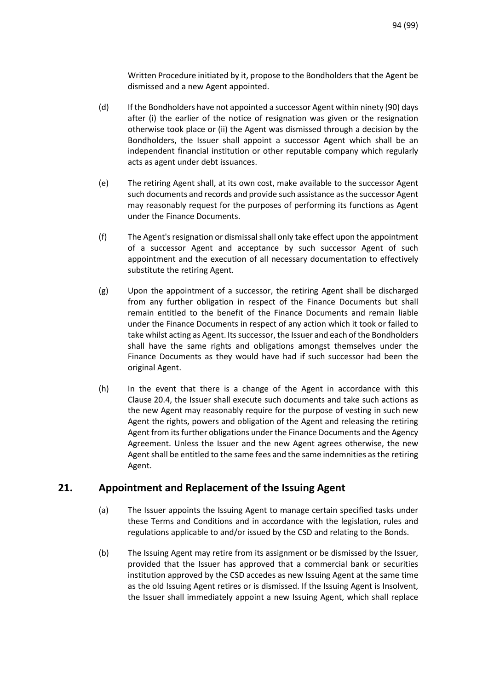Written Procedure initiated by it, propose to the Bondholders that the Agent be dismissed and a new Agent appointed.

- (d) If the Bondholders have not appointed a successor Agent within ninety (90) days after (i) the earlier of the notice of resignation was given or the resignation otherwise took place or (ii) the Agent was dismissed through a decision by the Bondholders, the Issuer shall appoint a successor Agent which shall be an independent financial institution or other reputable company which regularly acts as agent under debt issuances.
- (e) The retiring Agent shall, at its own cost, make available to the successor Agent such documents and records and provide such assistance as the successor Agent may reasonably request for the purposes of performing its functions as Agent under the Finance Documents.
- (f) The Agent's resignation or dismissal shall only take effect upon the appointment of a successor Agent and acceptance by such successor Agent of such appointment and the execution of all necessary documentation to effectively substitute the retiring Agent.
- (g) Upon the appointment of a successor, the retiring Agent shall be discharged from any further obligation in respect of the Finance Documents but shall remain entitled to the benefit of the Finance Documents and remain liable under the Finance Documents in respect of any action which it took or failed to take whilst acting as Agent. Its successor, the Issuer and each of the Bondholders shall have the same rights and obligations amongst themselves under the Finance Documents as they would have had if such successor had been the original Agent.
- (h) In the event that there is a change of the Agent in accordance with this Claus[e 20.4,](#page-92-0) the Issuer shall execute such documents and take such actions as the new Agent may reasonably require for the purpose of vesting in such new Agent the rights, powers and obligation of the Agent and releasing the retiring Agent from its further obligations under the Finance Documents and the Agency Agreement. Unless the Issuer and the new Agent agrees otherwise, the new Agent shall be entitled to the same fees and the same indemnities as the retiring Agent.

# **21. Appointment and Replacement of the Issuing Agent**

- (a) The Issuer appoints the Issuing Agent to manage certain specified tasks under these Terms and Conditions and in accordance with the legislation, rules and regulations applicable to and/or issued by the CSD and relating to the Bonds.
- (b) The Issuing Agent may retire from its assignment or be dismissed by the Issuer, provided that the Issuer has approved that a commercial bank or securities institution approved by the CSD accedes as new Issuing Agent at the same time as the old Issuing Agent retires or is dismissed. If the Issuing Agent is Insolvent, the Issuer shall immediately appoint a new Issuing Agent, which shall replace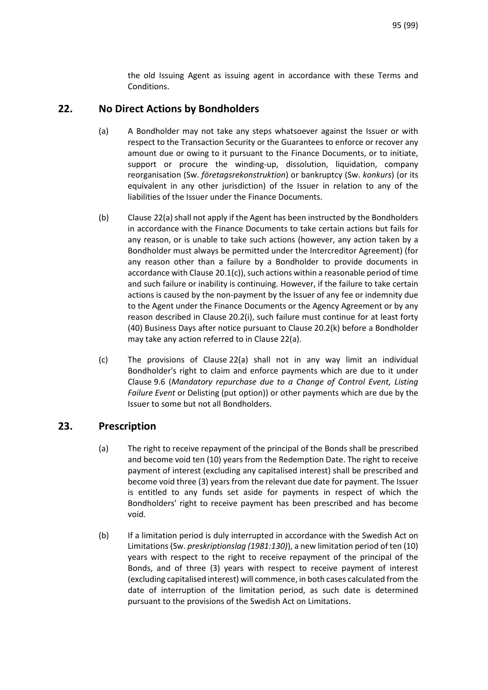the old Issuing Agent as issuing agent in accordance with these Terms and Conditions.

# **22. No Direct Actions by Bondholders**

- (a) A Bondholder may not take any steps whatsoever against the Issuer or with respect to the Transaction Security or the Guarantees to enforce or recover any amount due or owing to it pursuant to the Finance Documents, or to initiate, support or procure the winding-up, dissolution, liquidation, company reorganisation (Sw. *företagsrekonstruktion*) or bankruptcy (Sw. *konkurs*) (or its equivalent in any other jurisdiction) of the Issuer in relation to any of the liabilities of the Issuer under the Finance Documents.
- (b) Clause 22(a) shall not apply if the Agent has been instructed by the Bondholders in accordance with the Finance Documents to take certain actions but fails for any reason, or is unable to take such actions (however, any action taken by a Bondholder must always be permitted under the Intercreditor Agreement) (for any reason other than a failure by a Bondholder to provide documents in accordance with Clause 20.1(c)), such actions within a reasonable period of time and such failure or inability is continuing. However, if the failure to take certain actions is caused by the non-payment by the Issuer of any fee or indemnity due to the Agent under the Finance Documents or the Agency Agreement or by any reason described in Clause 20.2(i), such failure must continue for at least forty (40) Business Days after notice pursuant to Clause 20.2(k) before a Bondholder may take any action referred to in Clause 22(a).
- (c) The provisions of Clause 22(a) shall not in any way limit an individual Bondholder's right to claim and enforce payments which are due to it under Claus[e 9.6](#page-71-0) (*[Mandatory repurchase due to a Change of Control Event, Listing](#page-71-0)  Failure Event* [or Delisting \(put option\)\)](#page-71-0) or other payments which are due by the Issuer to some but not all Bondholders.

# **23. Prescription**

- (a) The right to receive repayment of the principal of the Bonds shall be prescribed and become void ten (10) years from the Redemption Date. The right to receive payment of interest (excluding any capitalised interest) shall be prescribed and become void three (3) years from the relevant due date for payment. The Issuer is entitled to any funds set aside for payments in respect of which the Bondholders' right to receive payment has been prescribed and has become void.
- (b) If a limitation period is duly interrupted in accordance with the Swedish Act on Limitations (Sw. *preskriptionslag (1981:130)*), a new limitation period of ten (10) years with respect to the right to receive repayment of the principal of the Bonds, and of three (3) years with respect to receive payment of interest (excluding capitalised interest) will commence, in both cases calculated from the date of interruption of the limitation period, as such date is determined pursuant to the provisions of the Swedish Act on Limitations.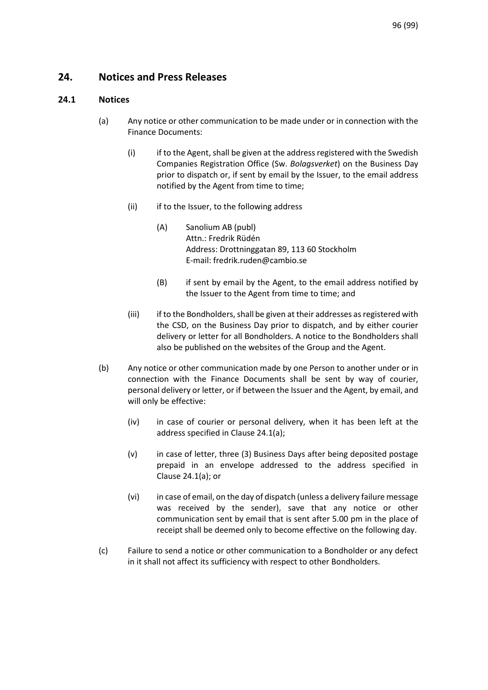# **24. Notices and Press Releases**

### **24.1 Notices**

- (a) Any notice or other communication to be made under or in connection with the Finance Documents:
	- (i) if to the Agent, shall be given at the address registered with the Swedish Companies Registration Office (Sw. *Bolagsverket*) on the Business Day prior to dispatch or, if sent by email by the Issuer, to the email address notified by the Agent from time to time;
	- (ii) if to the Issuer, to the following address
		- (A) Sanolium AB (publ) Attn.: Fredrik Rüdén Address: Drottninggatan 89, 113 60 Stockholm E-mail: fredrik.ruden@cambio.se
		- (B) if sent by email by the Agent, to the email address notified by the Issuer to the Agent from time to time; and
	- (iii) if to the Bondholders, shall be given at their addresses as registered with the CSD, on the Business Day prior to dispatch, and by either courier delivery or letter for all Bondholders. A notice to the Bondholders shall also be published on the websites of the Group and the Agent.
- (b) Any notice or other communication made by one Person to another under or in connection with the Finance Documents shall be sent by way of courier, personal delivery or letter, or if between the Issuer and the Agent, by email, and will only be effective:
	- (iv) in case of courier or personal delivery, when it has been left at the address specified in Clause 24.1(a);
	- (v) in case of letter, three (3) Business Days after being deposited postage prepaid in an envelope addressed to the address specified in Clause 24.1(a); or
	- (vi) in case of email, on the day of dispatch (unless a delivery failure message was received by the sender), save that any notice or other communication sent by email that is sent after 5.00 pm in the place of receipt shall be deemed only to become effective on the following day.
- (c) Failure to send a notice or other communication to a Bondholder or any defect in it shall not affect its sufficiency with respect to other Bondholders.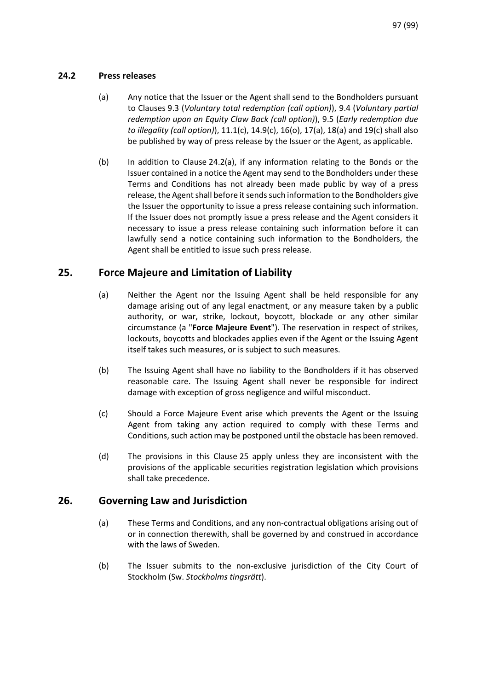### **24.2 Press releases**

- (a) Any notice that the Issuer or the Agent shall send to the Bondholders pursuant to Clause[s 9.3](#page-69-0) (*[Voluntary total redemption \(call option\)](#page-69-0)*), [9.4](#page-70-0) (*[Voluntary partial](#page-70-0)  [redemption upon an Equity Claw Back \(call option\)](#page-70-0)*), [9.5](#page-71-1) (*[Early redemption due](#page-71-1)  [to illegality \(call option\)](#page-71-1)*), 11.1(c), 14.9(c), 16(o), 17(a), 18(a) and 19(c) shall also be published by way of press release by the Issuer or the Agent, as applicable.
- (b) In addition to Clause 24.2(a), if any information relating to the Bonds or the Issuer contained in a notice the Agent may send to the Bondholders under these Terms and Conditions has not already been made public by way of a press release, the Agent shall before it sends such information to the Bondholders give the Issuer the opportunity to issue a press release containing such information. If the Issuer does not promptly issue a press release and the Agent considers it necessary to issue a press release containing such information before it can lawfully send a notice containing such information to the Bondholders, the Agent shall be entitled to issue such press release.

# <span id="page-96-0"></span>**25. Force Majeure and Limitation of Liability**

- (a) Neither the Agent nor the Issuing Agent shall be held responsible for any damage arising out of any legal enactment, or any measure taken by a public authority, or war, strike, lockout, boycott, blockade or any other similar circumstance (a "**Force Majeure Event**"). The reservation in respect of strikes, lockouts, boycotts and blockades applies even if the Agent or the Issuing Agent itself takes such measures, or is subject to such measures.
- (b) The Issuing Agent shall have no liability to the Bondholders if it has observed reasonable care. The Issuing Agent shall never be responsible for indirect damage with exception of gross negligence and wilful misconduct.
- (c) Should a Force Majeure Event arise which prevents the Agent or the Issuing Agent from taking any action required to comply with these Terms and Conditions, such action may be postponed until the obstacle has been removed.
- (d) The provisions in this Clause [25](#page-96-0) apply unless they are inconsistent with the provisions of the applicable securities registration legislation which provisions shall take precedence.

# **26. Governing Law and Jurisdiction**

- (a) These Terms and Conditions, and any non-contractual obligations arising out of or in connection therewith, shall be governed by and construed in accordance with the laws of Sweden.
- (b) The Issuer submits to the non-exclusive jurisdiction of the City Court of Stockholm (Sw. *Stockholms tingsrätt*).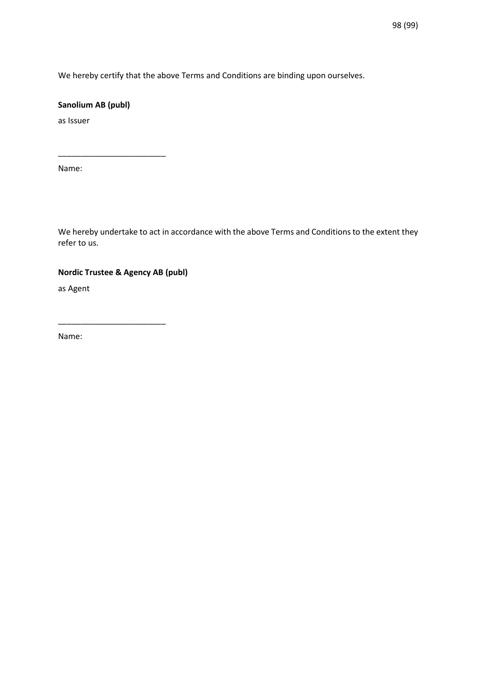We hereby certify that the above Terms and Conditions are binding upon ourselves.

### **Sanolium AB (publ)**

\_\_\_\_\_\_\_\_\_\_\_\_\_\_\_\_\_\_\_\_\_\_\_\_

as Issuer

Name:

We hereby undertake to act in accordance with the above Terms and Conditions to the extent they refer to us.

### **Nordic Trustee & Agency AB (publ)**

\_\_\_\_\_\_\_\_\_\_\_\_\_\_\_\_\_\_\_\_\_\_\_\_

as Agent

Name: